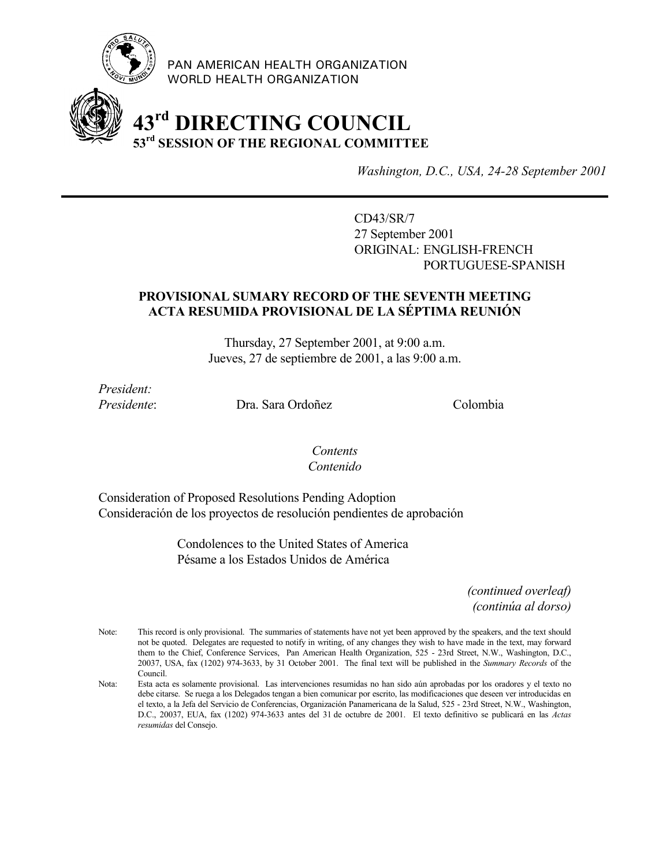

PAN AMERICAN HEALTH ORGANIZATION WORLD HEALTH ORGANIZATION

# **43rd DIRECTING COUNCIL 53rd SESSION OF THE REGIONAL COMMITTEE**

*Washington, D.C., USA, 24-28 September 2001*

CD43/SR/7 27 September 2001 ORIGINAL: ENGLISH-FRENCH PORTUGUESE-SPANISH

### **PROVISIONAL SUMARY RECORD OF THE SEVENTH MEETING ACTA RESUMIDA PROVISIONAL DE LA SÉPTIMA REUNIÓN**

Thursday, 27 September 2001, at 9:00 a.m. Jueves, 27 de septiembre de 2001, a las 9:00 a.m.

*President:*

*Presidente*: Dra. Sara Ordoñez Colombia

### *Contents Contenido*

Consideration of Proposed Resolutions Pending Adoption Consideración de los proyectos de resolución pendientes de aprobación

> Condolences to the United States of America Pésame a los Estados Unidos de América

> > *(continued overleaf) (continúa al dorso)*

Note: This record is only provisional. The summaries of statements have not yet been approved by the speakers, and the text should not be quoted. Delegates are requested to notify in writing, of any changes they wish to have made in the text, may forward them to the Chief, Conference Services, Pan American Health Organization, 525 - 23rd Street, N.W., Washington, D.C., 20037, USA, fax (1202) 974-3633, by 31 October 2001. The final text will be published in the *Summary Records* of the Council.

Nota: Esta acta es solamente provisional. Las intervenciones resumidas no han sido aún aprobadas por los oradores y el texto no debe citarse. Se ruega a los Delegados tengan a bien comunicar por escrito, las modificaciones que deseen ver introducidas en el texto, a la Jefa del Servicio de Conferencias, Organización Panamericana de la Salud, 525 - 23rd Street, N.W., Washington, D.C., 20037, EUA, fax (1202) 974-3633 antes del 31 de octubre de 2001. El texto definitivo se publicará en las *Actas resumidas* del Consejo.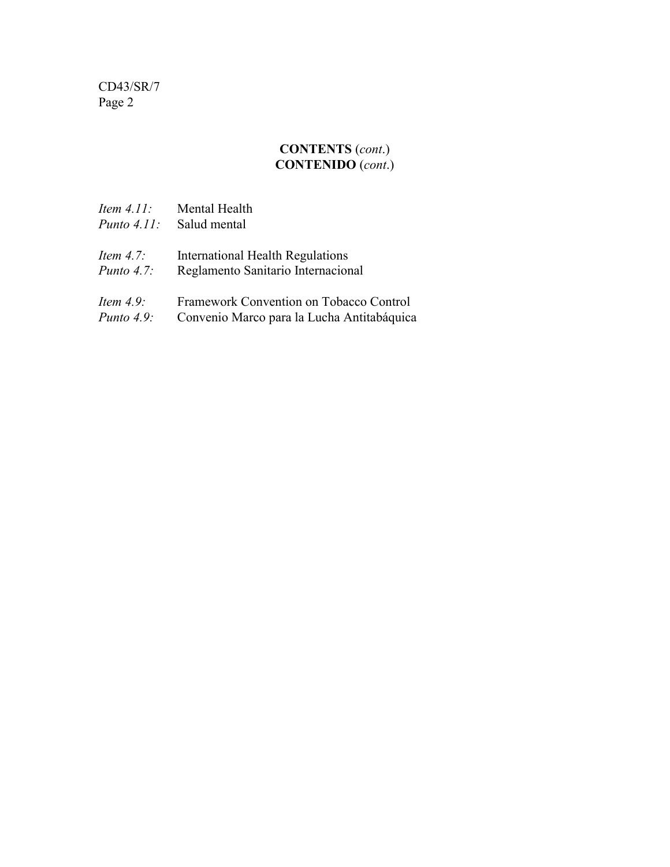### **CONTENTS** (*cont*.) **CONTENIDO** (*cont*.)

| <i>Item 4.11:</i>  | Mental Health                              |
|--------------------|--------------------------------------------|
| <i>Punto 4.11:</i> | Salud mental                               |
| <i>Item 4.7:</i>   | International Health Regulations           |
| <i>Punto 4.7:</i>  | Reglamento Sanitario Internacional         |
| <i>Item 4.9:</i>   | Framework Convention on Tobacco Control    |
| <i>Punto 4.9:</i>  | Convenio Marco para la Lucha Antitabáquica |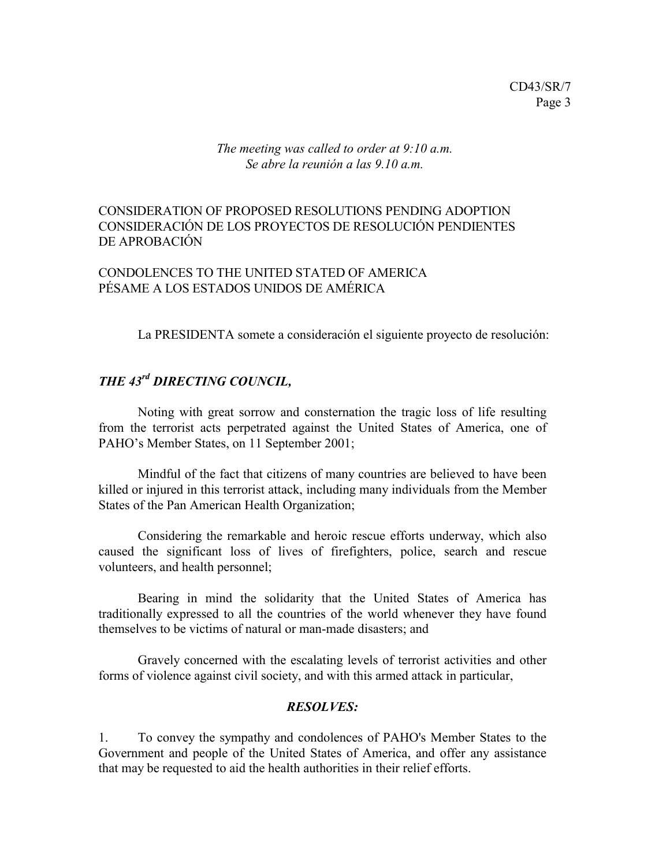*The meeting was called to order at 9:10 a.m. Se abre la reunión a las 9.10 a.m.*

### CONSIDERATION OF PROPOSED RESOLUTIONS PENDING ADOPTION CONSIDERACIÓN DE LOS PROYECTOS DE RESOLUCIÓN PENDIENTES DE APROBACIÓN

### CONDOLENCES TO THE UNITED STATED OF AMERICA PÉSAME A LOS ESTADOS UNIDOS DE AMÉRICA

La PRESIDENTA somete a consideración el siguiente proyecto de resolución:

# *THE 43rd DIRECTING COUNCIL,*

Noting with great sorrow and consternation the tragic loss of life resulting from the terrorist acts perpetrated against the United States of America, one of PAHO's Member States, on 11 September 2001;

Mindful of the fact that citizens of many countries are believed to have been killed or injured in this terrorist attack, including many individuals from the Member States of the Pan American Health Organization;

Considering the remarkable and heroic rescue efforts underway, which also caused the significant loss of lives of firefighters, police, search and rescue volunteers, and health personnel;

Bearing in mind the solidarity that the United States of America has traditionally expressed to all the countries of the world whenever they have found themselves to be victims of natural or man-made disasters; and

Gravely concerned with the escalating levels of terrorist activities and other forms of violence against civil society, and with this armed attack in particular,

### *RESOLVES:*

1. To convey the sympathy and condolences of PAHO's Member States to the Government and people of the United States of America, and offer any assistance that may be requested to aid the health authorities in their relief efforts.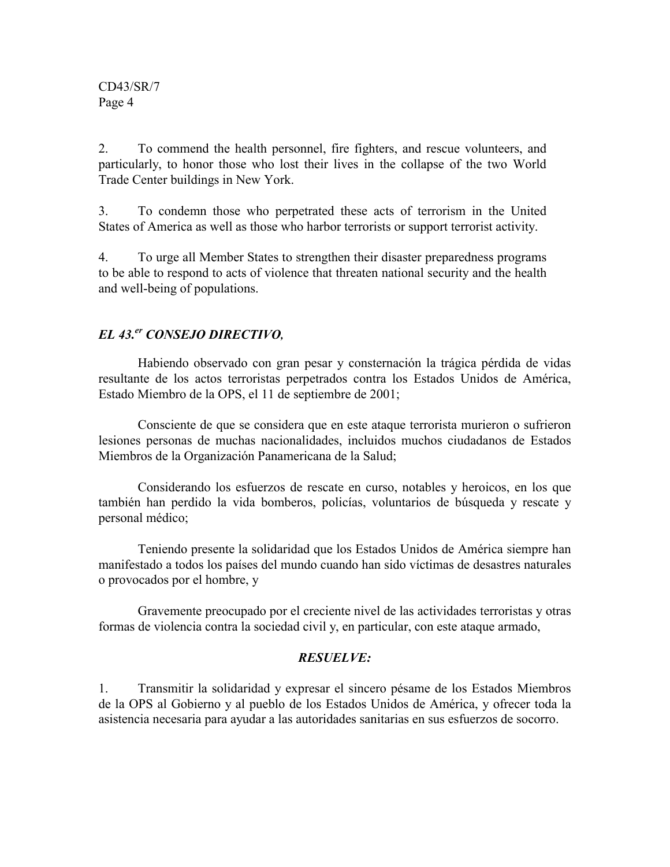2. To commend the health personnel, fire fighters, and rescue volunteers, and particularly, to honor those who lost their lives in the collapse of the two World Trade Center buildings in New York.

3. To condemn those who perpetrated these acts of terrorism in the United States of America as well as those who harbor terrorists or support terrorist activity.

4. To urge all Member States to strengthen their disaster preparedness programs to be able to respond to acts of violence that threaten national security and the health and well-being of populations.

### *EL 43.er CONSEJO DIRECTIVO,*

Habiendo observado con gran pesar y consternación la trágica pérdida de vidas resultante de los actos terroristas perpetrados contra los Estados Unidos de América, Estado Miembro de la OPS, el 11 de septiembre de 2001;

Consciente de que se considera que en este ataque terrorista murieron o sufrieron lesiones personas de muchas nacionalidades, incluidos muchos ciudadanos de Estados Miembros de la Organización Panamericana de la Salud;

Considerando los esfuerzos de rescate en curso, notables y heroicos, en los que también han perdido la vida bomberos, policías, voluntarios de búsqueda y rescate y personal médico;

Teniendo presente la solidaridad que los Estados Unidos de América siempre han manifestado a todos los países del mundo cuando han sido víctimas de desastres naturales o provocados por el hombre, y

Gravemente preocupado por el creciente nivel de las actividades terroristas y otras formas de violencia contra la sociedad civil y, en particular, con este ataque armado,

### *RESUELVE:*

1. Transmitir la solidaridad y expresar el sincero pésame de los Estados Miembros de la OPS al Gobierno y al pueblo de los Estados Unidos de América, y ofrecer toda la asistencia necesaria para ayudar a las autoridades sanitarias en sus esfuerzos de socorro.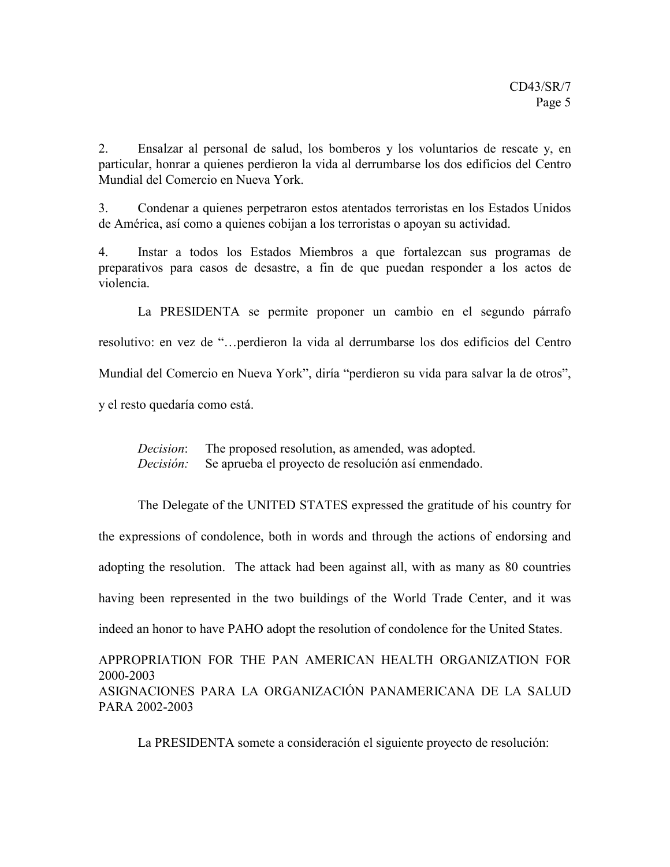2. Ensalzar al personal de salud, los bomberos y los voluntarios de rescate y, en particular, honrar a quienes perdieron la vida al derrumbarse los dos edificios del Centro Mundial del Comercio en Nueva York.

3. Condenar a quienes perpetraron estos atentados terroristas en los Estados Unidos de América, así como a quienes cobijan a los terroristas o apoyan su actividad.

4. Instar a todos los Estados Miembros a que fortalezcan sus programas de preparativos para casos de desastre, a fin de que puedan responder a los actos de violencia.

La PRESIDENTA se permite proponer un cambio en el segundo párrafo resolutivo: en vez de "…perdieron la vida al derrumbarse los dos edificios del Centro Mundial del Comercio en Nueva York", diría "perdieron su vida para salvar la de otros", y el resto quedaría como está.

*Decision*: The proposed resolution, as amended, was adopted. *Decisión:* Se aprueba el proyecto de resolución así enmendado.

The Delegate of the UNITED STATES expressed the gratitude of his country for the expressions of condolence, both in words and through the actions of endorsing and adopting the resolution. The attack had been against all, with as many as 80 countries having been represented in the two buildings of the World Trade Center, and it was indeed an honor to have PAHO adopt the resolution of condolence for the United States.

APPROPRIATION FOR THE PAN AMERICAN HEALTH ORGANIZATION FOR 2000-2003 ASIGNACIONES PARA LA ORGANIZACIÓN PANAMERICANA DE LA SALUD PARA 2002-2003

La PRESIDENTA somete a consideración el siguiente proyecto de resolución: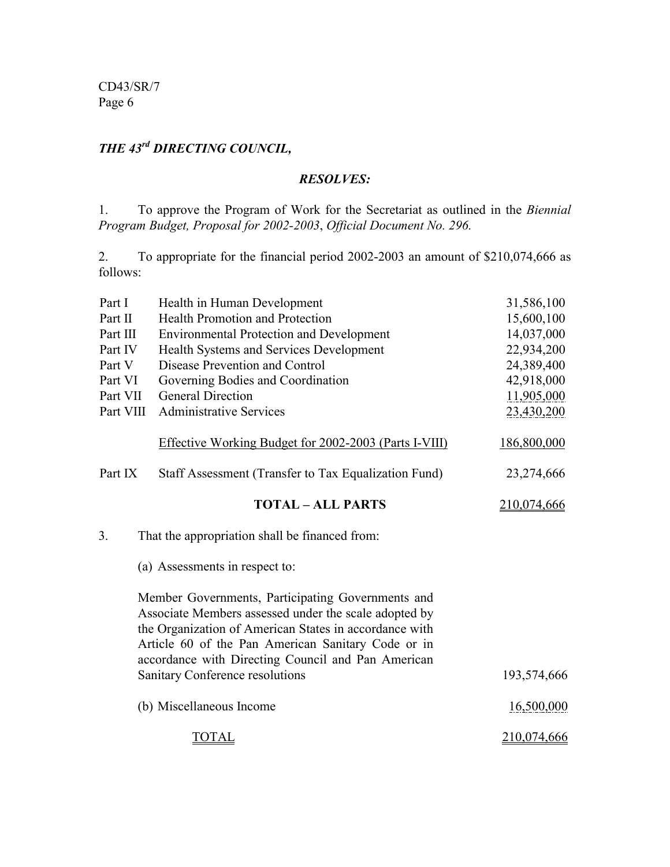# *THE 43rd DIRECTING COUNCIL,*

### *RESOLVES:*

1. To approve the Program of Work for the Secretariat as outlined in the *Biennial Program Budget, Proposal for 2002-2003*, *Official Document No. 296.*

2. To appropriate for the financial period 2002-2003 an amount of \$210,074,666 as follows:

| Part I    | Health in Human Development                                                                                                                                                                                                                                                      | 31,586,100  |
|-----------|----------------------------------------------------------------------------------------------------------------------------------------------------------------------------------------------------------------------------------------------------------------------------------|-------------|
| Part II   | Health Promotion and Protection                                                                                                                                                                                                                                                  | 15,600,100  |
| Part III  | <b>Environmental Protection and Development</b>                                                                                                                                                                                                                                  | 14,037,000  |
| Part IV   | Health Systems and Services Development                                                                                                                                                                                                                                          | 22,934,200  |
| Part V    | Disease Prevention and Control                                                                                                                                                                                                                                                   | 24,389,400  |
| Part VI   | Governing Bodies and Coordination                                                                                                                                                                                                                                                | 42,918,000  |
| Part VII  | <b>General Direction</b>                                                                                                                                                                                                                                                         | 11,905,000  |
| Part VIII | <b>Administrative Services</b>                                                                                                                                                                                                                                                   | 23,430,200  |
|           | <b>Effective Working Budget for 2002-2003 (Parts I-VIII)</b>                                                                                                                                                                                                                     | 186,800,000 |
| Part IX   | Staff Assessment (Transfer to Tax Equalization Fund)                                                                                                                                                                                                                             | 23,274,666  |
|           | <b>TOTAL - ALL PARTS</b>                                                                                                                                                                                                                                                         | 210,074,666 |
| 3.        | That the appropriation shall be financed from:                                                                                                                                                                                                                                   |             |
|           | (a) Assessments in respect to:                                                                                                                                                                                                                                                   |             |
|           | Member Governments, Participating Governments and<br>Associate Members assessed under the scale adopted by<br>the Organization of American States in accordance with<br>Article 60 of the Pan American Sanitary Code or in<br>accordance with Directing Council and Pan American |             |
|           | Sanitary Conference resolutions                                                                                                                                                                                                                                                  | 193,574,666 |
|           | (b) Miscellaneous Income                                                                                                                                                                                                                                                         | 16,500,000  |
|           | TOTAL                                                                                                                                                                                                                                                                            | 210,074,666 |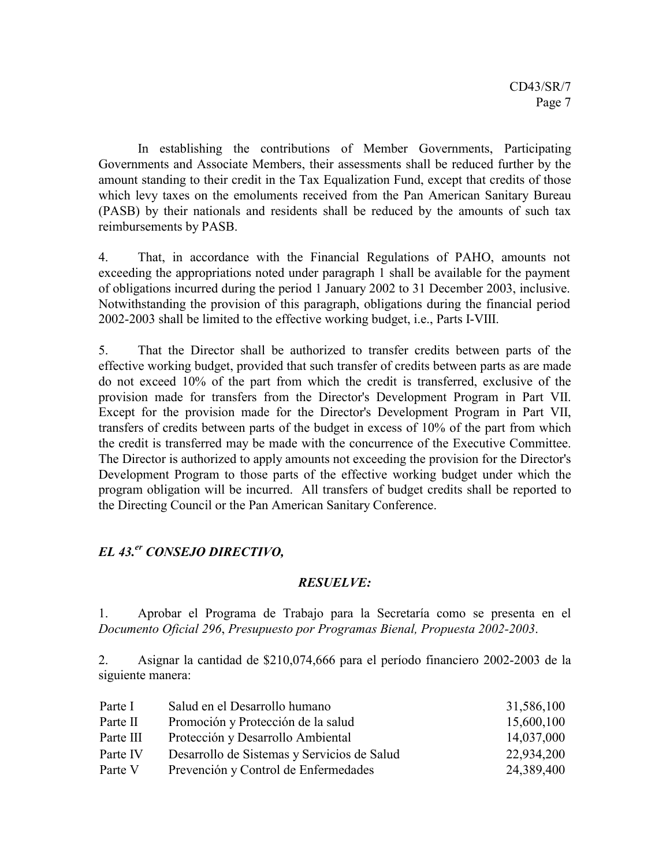In establishing the contributions of Member Governments, Participating Governments and Associate Members, their assessments shall be reduced further by the amount standing to their credit in the Tax Equalization Fund, except that credits of those which levy taxes on the emoluments received from the Pan American Sanitary Bureau (PASB) by their nationals and residents shall be reduced by the amounts of such tax reimbursements by PASB.

4. That, in accordance with the Financial Regulations of PAHO, amounts not exceeding the appropriations noted under paragraph 1 shall be available for the payment of obligations incurred during the period 1 January 2002 to 31 December 2003, inclusive. Notwithstanding the provision of this paragraph, obligations during the financial period 2002-2003 shall be limited to the effective working budget, i.e., Parts I-VIII.

5. That the Director shall be authorized to transfer credits between parts of the effective working budget, provided that such transfer of credits between parts as are made do not exceed 10% of the part from which the credit is transferred, exclusive of the provision made for transfers from the Director's Development Program in Part VII. Except for the provision made for the Director's Development Program in Part VII, transfers of credits between parts of the budget in excess of 10% of the part from which the credit is transferred may be made with the concurrence of the Executive Committee. The Director is authorized to apply amounts not exceeding the provision for the Director's Development Program to those parts of the effective working budget under which the program obligation will be incurred. All transfers of budget credits shall be reported to the Directing Council or the Pan American Sanitary Conference.

### *EL 43.er CONSEJO DIRECTIVO,*

### *RESUELVE:*

1. Aprobar el Programa de Trabajo para la Secretaría como se presenta en el *Documento Oficial 296*, *Presupuesto por Programas Bienal, Propuesta 2002-2003*.

2. Asignar la cantidad de \$210,074,666 para el período financiero 2002-2003 de la siguiente manera:

| Parte I   | Salud en el Desarrollo humano               | 31,586,100 |
|-----------|---------------------------------------------|------------|
| Parte II  | Promoción y Protección de la salud          | 15,600,100 |
| Parte III | Protección y Desarrollo Ambiental           | 14,037,000 |
| Parte IV  | Desarrollo de Sistemas y Servicios de Salud | 22,934,200 |
| Parte V   | Prevención y Control de Enfermedades        | 24,389,400 |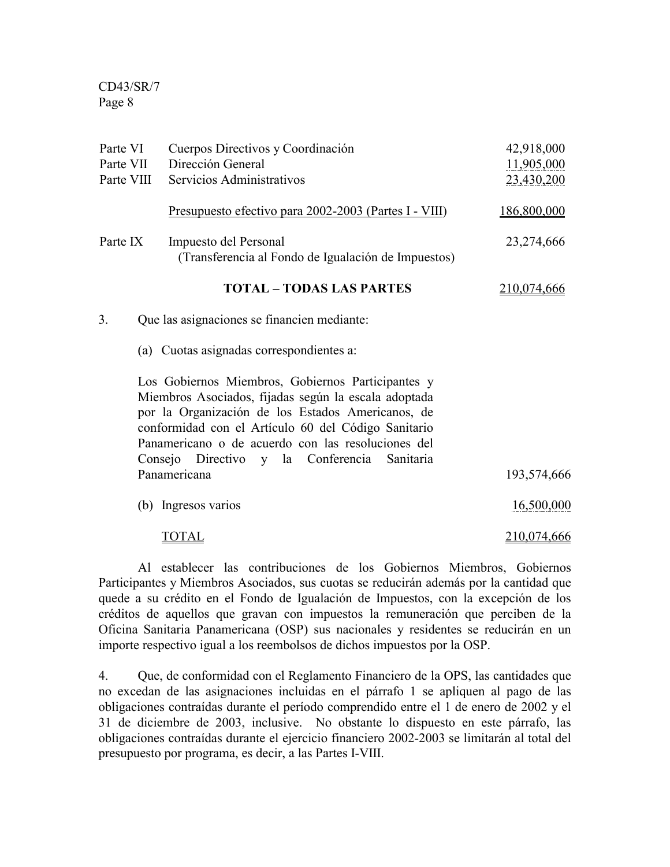| Parte VI<br>Parte VII | Cuerpos Directivos y Coordinación<br>Dirección General                                                                                                                                                                                                                                                                         | 42,918,000<br>11,905,000 |
|-----------------------|--------------------------------------------------------------------------------------------------------------------------------------------------------------------------------------------------------------------------------------------------------------------------------------------------------------------------------|--------------------------|
| Parte VIII            | Servicios Administrativos                                                                                                                                                                                                                                                                                                      | 23,430,200               |
|                       | <u>Presupuesto efectivo para 2002-2003 (Partes I - VIII)</u>                                                                                                                                                                                                                                                                   | 186,800,000              |
| Parte IX              | Impuesto del Personal<br>(Transferencia al Fondo de Igualación de Impuestos)                                                                                                                                                                                                                                                   | 23,274,666               |
|                       | <b>TOTAL - TODAS LAS PARTES</b>                                                                                                                                                                                                                                                                                                | <u>210,074,666</u>       |
| 3.                    | Que las asignaciones se financien mediante:                                                                                                                                                                                                                                                                                    |                          |
|                       | (a) Cuotas asignadas correspondientes a:                                                                                                                                                                                                                                                                                       |                          |
|                       | Los Gobiernos Miembros, Gobiernos Participantes y<br>Miembros Asociados, fijadas según la escala adoptada<br>por la Organización de los Estados Americanos, de<br>conformidad con el Artículo 60 del Código Sanitario<br>Panamericano o de acuerdo con las resoluciones del<br>Consejo Directivo y la Conferencia<br>Sanitaria |                          |
|                       | Panamericana                                                                                                                                                                                                                                                                                                                   | 193,574,666              |
|                       | (b) Ingresos varios                                                                                                                                                                                                                                                                                                            | 16,500,000               |
|                       | TOTAL                                                                                                                                                                                                                                                                                                                          | 210,074,666              |

Al establecer las contribuciones de los Gobiernos Miembros, Gobiernos Participantes y Miembros Asociados, sus cuotas se reducirán además por la cantidad que quede a su crédito en el Fondo de Igualación de Impuestos, con la excepción de los créditos de aquellos que gravan con impuestos la remuneración que perciben de la Oficina Sanitaria Panamericana (OSP) sus nacionales y residentes se reducirán en un importe respectivo igual a los reembolsos de dichos impuestos por la OSP.

4. Que, de conformidad con el Reglamento Financiero de la OPS, las cantidades que no excedan de las asignaciones incluidas en el párrafo 1 se apliquen al pago de las obligaciones contraídas durante el período comprendido entre el 1 de enero de 2002 y el 31 de diciembre de 2003, inclusive. No obstante lo dispuesto en este párrafo, las obligaciones contraídas durante el ejercicio financiero 2002-2003 se limitarán al total del presupuesto por programa, es decir, a las Partes I-VIII.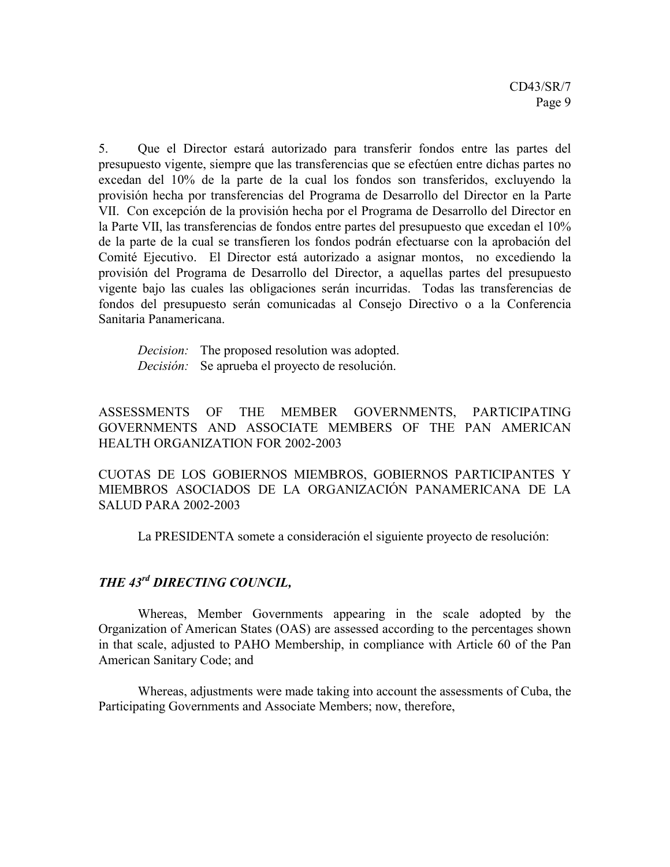5. Que el Director estará autorizado para transferir fondos entre las partes del presupuesto vigente, siempre que las transferencias que se efectúen entre dichas partes no excedan del 10% de la parte de la cual los fondos son transferidos, excluyendo la provisión hecha por transferencias del Programa de Desarrollo del Director en la Parte VII. Con excepción de la provisión hecha por el Programa de Desarrollo del Director en la Parte VII, las transferencias de fondos entre partes del presupuesto que excedan el 10% de la parte de la cual se transfieren los fondos podrán efectuarse con la aprobación del Comité Ejecutivo. El Director está autorizado a asignar montos, no excediendo la provisión del Programa de Desarrollo del Director, a aquellas partes del presupuesto vigente bajo las cuales las obligaciones serán incurridas. Todas las transferencias de fondos del presupuesto serán comunicadas al Consejo Directivo o a la Conferencia Sanitaria Panamericana.

*Decision:* The proposed resolution was adopted. *Decisión:* Se aprueba el proyecto de resolución.

ASSESSMENTS OF THE MEMBER GOVERNMENTS, PARTICIPATING GOVERNMENTS AND ASSOCIATE MEMBERS OF THE PAN AMERICAN HEALTH ORGANIZATION FOR 2002-2003

CUOTAS DE LOS GOBIERNOS MIEMBROS, GOBIERNOS PARTICIPANTES Y MIEMBROS ASOCIADOS DE LA ORGANIZACIÓN PANAMERICANA DE LA SALUD PARA 2002-2003

La PRESIDENTA somete a consideración el siguiente proyecto de resolución:

# *THE 43rd DIRECTING COUNCIL,*

Whereas, Member Governments appearing in the scale adopted by the Organization of American States (OAS) are assessed according to the percentages shown in that scale, adjusted to PAHO Membership, in compliance with Article 60 of the Pan American Sanitary Code; and

Whereas, adjustments were made taking into account the assessments of Cuba, the Participating Governments and Associate Members; now, therefore,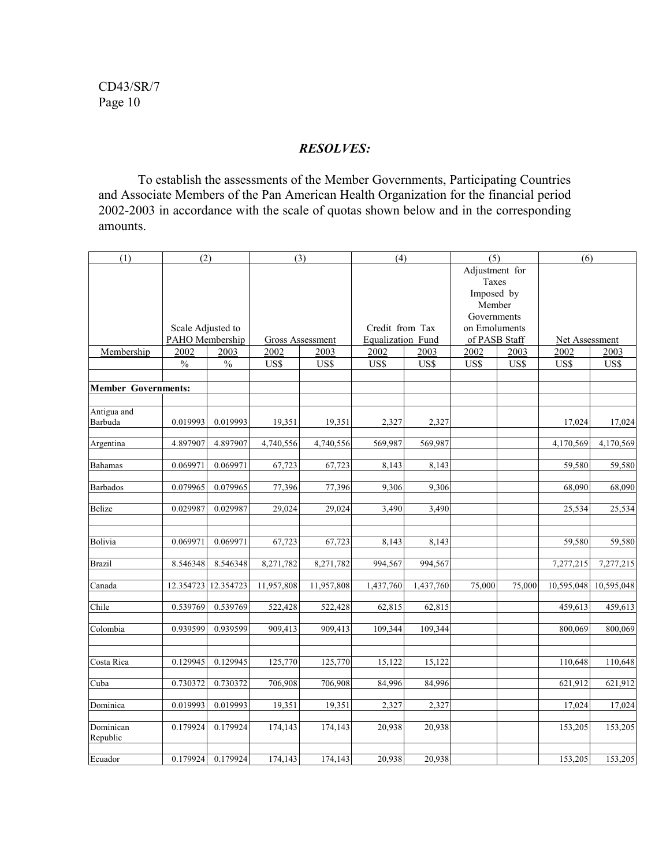### *RESOLVES:*

To establish the assessments of the Member Governments, Participating Countries and Associate Members of the Pan American Health Organization for the financial period 2002-2003 in accordance with the scale of quotas shown below and in the corresponding amounts.

| (1)                        | (2)               |               | (3)              |            | (4)               |           | (5)            |        | (6)                   |            |
|----------------------------|-------------------|---------------|------------------|------------|-------------------|-----------|----------------|--------|-----------------------|------------|
|                            |                   |               |                  |            |                   |           | Adjustment for |        |                       |            |
|                            |                   |               |                  |            |                   |           | Taxes          |        |                       |            |
|                            |                   |               |                  |            |                   |           | Imposed by     |        |                       |            |
|                            |                   |               |                  |            |                   |           | Member         |        |                       |            |
|                            |                   |               |                  |            |                   |           | Governments    |        |                       |            |
|                            | Scale Adjusted to |               |                  |            | Credit from Tax   |           | on Emoluments  |        |                       |            |
|                            | PAHO Membership   |               | Gross Assessment |            | Equalization Fund |           | of PASB Staff  |        | <b>Net Assessment</b> |            |
| Membership                 | 2002              | 2003          | 2002             | 2003       | 2002              | 2003      | 2002           | 2003   | 2002                  | 2003       |
|                            | $\%$              | $\frac{0}{0}$ | US\$             | US\$       | US\$              | US\$      | US\$           | US\$   | US\$                  | US\$       |
|                            |                   |               |                  |            |                   |           |                |        |                       |            |
| <b>Member Governments:</b> |                   |               |                  |            |                   |           |                |        |                       |            |
|                            |                   |               |                  |            |                   |           |                |        |                       |            |
| Antigua and                |                   |               |                  |            |                   |           |                |        |                       |            |
| Barbuda                    | 0.019993          | 0.019993      | 19,351           | 19,351     | 2,327             | 2,327     |                |        | 17,024                | 17,024     |
|                            |                   |               |                  |            |                   |           |                |        |                       |            |
| Argentina                  | 4.897907          | 4.897907      | 4,740,556        | 4,740,556  | 569,987           | 569,987   |                |        | 4,170,569             | 4,170,569  |
|                            |                   |               |                  |            |                   |           |                |        |                       |            |
| <b>Bahamas</b>             | 0.069971          | 0.069971      | 67,723           | 67,723     | 8,143             | 8,143     |                |        | 59.580                | 59,580     |
|                            |                   |               |                  |            |                   |           |                |        |                       |            |
| <b>Barbados</b>            | 0.079965          | 0.079965      | 77,396           | 77,396     | 9,306             | 9,306     |                |        | 68,090                | 68,090     |
| <b>Belize</b>              | 0.029987          | 0.029987      | 29,024           | 29,024     | 3,490             | 3,490     |                |        | 25,534                | 25,534     |
|                            |                   |               |                  |            |                   |           |                |        |                       |            |
|                            |                   |               |                  |            |                   |           |                |        |                       |            |
| Bolivia                    | 0.069971          | 0.069971      | 67,723           | 67,723     | 8,143             | 8,143     |                |        | 59,580                | 59,580     |
|                            |                   |               |                  |            |                   |           |                |        |                       |            |
| Brazil                     | 8.546348          | 8.546348      | 8,271,782        | 8,271,782  | 994,567           | 994,567   |                |        | 7,277,215             | 7,277,215  |
|                            |                   |               |                  |            |                   |           |                |        |                       |            |
| Canada                     | 12.354723         | 12.354723     | 11,957,808       | 11,957,808 | 1,437,760         | 1,437,760 | 75,000         | 75,000 | 10,595,048            | 10,595,048 |
|                            |                   |               |                  |            |                   |           |                |        |                       |            |
| Chile                      | 0.539769          | 0.539769      | 522,428          | 522,428    | 62,815            | 62,815    |                |        | 459,613               | 459,613    |
|                            |                   |               |                  |            |                   |           |                |        |                       |            |
| Colombia                   | 0.939599          | 0.939599      | 909,413          | 909,413    | 109,344           | 109,344   |                |        | 800.069               | 800.069    |
|                            |                   |               |                  |            |                   |           |                |        |                       |            |
| Costa Rica                 | 0.129945          | 0.129945      | 125,770          | 125,770    | 15,122            | 15,122    |                |        | 110,648               | 110,648    |
|                            |                   |               |                  |            |                   |           |                |        |                       |            |
| Cuba                       | 0.730372          | 0.730372      | 706,908          | 706,908    | 84,996            | 84,996    |                |        | 621,912               | 621,912    |
|                            |                   |               |                  |            |                   |           |                |        |                       |            |
| Dominica                   | 0.019993          | 0.019993      | 19,351           | 19,351     | 2,327             | 2,327     |                |        | 17,024                | 17,024     |
|                            |                   |               |                  |            |                   |           |                |        |                       |            |
| Dominican                  | 0.179924          | 0.179924      | 174,143          | 174,143    | 20,938            | 20,938    |                |        | 153,205               | 153,205    |
| Republic                   |                   |               |                  |            |                   |           |                |        |                       |            |
|                            |                   |               |                  |            |                   |           |                |        |                       |            |
| Ecuador                    | 0.179924          | 0.179924      | 174,143          | 174,143    | 20,938            | 20,938    |                |        | 153,205               | 153,205    |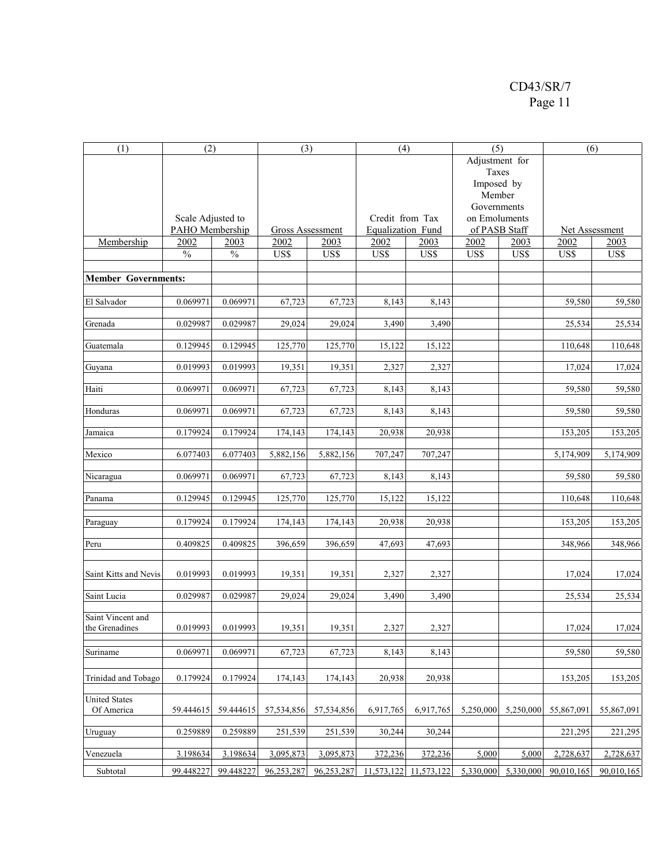| (1)                        | (2)               |           | (3)              |            | (4)               |                 | (5)            |           |                | (6)        |  |
|----------------------------|-------------------|-----------|------------------|------------|-------------------|-----------------|----------------|-----------|----------------|------------|--|
|                            |                   |           |                  |            |                   |                 | Adjustment for |           |                |            |  |
|                            |                   |           |                  |            |                   |                 | Taxes          |           |                |            |  |
|                            |                   |           |                  |            |                   |                 | Imposed by     |           |                |            |  |
|                            |                   |           |                  |            |                   |                 | Member         |           |                |            |  |
|                            |                   |           |                  |            |                   |                 | Governments    |           |                |            |  |
|                            | Scale Adjusted to |           |                  |            |                   | Credit from Tax | on Emoluments  |           |                |            |  |
|                            | PAHO Membership   |           | Gross Assessment |            | Equalization Fund |                 | of PASB Staff  |           | Net Assessment |            |  |
| Membership                 | 2002              | 2003      | 2002             | 2003       | 2002              | 2003            | 2002           | 2003      | 2002           | 2003       |  |
|                            | $\frac{0}{0}$     | $\%$      | US\$             | US\$       | US\$              | US\$            | US\$           | US\$      | US\$           | US\$       |  |
|                            |                   |           |                  |            |                   |                 |                |           |                |            |  |
| <b>Member Governments:</b> |                   |           |                  |            |                   |                 |                |           |                |            |  |
|                            |                   |           |                  |            |                   |                 |                |           |                |            |  |
| El Salvador                | 0.069971          | 0.069971  | 67,723           | 67,723     | 8,143             | 8,143           |                |           | 59,580         | 59,580     |  |
| Grenada                    | 0.029987          | 0.029987  | 29,024           | 29,024     | 3,490             | 3,490           |                |           |                |            |  |
|                            |                   |           |                  |            |                   |                 |                |           | 25,534         | 25,534     |  |
| Guatemala                  | 0.129945          | 0.129945  | 125,770          | 125,770    | 15,122            | 15,122          |                |           | 110,648        | 110,648    |  |
|                            |                   |           |                  |            |                   |                 |                |           |                |            |  |
| Guyana                     | 0.019993          | 0.019993  | 19,351           | 19,351     | 2,327             | 2,327           |                |           | 17,024         | 17,024     |  |
|                            |                   |           |                  |            |                   |                 |                |           |                |            |  |
| Haiti                      | 0.069971          | 0.069971  | 67,723           | 67,723     | 8,143             | 8,143           |                |           | 59,580         | 59,580     |  |
|                            |                   |           |                  |            |                   |                 |                |           |                |            |  |
| Honduras                   | 0.069971          | 0.069971  | 67,723           | 67,723     | 8,143             | 8,143           |                |           | 59,580         | 59,580     |  |
| Jamaica                    | 0.179924          | 0.179924  | 174,143          | 174,143    | 20,938            | 20,938          |                |           | 153,205        | 153,205    |  |
|                            |                   |           |                  |            |                   |                 |                |           |                |            |  |
| Mexico                     | 6.077403          | 6.077403  | 5,882,156        | 5,882,156  | 707,247           | 707,247         |                |           | 5,174,909      | 5,174,909  |  |
|                            |                   |           |                  |            |                   |                 |                |           |                |            |  |
| Nicaragua                  | 0.069971          | 0.069971  | 67,723           | 67,723     | 8,143             | 8,143           |                |           | 59,580         | 59,580     |  |
|                            |                   |           |                  |            |                   |                 |                |           |                |            |  |
| Panama                     | 0.129945          | 0.129945  | 125,770          | 125,770    | 15,122            | 15,122          |                |           | 110,648        | 110,648    |  |
|                            |                   |           |                  |            |                   |                 |                |           |                |            |  |
| Paraguay                   | 0.179924          | 0.179924  | 174,143          | 174,143    | 20,938            | 20,938          |                |           | 153,205        | 153,205    |  |
| Peru                       | 0.409825          | 0.409825  | 396,659          | 396,659    | 47,693            | 47,693          |                |           | 348,966        | 348,966    |  |
|                            |                   |           |                  |            |                   |                 |                |           |                |            |  |
|                            |                   |           |                  |            |                   |                 |                |           |                |            |  |
| Saint Kitts and Nevis      | 0.019993          | 0.019993  | 19,351           | 19,351     | 2,327             | 2,327           |                |           | 17,024         | 17,024     |  |
|                            |                   |           |                  |            |                   |                 |                |           |                |            |  |
| Saint Lucia                | 0.029987          | 0.029987  | 29,024           | 29,024     | 3,490             | 3,490           |                |           | 25,534         | 25,534     |  |
| Saint Vincent and          |                   |           |                  |            |                   |                 |                |           |                |            |  |
| the Grenadines             | 0.019993          | 0.019993  | 19,351           | 19,351     | 2,327             | 2,327           |                |           | 17,024         | 17,024     |  |
|                            |                   |           |                  |            |                   |                 |                |           |                |            |  |
| Suriname                   | 0.069971          | 0.069971  | 67,723           | 67,723     | 8,143             | 8,143           |                |           | 59,580         | 59,580     |  |
|                            |                   |           |                  |            |                   |                 |                |           |                |            |  |
| Trinidad and Tobago        | 0.179924          | 0.179924  | 174,143          | 174,143    | 20,938            | 20,938          |                |           | 153,205        | 153,205    |  |
|                            |                   |           |                  |            |                   |                 |                |           |                |            |  |
| <b>United States</b>       |                   |           |                  |            |                   |                 |                |           |                |            |  |
| Of America                 | 59.444615         | 59.444615 | 57,534,856       | 57,534,856 | 6,917,765         | 6,917,765       | 5,250,000      | 5,250,000 | 55.867.091     | 55,867,091 |  |
|                            |                   |           |                  |            |                   |                 |                |           |                |            |  |
| Uruguay                    | 0.259889          | 0.259889  | 251,539          | 251,539    | 30,244            | 30,244          |                |           | 221,295        | 221,295    |  |
|                            |                   |           |                  |            |                   |                 |                |           |                |            |  |
| Venezuela                  | 3.198634          | 3.198634  | 3,095,873        | 3,095,873  | 372,236           | 372,236         | 5,000          | 5,000     | 2,728,637      | 2,728,637  |  |
| Subtotal                   | 99.448227         | 99.448227 | 96,253,287       | 96,253,287 | 11,573,122        | 11,573,122      | 5.330.000      | 5,330,000 | 90,010,165     | 90,010,165 |  |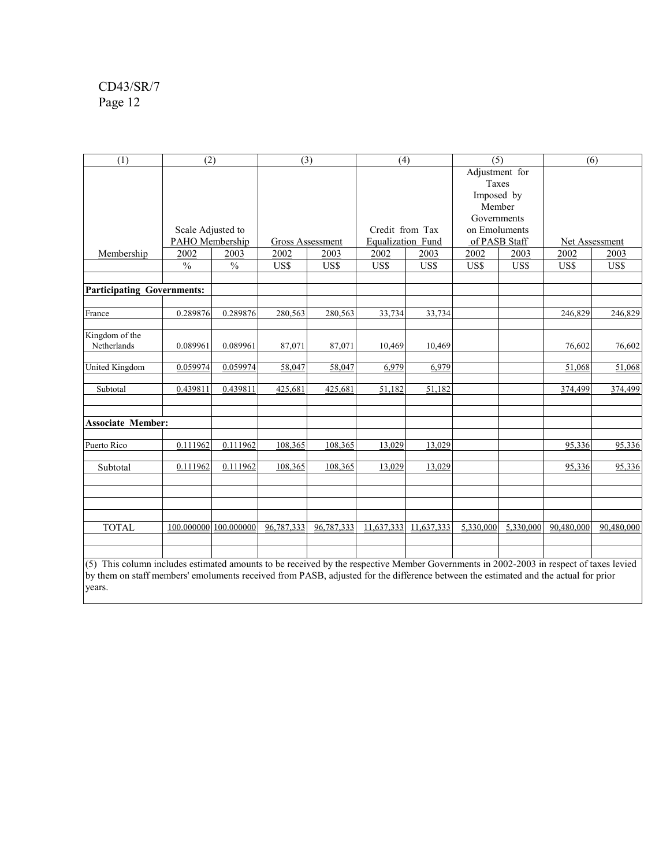| (1)                                                                                                                                                                                                                                                                           | (2)                    |               | (3)                     |            | (4)               |            | (5)            |           | (6)                   |            |
|-------------------------------------------------------------------------------------------------------------------------------------------------------------------------------------------------------------------------------------------------------------------------------|------------------------|---------------|-------------------------|------------|-------------------|------------|----------------|-----------|-----------------------|------------|
|                                                                                                                                                                                                                                                                               |                        |               |                         |            |                   |            | Adjustment for |           |                       |            |
|                                                                                                                                                                                                                                                                               |                        |               |                         |            |                   |            | Taxes          |           |                       |            |
|                                                                                                                                                                                                                                                                               |                        |               |                         |            |                   |            | Imposed by     |           |                       |            |
|                                                                                                                                                                                                                                                                               |                        |               |                         |            |                   |            | Member         |           |                       |            |
|                                                                                                                                                                                                                                                                               |                        |               |                         |            |                   |            | Governments    |           |                       |            |
|                                                                                                                                                                                                                                                                               | Scale Adjusted to      |               |                         |            | Credit from Tax   |            | on Emoluments  |           |                       |            |
|                                                                                                                                                                                                                                                                               | <b>PAHO</b> Membership |               | <b>Gross Assessment</b> |            | Equalization Fund |            | of PASB Staff  |           | <b>Net Assessment</b> |            |
| Membership                                                                                                                                                                                                                                                                    | 2002                   | 2003          | 2002                    | 2003       | 2002              | 2003       | 2002           | 2003      | 2002                  | 2003       |
|                                                                                                                                                                                                                                                                               | $\frac{0}{0}$          | $\frac{0}{0}$ | US\$                    | US\$       | US\$              | US\$       | US\$           | US\$      | US\$                  | US\$       |
|                                                                                                                                                                                                                                                                               |                        |               |                         |            |                   |            |                |           |                       |            |
| <b>Participating Governments:</b>                                                                                                                                                                                                                                             |                        |               |                         |            |                   |            |                |           |                       |            |
| France                                                                                                                                                                                                                                                                        | 0.289876               | 0.289876      | 280,563                 | 280,563    | 33,734            | 33,734     |                |           | 246,829               | 246,829    |
|                                                                                                                                                                                                                                                                               |                        |               |                         |            |                   |            |                |           |                       |            |
| Kingdom of the<br>Netherlands                                                                                                                                                                                                                                                 | 0.089961               | 0.089961      | 87,071                  | 87,071     | 10,469            | 10,469     |                |           | 76,602                | 76,602     |
|                                                                                                                                                                                                                                                                               |                        |               |                         |            |                   |            |                |           |                       |            |
| United Kingdom                                                                                                                                                                                                                                                                | 0.059974               | 0.059974      | 58,047                  | 58,047     | 6.979             | 6.979      |                |           | 51.068                | 51,068     |
| Subtotal                                                                                                                                                                                                                                                                      | 0.439811               | 0.439811      | 425,681                 | 425,681    | 51,182            | 51,182     |                |           | 374,499               | 374,499    |
| <b>Associate Member:</b>                                                                                                                                                                                                                                                      |                        |               |                         |            |                   |            |                |           |                       |            |
| Puerto Rico                                                                                                                                                                                                                                                                   | 0.111962               | 0.111962      | 108,365                 | 108,365    | 13,029            | 13,029     |                |           | 95,336                | 95,336     |
| Subtotal                                                                                                                                                                                                                                                                      | 0.111962               | 0.111962      | 108,365                 | 108,365    | 13,029            | 13,029     |                |           | 95,336                | 95,336     |
|                                                                                                                                                                                                                                                                               |                        |               |                         |            |                   |            |                |           |                       |            |
| <b>TOTAL</b>                                                                                                                                                                                                                                                                  | 100.000000             | 100.000000    | 96,787,333              | 96,787,333 | 11,637,333        | 11,637,333 | 5,330,000      | 5,330,000 | 90.480.000            | 90.480.000 |
| (5) This column includes estimated amounts to be received by the respective Member Governments in 2002-2003 in respect of taxes levied<br>by them on staff members' emoluments received from PASB, adjusted for the difference between the estimated and the actual for prior |                        |               |                         |            |                   |            |                |           |                       |            |

 $y$  are  $y$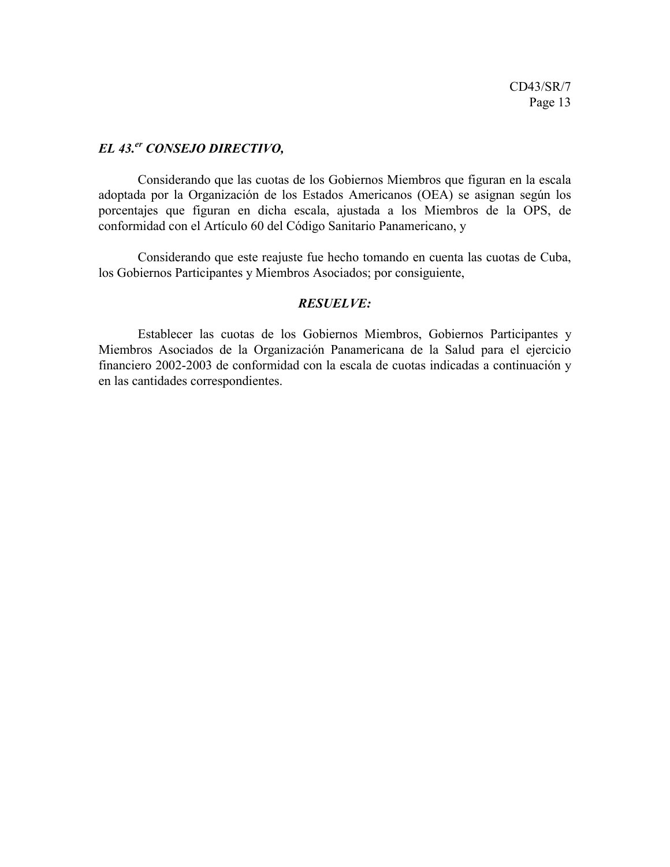### *EL 43.er CONSEJO DIRECTIVO,*

Considerando que las cuotas de los Gobiernos Miembros que figuran en la escala adoptada por la Organización de los Estados Americanos (OEA) se asignan según los porcentajes que figuran en dicha escala, ajustada a los Miembros de la OPS, de conformidad con el Artículo 60 del Código Sanitario Panamericano, y

Considerando que este reajuste fue hecho tomando en cuenta las cuotas de Cuba, los Gobiernos Participantes y Miembros Asociados; por consiguiente,

#### *RESUELVE:*

Establecer las cuotas de los Gobiernos Miembros, Gobiernos Participantes y Miembros Asociados de la Organización Panamericana de la Salud para el ejercicio financiero 2002-2003 de conformidad con la escala de cuotas indicadas a continuación y en las cantidades correspondientes.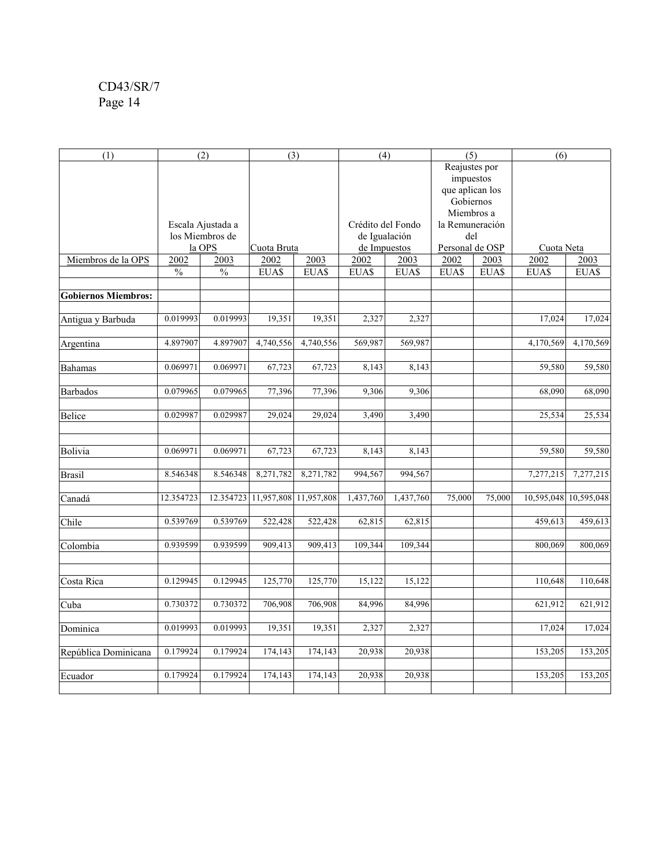| (1)                        |               | (2)               | (3)                             |           | (4)               |           | (5)             |        | (6)        |                       |
|----------------------------|---------------|-------------------|---------------------------------|-----------|-------------------|-----------|-----------------|--------|------------|-----------------------|
|                            |               |                   |                                 |           |                   |           | Reajustes por   |        |            |                       |
|                            |               |                   |                                 |           |                   |           | impuestos       |        |            |                       |
|                            |               |                   |                                 |           |                   |           | que aplican los |        |            |                       |
|                            |               |                   |                                 |           |                   |           | Gobiernos       |        |            |                       |
|                            |               |                   |                                 |           |                   |           | Miembros a      |        |            |                       |
|                            |               | Escala Ajustada a |                                 |           | Crédito del Fondo |           | la Remuneración |        |            |                       |
|                            |               | los Miembros de   |                                 |           | de Igualación     |           | del             |        |            |                       |
|                            |               | la OPS            | Cuota Bruta                     |           | de Impuestos      |           | Personal de OSP |        | Cuota Neta |                       |
| Miembros de la OPS         | 2002          | 2003              | 2002                            | 2003      | 2002              | 2003      | 2002            | 2003   | 2002       | 2003                  |
|                            | $\frac{0}{0}$ | $\frac{0}{0}$     | EUA\$                           | EUA\$     | EUA\$             | EUA\$     | EUA\$           | EUA\$  | EUA\$      | EUA\$                 |
|                            |               |                   |                                 |           |                   |           |                 |        |            |                       |
| <b>Gobiernos Miembros:</b> |               |                   |                                 |           |                   |           |                 |        |            |                       |
| Antigua y Barbuda          | 0.019993      | 0.019993          | 19,351                          | 19,351    | 2,327             | 2,327     |                 |        | 17,024     | 17,024                |
|                            |               |                   |                                 |           |                   |           |                 |        |            |                       |
| Argentina                  | 4.897907      | 4.897907          | 4,740,556                       | 4,740,556 | 569,987           | 569,987   |                 |        | 4,170,569  | 4,170,569             |
|                            |               |                   |                                 |           |                   |           |                 |        |            |                       |
| <b>Bahamas</b>             | 0.069971      | 0.069971          | 67,723                          | 67,723    | 8,143             | 8,143     |                 |        | 59,580     | 59,580                |
|                            |               |                   |                                 |           |                   |           |                 |        |            |                       |
| <b>Barbados</b>            | 0.079965      | 0.079965          | 77,396                          | 77,396    | 9,306             | 9,306     |                 |        | 68,090     | 68,090                |
|                            |               |                   |                                 |           |                   |           |                 |        |            |                       |
| <b>Belice</b>              | 0.029987      | 0.029987          | 29,024                          | 29,024    | 3,490             | 3,490     |                 |        | 25,534     | 25,534                |
|                            |               |                   |                                 |           |                   |           |                 |        |            |                       |
|                            |               |                   |                                 |           |                   |           |                 |        |            |                       |
| Bolivia                    | 0.069971      | 0.069971          | 67,723                          | 67,723    | 8,143             | 8,143     |                 |        | 59,580     | 59,580                |
|                            |               |                   |                                 |           |                   |           |                 |        |            |                       |
| <b>Brasil</b>              | 8.546348      | 8.546348          | 8,271,782                       | 8,271,782 | 994,567           | 994,567   |                 |        | 7,277,215  | 7,277,215             |
|                            | 12.354723     |                   | 12.354723 11,957,808 11,957,808 |           | 1,437,760         | 1,437,760 | 75,000          | 75,000 |            | 10,595,048 10,595,048 |
| Canadá                     |               |                   |                                 |           |                   |           |                 |        |            |                       |
| Chile                      | 0.539769      | 0.539769          | 522,428                         | 522,428   | 62,815            | 62,815    |                 |        | 459,613    | 459,613               |
|                            |               |                   |                                 |           |                   |           |                 |        |            |                       |
| Colombia                   | 0.939599      | 0.939599          | 909,413                         | 909,413   | 109,344           | 109,344   |                 |        | 800,069    | 800,069               |
|                            |               |                   |                                 |           |                   |           |                 |        |            |                       |
|                            |               |                   |                                 |           |                   |           |                 |        |            |                       |
| Costa Rica                 | 0.129945      | 0.129945          | 125,770                         | 125,770   | 15,122            | 15,122    |                 |        | 110,648    | 110,648               |
|                            |               |                   |                                 |           |                   |           |                 |        |            |                       |
| Cuba                       | 0.730372      | 0.730372          | 706,908                         | 706,908   | 84,996            | 84,996    |                 |        | 621,912    | 621,912               |
|                            |               |                   |                                 |           |                   |           |                 |        |            |                       |
| Dominica                   | 0.019993      | 0.019993          | 19,351                          | 19,351    | 2,327             | 2,327     |                 |        | 17,024     | 17,024                |
|                            |               |                   |                                 |           |                   |           |                 |        |            |                       |
| República Dominicana       | 0.179924      | 0.179924          | 174,143                         | 174,143   | 20,938            | 20,938    |                 |        | 153,205    | 153,205               |
|                            |               |                   |                                 |           |                   |           |                 |        |            |                       |
| Ecuador                    | 0.179924      | 0.179924          | 174,143                         | 174,143   | 20,938            | 20,938    |                 |        | 153,205    | 153,205               |
|                            |               |                   |                                 |           |                   |           |                 |        |            |                       |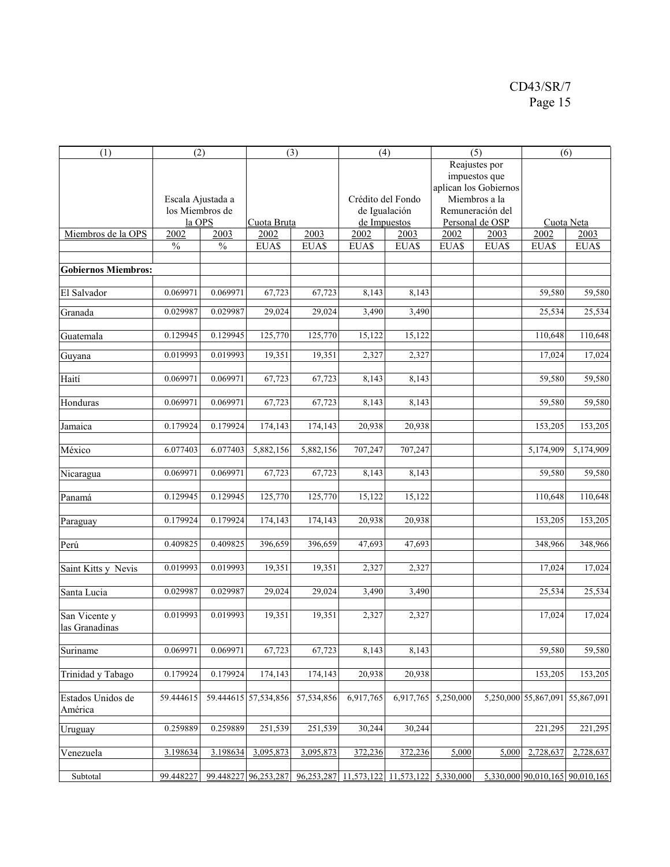| (1)                        | (2)               |           |                      | (3)        | (4)               |               |                     | (5)                   | (6)                             |            |
|----------------------------|-------------------|-----------|----------------------|------------|-------------------|---------------|---------------------|-----------------------|---------------------------------|------------|
|                            |                   |           |                      |            |                   |               |                     | Reajustes por         |                                 |            |
|                            |                   |           |                      |            |                   |               |                     | impuestos que         |                                 |            |
|                            |                   |           |                      |            |                   |               |                     | aplican los Gobiernos |                                 |            |
|                            | Escala Ajustada a |           |                      |            | Crédito del Fondo |               |                     | Miembros a la         |                                 |            |
|                            | los Miembros de   |           |                      |            |                   | de Igualación |                     | Remuneración del      |                                 |            |
|                            | la OPS            |           | Cuota Bruta          |            |                   | de Impuestos  |                     | Personal de OSP       | Cuota Neta                      |            |
| Miembros de la OPS         | 2002              | 2003      | 2002                 | 2003       | 2002              | 2003          | 2002                | 2003                  | 2002                            | 2003       |
|                            | $\frac{0}{0}$     | $\%$      | EUA\$                | EUA\$      | EUA\$             | EUA\$         | EUA\$               | EUA\$                 | EUA\$                           | EUA\$      |
|                            |                   |           |                      |            |                   |               |                     |                       |                                 |            |
|                            |                   |           |                      |            |                   |               |                     |                       |                                 |            |
| <b>Gobiernos Miembros:</b> |                   |           |                      |            |                   |               |                     |                       |                                 |            |
|                            |                   |           |                      |            |                   |               |                     |                       |                                 |            |
| El Salvador                | 0.069971          | 0.069971  | 67,723               | 67,723     | 8,143             | 8,143         |                     |                       | 59,580                          | 59,580     |
|                            | 0.029987          | 0.029987  | 29,024               | 29,024     |                   |               |                     |                       | 25,534                          | 25,534     |
| Granada                    |                   |           |                      |            | 3,490             | 3,490         |                     |                       |                                 |            |
|                            |                   |           |                      |            |                   |               |                     |                       |                                 |            |
| Guatemala                  | 0.129945          | 0.129945  | 125,770              | 125,770    | 15,122            | 15,122        |                     |                       | 110,648                         | 110,648    |
|                            | 0.019993          | 0.019993  | 19,351               | 19,351     | 2,327             | 2,327         |                     |                       | 17,024                          | 17,024     |
| Guyana                     |                   |           |                      |            |                   |               |                     |                       |                                 |            |
|                            |                   |           |                      |            |                   |               |                     |                       |                                 |            |
| Haití                      | 0.069971          | 0.069971  | 67,723               | 67,723     | 8,143             | 8,143         |                     |                       | 59,580                          | 59,580     |
|                            |                   |           |                      |            |                   |               |                     |                       |                                 |            |
| Honduras                   | 0.069971          | 0.069971  | 67,723               | 67,723     | 8,143             | 8,143         |                     |                       | 59,580                          | 59,580     |
|                            |                   |           |                      |            |                   |               |                     |                       |                                 |            |
| Jamaica                    | 0.179924          | 0.179924  | 174,143              | 174,143    | 20,938            | 20,938        |                     |                       | 153,205                         | 153,205    |
|                            |                   |           |                      |            |                   |               |                     |                       |                                 |            |
| México                     | 6.077403          | 6.077403  | 5,882,156            | 5,882,156  | 707,247           | 707,247       |                     |                       | 5,174,909                       | 5,174,909  |
|                            |                   |           |                      |            |                   |               |                     |                       |                                 |            |
|                            | 0.069971          | 0.069971  | 67,723               | 67,723     | 8,143             | 8,143         |                     |                       | 59,580                          | 59,580     |
| Nicaragua                  |                   |           |                      |            |                   |               |                     |                       |                                 |            |
|                            |                   |           |                      |            |                   |               |                     |                       |                                 |            |
| Panamá                     | 0.129945          | 0.129945  | 125,770              | 125,770    | 15,122            | 15,122        |                     |                       | 110,648                         | 110,648    |
|                            |                   |           |                      |            |                   |               |                     |                       |                                 |            |
| Paraguay                   | 0.179924          | 0.179924  | 174,143              | 174,143    | 20,938            | 20,938        |                     |                       | 153,205                         | 153,205    |
|                            |                   |           |                      |            |                   |               |                     |                       |                                 |            |
| Perú                       | 0.409825          | 0.409825  | 396,659              | 396,659    | 47,693            | 47,693        |                     |                       | 348,966                         | 348,966    |
|                            |                   |           |                      |            |                   |               |                     |                       |                                 |            |
| Saint Kitts y Nevis        | 0.019993          | 0.019993  | 19,351               | 19,351     | 2,327             | 2,327         |                     |                       | 17,024                          | 17,024     |
|                            |                   |           |                      |            |                   |               |                     |                       |                                 |            |
| Santa Lucia                | 0.029987          | 0.029987  | 29,024               | 29,024     | 3,490             | 3,490         |                     |                       | 25,534                          | 25,534     |
|                            |                   |           |                      |            |                   |               |                     |                       |                                 |            |
| San Vicente y              | 0.019993          | 0.019993  | 19,351               | 19,351     | 2,327             | 2,327         |                     |                       | 17,024                          | 17,024     |
|                            |                   |           |                      |            |                   |               |                     |                       |                                 |            |
| las Granadinas             |                   |           |                      |            |                   |               |                     |                       |                                 |            |
|                            |                   |           |                      |            |                   |               |                     |                       |                                 |            |
| Suriname                   | 0.069971          | 0.069971  | 67,723               | 67,723     | 8,143             | 8,143         |                     |                       | 59,580                          | 59,580     |
|                            |                   |           |                      |            |                   |               |                     |                       |                                 |            |
| Trinidad y Tabago          | 0.179924          | 0.179924  | 174,143              | 174,143    | 20,938            | 20,938        |                     |                       | 153,205                         | 153,205    |
|                            |                   |           |                      |            |                   |               |                     |                       |                                 |            |
| Estados Unidos de          | 59.444615         |           | 59.444615 57,534,856 | 57,534,856 | 6,917,765         |               | 6,917,765 5,250,000 |                       | 5,250,000 55,867,091            | 55,867,091 |
| América                    |                   |           |                      |            |                   |               |                     |                       |                                 |            |
|                            |                   |           |                      |            |                   |               |                     |                       |                                 |            |
| Uruguay                    | 0.259889          | 0.259889  | 251,539              | 251,539    | 30,244            | 30,244        |                     |                       | 221,295                         | 221,295    |
|                            |                   |           |                      |            |                   |               |                     |                       |                                 |            |
| Venezuela                  | 3.198634          | 3.198634  | 3,095,873            | 3,095,873  | 372,236           | 372,236       | 5,000               | 5,000                 | 2,728,637                       | 2,728,637  |
|                            |                   |           |                      |            |                   |               |                     |                       |                                 |            |
| Subtotal                   | 99.448227         | 99.448227 | 96,253,287           | 96,253,287 | 11,573,122        | 11,573,122    | 5,330,000           |                       | 5,330,000 90,010,165 90,010,165 |            |
|                            |                   |           |                      |            |                   |               |                     |                       |                                 |            |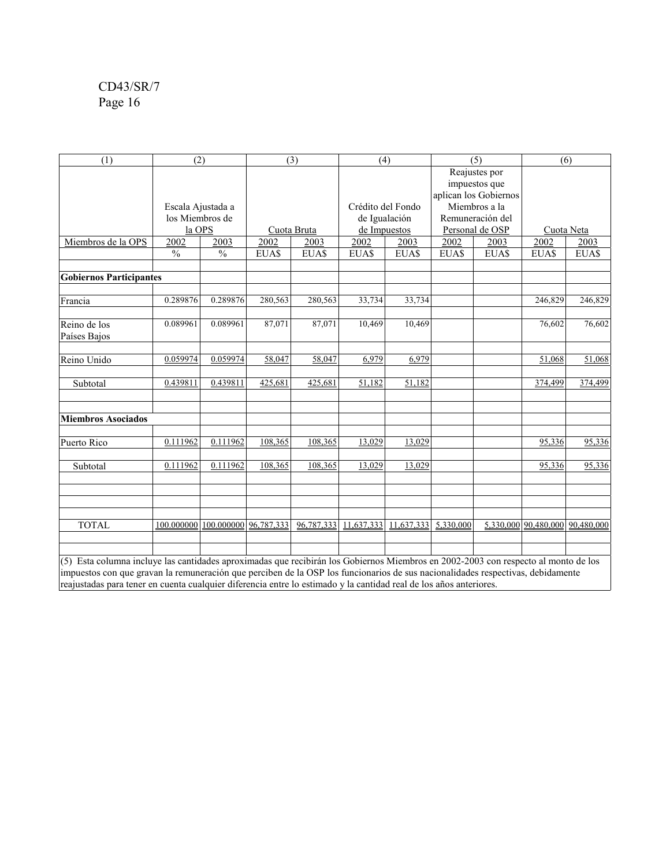| (1)                                                                                                                | (2)                                                                                                                                                                                                                                                                   |                       |         | (3)         | (4)               |              |                                        | (5)                            | (6)                  |             |
|--------------------------------------------------------------------------------------------------------------------|-----------------------------------------------------------------------------------------------------------------------------------------------------------------------------------------------------------------------------------------------------------------------|-----------------------|---------|-------------|-------------------|--------------|----------------------------------------|--------------------------------|----------------------|-------------|
|                                                                                                                    |                                                                                                                                                                                                                                                                       |                       |         |             |                   |              |                                        | Reajustes por<br>impuestos que |                      |             |
|                                                                                                                    | Escala Ajustada a                                                                                                                                                                                                                                                     |                       |         |             | Crédito del Fondo |              | aplican los Gobiernos<br>Miembros a la |                                |                      |             |
|                                                                                                                    | los Miembros de                                                                                                                                                                                                                                                       |                       |         |             | de Igualación     |              |                                        | Remuneración del               |                      |             |
|                                                                                                                    | la OPS                                                                                                                                                                                                                                                                |                       |         | Cuota Bruta |                   | de Impuestos |                                        | Personal de OSP                | Cuota Neta           |             |
| Miembros de la OPS                                                                                                 | 2002                                                                                                                                                                                                                                                                  | 2003                  | 2002    | 2003        | 2002              | 2003         | 2002                                   | 2003                           | 2002                 | 2003        |
|                                                                                                                    | $\frac{0}{0}$                                                                                                                                                                                                                                                         | $\frac{0}{0}$         | EUA\$   | EUA\$       | EUA\$             | EUA\$        | EUA\$                                  | EUA\$                          | EUA\$                | <b>EUAS</b> |
| <b>Gobiernos Participantes</b>                                                                                     |                                                                                                                                                                                                                                                                       |                       |         |             |                   |              |                                        |                                |                      |             |
|                                                                                                                    |                                                                                                                                                                                                                                                                       |                       |         |             |                   |              |                                        |                                |                      |             |
| Francia                                                                                                            | 0.289876                                                                                                                                                                                                                                                              | 0.289876              | 280,563 | 280,563     | 33,734            | 33,734       |                                        |                                | 246,829              | 246,829     |
| Reino de los<br>Países Bajos                                                                                       | 0.089961                                                                                                                                                                                                                                                              | 0.089961              | 87,071  | 87,071      | 10,469            | 10,469       |                                        |                                | 76,602               | 76,602      |
| Reino Unido                                                                                                        | 0.059974                                                                                                                                                                                                                                                              | 0.059974              | 58,047  | 58,047      | 6,979             | 6,979        |                                        |                                | 51,068               | 51,068      |
| Subtotal                                                                                                           | 0.439811                                                                                                                                                                                                                                                              | 0.439811              | 425,681 | 425,681     | 51,182            | 51,182       |                                        |                                | 374,499              | 374,499     |
|                                                                                                                    |                                                                                                                                                                                                                                                                       |                       |         |             |                   |              |                                        |                                |                      |             |
| <b>Miembros Asociados</b>                                                                                          |                                                                                                                                                                                                                                                                       |                       |         |             |                   |              |                                        |                                |                      |             |
| Puerto Rico                                                                                                        | 0.111962                                                                                                                                                                                                                                                              | 0.111962              | 108,365 | 108,365     | 13,029            | 13,029       |                                        |                                | 95,336               | 95,336      |
| Subtotal                                                                                                           | 0.111962                                                                                                                                                                                                                                                              | 0.111962              | 108,365 | 108,365     | 13,029            | 13,029       |                                        |                                | 95,336               | 95,336      |
|                                                                                                                    |                                                                                                                                                                                                                                                                       |                       |         |             |                   |              |                                        |                                |                      |             |
| <b>TOTAL</b>                                                                                                       | 100.000000                                                                                                                                                                                                                                                            | 100.000000 96,787,333 |         | 96,787,333  | 11,637,333        | 11,637,333   | 5,330,000                              |                                | 5.330.000 90.480.000 | 90.480.000  |
| reajustadas para tener en cuenta cualquier diferencia entre lo estimado y la cantidad real de los años anteriores. | (5) Esta columna incluye las cantidades aproximadas que recibirán los Gobiernos Miembros en 2002-2003 con respecto al monto de los<br>impuestos con que gravan la remuneración que perciben de la OSP los funcionarios de sus nacionalidades respectivas, debidamente |                       |         |             |                   |              |                                        |                                |                      |             |
|                                                                                                                    |                                                                                                                                                                                                                                                                       |                       |         |             |                   |              |                                        |                                |                      |             |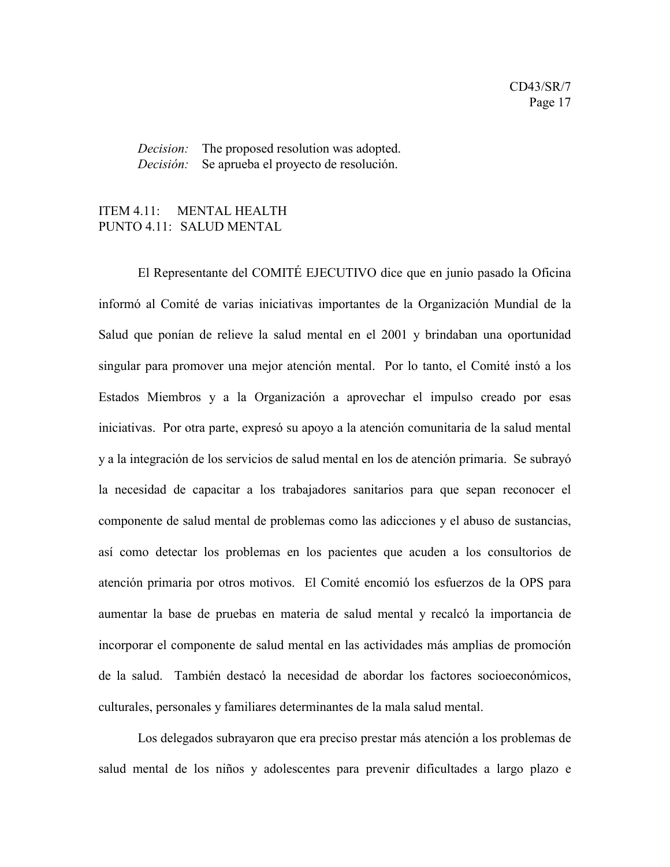*Decision:* The proposed resolution was adopted. *Decisión:* Se aprueba el proyecto de resolución.

### ITEM 4.11: MENTAL HEALTH PUNTO 4.11: SALUD MENTAL

El Representante del COMITÉ EJECUTIVO dice que en junio pasado la Oficina informó al Comité de varias iniciativas importantes de la Organización Mundial de la Salud que ponían de relieve la salud mental en el 2001 y brindaban una oportunidad singular para promover una mejor atención mental. Por lo tanto, el Comité instó a los Estados Miembros y a la Organización a aprovechar el impulso creado por esas iniciativas. Por otra parte, expresó su apoyo a la atención comunitaria de la salud mental y a la integración de los servicios de salud mental en los de atención primaria. Se subrayó la necesidad de capacitar a los trabajadores sanitarios para que sepan reconocer el componente de salud mental de problemas como las adicciones y el abuso de sustancias, así como detectar los problemas en los pacientes que acuden a los consultorios de atención primaria por otros motivos. El Comité encomió los esfuerzos de la OPS para aumentar la base de pruebas en materia de salud mental y recalcó la importancia de incorporar el componente de salud mental en las actividades más amplias de promoción de la salud. También destacó la necesidad de abordar los factores socioeconómicos, culturales, personales y familiares determinantes de la mala salud mental.

Los delegados subrayaron que era preciso prestar más atención a los problemas de salud mental de los niños y adolescentes para prevenir dificultades a largo plazo e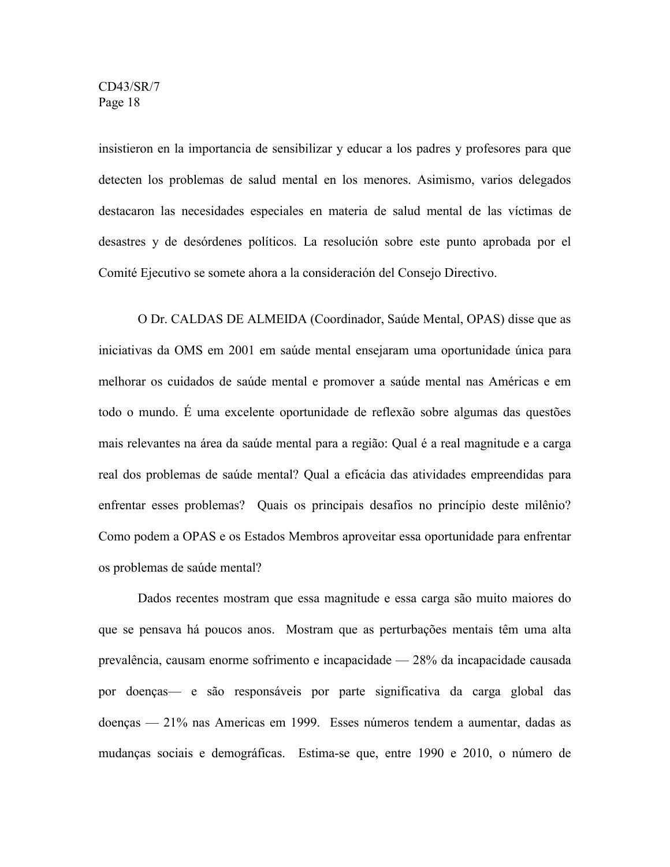insistieron en la importancia de sensibilizar y educar a los padres y profesores para que detecten los problemas de salud mental en los menores. Asimismo, varios delegados destacaron las necesidades especiales en materia de salud mental de las víctimas de desastres y de desórdenes políticos. La resolución sobre este punto aprobada por el Comité Ejecutivo se somete ahora a la consideración del Consejo Directivo.

O Dr. CALDAS DE ALMEIDA (Coordinador, Saúde Mental, OPAS) disse que as iniciativas da OMS em 2001 em saúde mental ensejaram uma oportunidade única para melhorar os cuidados de saúde mental e promover a saúde mental nas Américas e em todo o mundo. É uma excelente oportunidade de reflexão sobre algumas das questões mais relevantes na área da saúde mental para a região: Qual é a real magnitude e a carga real dos problemas de saúde mental? Qual a eficácia das atividades empreendidas para enfrentar esses problemas? Quais os principais desafios no princípio deste milênio? Como podem a OPAS e os Estados Membros aproveitar essa oportunidade para enfrentar os problemas de saúde mental?

Dados recentes mostram que essa magnitude e essa carga são muito maiores do que se pensava há poucos anos. Mostram que as perturbações mentais têm uma alta prevalência, causam enorme sofrimento e incapacidade — 28% da incapacidade causada por doenças— e são responsáveis por parte significativa da carga global das doenças — 21% nas Americas em 1999. Esses números tendem a aumentar, dadas as mudanças sociais e demográficas. Estima-se que, entre 1990 e 2010, o número de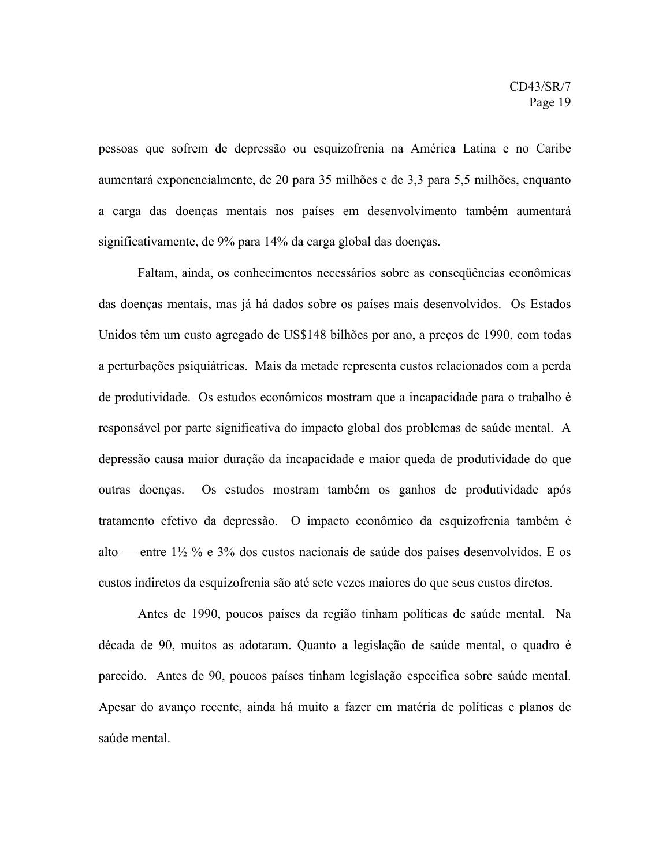pessoas que sofrem de depressão ou esquizofrenia na América Latina e no Caribe aumentará exponencialmente, de 20 para 35 milhões e de 3,3 para 5,5 milhões, enquanto a carga das doenças mentais nos países em desenvolvimento também aumentará significativamente, de 9% para 14% da carga global das doenças.

Faltam, ainda, os conhecimentos necessários sobre as conseqüências econômicas das doenças mentais, mas já há dados sobre os países mais desenvolvidos. Os Estados Unidos têm um custo agregado de US\$148 bilhões por ano, a preços de 1990, com todas a perturbações psiquiátricas. Mais da metade representa custos relacionados com a perda de produtividade. Os estudos econômicos mostram que a incapacidade para o trabalho é responsável por parte significativa do impacto global dos problemas de saúde mental. A depressão causa maior duração da incapacidade e maior queda de produtividade do que outras doenças. Os estudos mostram também os ganhos de produtividade após tratamento efetivo da depressão. O impacto econômico da esquizofrenia também é alto — entre 1½ % e 3% dos custos nacionais de saúde dos países desenvolvidos. E os custos indiretos da esquizofrenia são até sete vezes maiores do que seus custos diretos.

Antes de 1990, poucos países da região tinham políticas de saúde mental. Na década de 90, muitos as adotaram. Quanto a legislação de saúde mental, o quadro é parecido. Antes de 90, poucos países tinham legislação especifica sobre saúde mental. Apesar do avanço recente, ainda há muito a fazer em matéria de políticas e planos de saúde mental.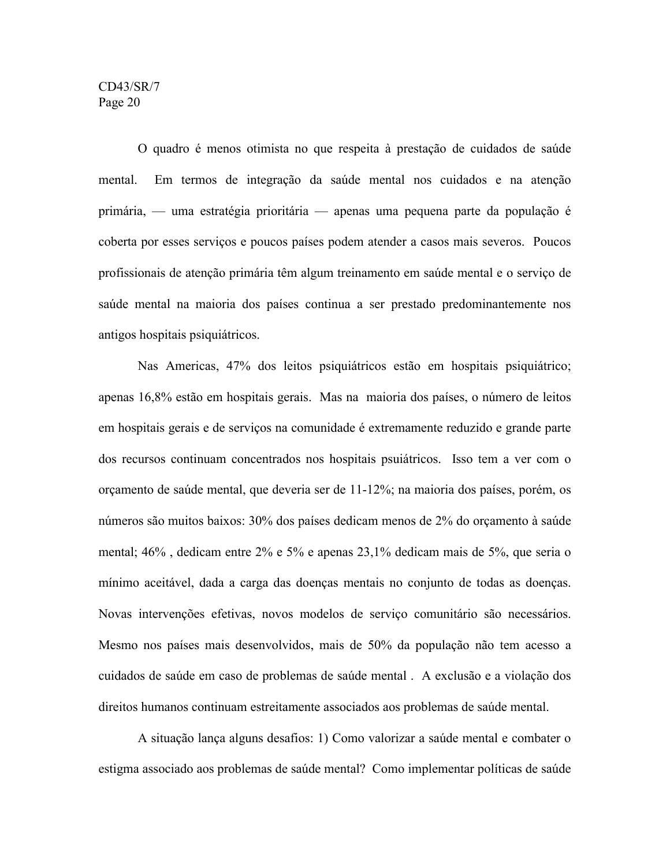O quadro é menos otimista no que respeita à prestação de cuidados de saúde mental. Em termos de integração da saúde mental nos cuidados e na atenção primária, — uma estratégia prioritária — apenas uma pequena parte da população é coberta por esses serviços e poucos países podem atender a casos mais severos. Poucos profissionais de atenção primária têm algum treinamento em saúde mental e o serviço de saúde mental na maioria dos países continua a ser prestado predominantemente nos antigos hospitais psiquiátricos.

Nas Americas, 47% dos leitos psiquiátricos estão em hospitais psiquiátrico; apenas 16,8% estão em hospitais gerais. Mas na maioria dos países, o número de leitos em hospitais gerais e de serviços na comunidade é extremamente reduzido e grande parte dos recursos continuam concentrados nos hospitais psuiátricos. Isso tem a ver com o orçamento de saúde mental, que deveria ser de 11-12%; na maioria dos países, porém, os números são muitos baixos: 30% dos países dedicam menos de 2% do orçamento à saúde mental; 46% , dedicam entre 2% e 5% e apenas 23,1% dedicam mais de 5%, que seria o mínimo aceitável, dada a carga das doenças mentais no conjunto de todas as doenças. Novas intervenções efetivas, novos modelos de serviço comunitário são necessários. Mesmo nos países mais desenvolvidos, mais de 50% da população não tem acesso a cuidados de saúde em caso de problemas de saúde mental . A exclusão e a violação dos direitos humanos continuam estreitamente associados aos problemas de saúde mental.

A situação lança alguns desafios: 1) Como valorizar a saúde mental e combater o estigma associado aos problemas de saúde mental? Como implementar políticas de saúde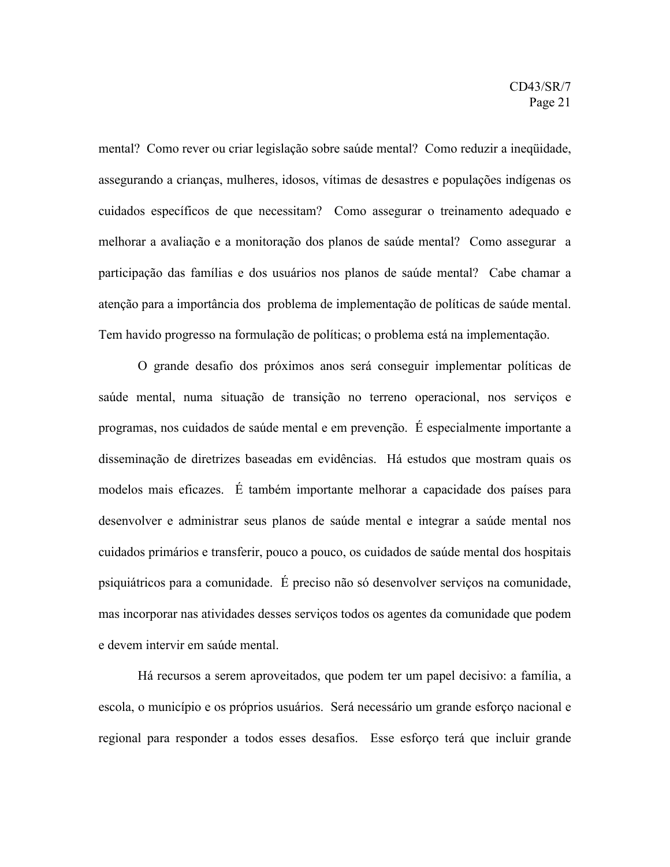mental? Como rever ou criar legislação sobre saúde mental? Como reduzir a ineqüidade, assegurando a crianças, mulheres, idosos, vítimas de desastres e populações indígenas os cuidados específicos de que necessitam? Como assegurar o treinamento adequado e melhorar a avaliação e a monitoração dos planos de saúde mental? Como assegurar a participação das famílias e dos usuários nos planos de saúde mental? Cabe chamar a atenção para a importância dos problema de implementação de políticas de saúde mental. Tem havido progresso na formulação de políticas; o problema está na implementação.

O grande desafio dos próximos anos será conseguir implementar políticas de saúde mental, numa situação de transição no terreno operacional, nos serviços e programas, nos cuidados de saúde mental e em prevenção. É especialmente importante a disseminação de diretrizes baseadas em evidências. Há estudos que mostram quais os modelos mais eficazes. É também importante melhorar a capacidade dos países para desenvolver e administrar seus planos de saúde mental e integrar a saúde mental nos cuidados primários e transferir, pouco a pouco, os cuidados de saúde mental dos hospitais psiquiátricos para a comunidade. É preciso não só desenvolver serviços na comunidade, mas incorporar nas atividades desses serviços todos os agentes da comunidade que podem e devem intervir em saúde mental.

Há recursos a serem aproveitados, que podem ter um papel decisivo: a família, a escola, o município e os próprios usuários. Será necessário um grande esforço nacional e regional para responder a todos esses desafios. Esse esforço terá que incluir grande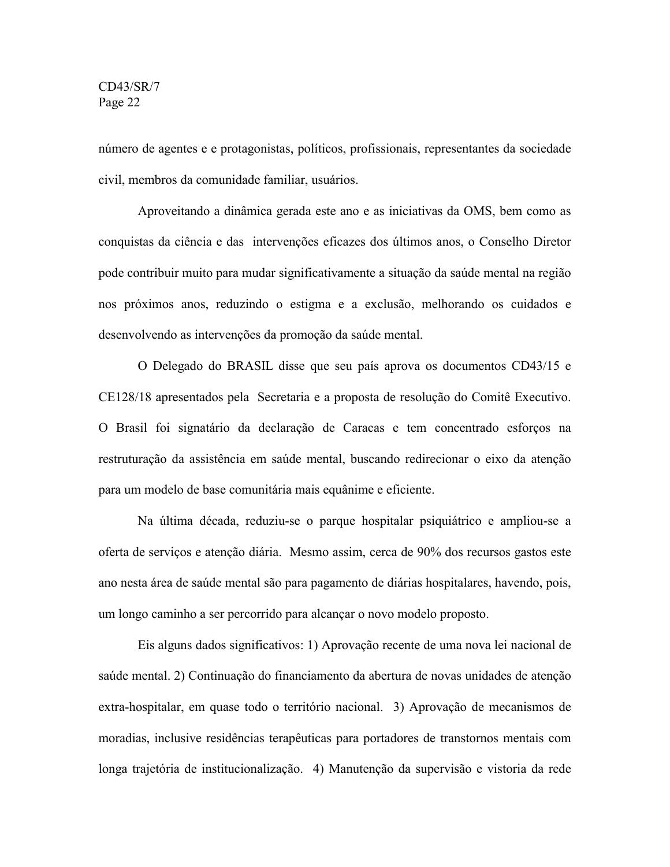número de agentes e e protagonistas, políticos, profissionais, representantes da sociedade civil, membros da comunidade familiar, usuários.

Aproveitando a dinâmica gerada este ano e as iniciativas da OMS, bem como as conquistas da ciência e das intervenções eficazes dos últimos anos, o Conselho Diretor pode contribuir muito para mudar significativamente a situação da saúde mental na região nos próximos anos, reduzindo o estigma e a exclusão, melhorando os cuidados e desenvolvendo as intervenções da promoção da saúde mental.

O Delegado do BRASIL disse que seu país aprova os documentos CD43/15 e CE128/18 apresentados pela Secretaria e a proposta de resolução do Comitê Executivo. O Brasil foi signatário da declaração de Caracas e tem concentrado esforços na restruturação da assistência em saúde mental, buscando redirecionar o eixo da atenção para um modelo de base comunitária mais equânime e eficiente.

Na última década, reduziu-se o parque hospitalar psiquiátrico e ampliou-se a oferta de serviços e atenção diária. Mesmo assim, cerca de 90% dos recursos gastos este ano nesta área de saúde mental são para pagamento de diárias hospitalares, havendo, pois, um longo caminho a ser percorrido para alcançar o novo modelo proposto.

Eis alguns dados significativos: 1) Aprovação recente de uma nova lei nacional de saúde mental. 2) Continuação do financiamento da abertura de novas unidades de atenção extra-hospitalar, em quase todo o território nacional. 3) Aprovação de mecanismos de moradias, inclusive residências terapêuticas para portadores de transtornos mentais com longa trajetória de institucionalização. 4) Manutenção da supervisão e vistoria da rede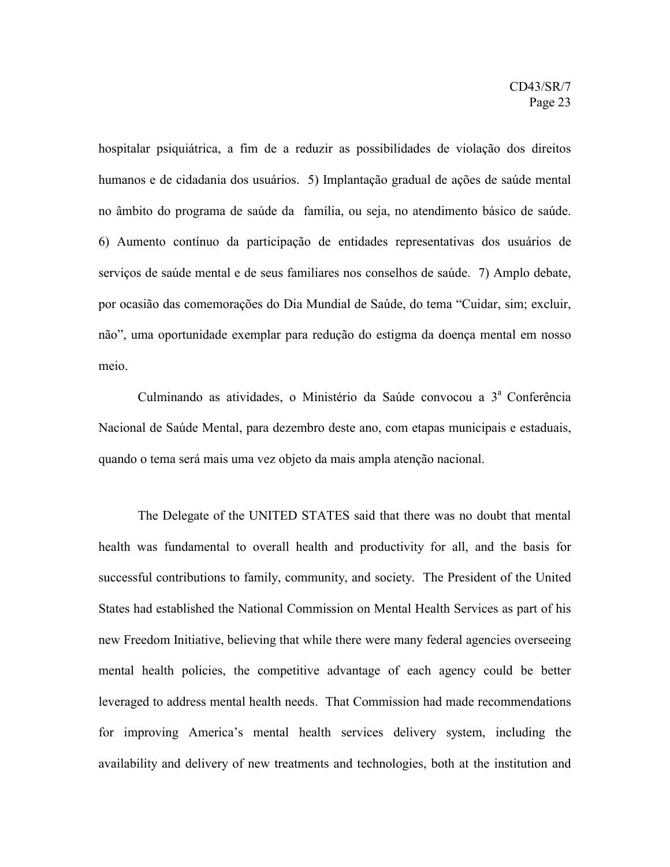hospitalar psiquiátrica, a fim de a reduzir as possibilidades de violação dos direitos humanos e de cidadania dos usuários. 5) Implantação gradual de ações de saúde mental no âmbito do programa de saúde da família, ou seja, no atendimento básico de saúde. 6) Aumento contínuo da participação de entidades representativas dos usuários de serviços de saúde mental e de seus familiares nos conselhos de saúde. 7) Amplo debate, por ocasião das comemorações do Dia Mundial de Saúde, do tema "Cuidar, sim; excluir, não", uma oportunidade exemplar para redução do estigma da doença mental em nosso meio.

Culminando as atividades, o Ministério da Saúde convocou a 3ª Conferência Nacional de Saúde Mental, para dezembro deste ano, com etapas municipais e estaduais, quando o tema será mais uma vez objeto da mais ampla atenção nacional.

The Delegate of the UNITED STATES said that there was no doubt that mental health was fundamental to overall health and productivity for all, and the basis for successful contributions to family, community, and society. The President of the United States had established the National Commission on Mental Health Services as part of his new Freedom Initiative, believing that while there were many federal agencies overseeing mental health policies, the competitive advantage of each agency could be better leveraged to address mental health needs. That Commission had made recommendations for improving America's mental health services delivery system, including the availability and delivery of new treatments and technologies, both at the institution and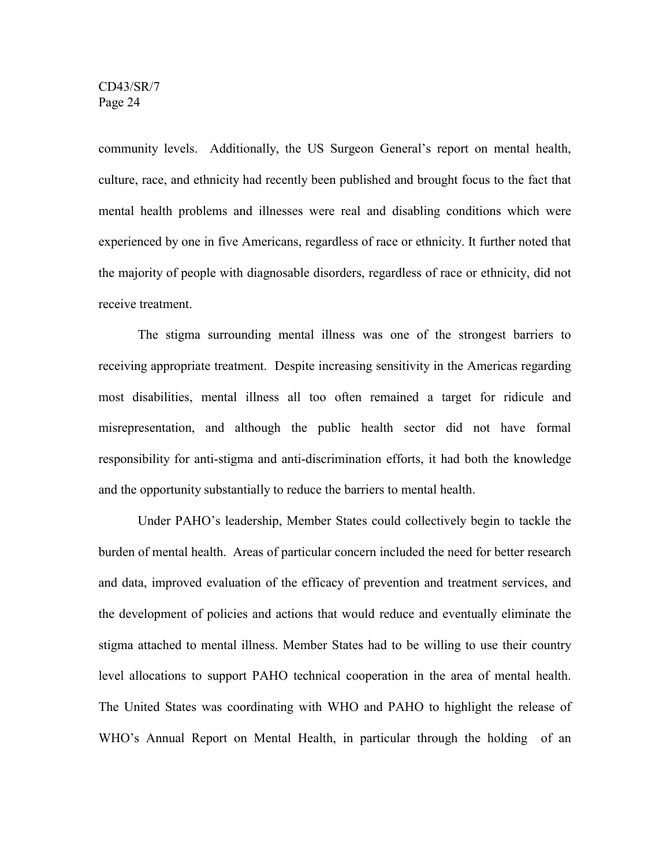community levels. Additionally, the US Surgeon General's report on mental health, culture, race, and ethnicity had recently been published and brought focus to the fact that mental health problems and illnesses were real and disabling conditions which were experienced by one in five Americans, regardless of race or ethnicity. It further noted that the majority of people with diagnosable disorders, regardless of race or ethnicity, did not receive treatment.

The stigma surrounding mental illness was one of the strongest barriers to receiving appropriate treatment. Despite increasing sensitivity in the Americas regarding most disabilities, mental illness all too often remained a target for ridicule and misrepresentation, and although the public health sector did not have formal responsibility for anti-stigma and anti-discrimination efforts, it had both the knowledge and the opportunity substantially to reduce the barriers to mental health.

Under PAHO's leadership, Member States could collectively begin to tackle the burden of mental health. Areas of particular concern included the need for better research and data, improved evaluation of the efficacy of prevention and treatment services, and the development of policies and actions that would reduce and eventually eliminate the stigma attached to mental illness. Member States had to be willing to use their country level allocations to support PAHO technical cooperation in the area of mental health. The United States was coordinating with WHO and PAHO to highlight the release of WHO's Annual Report on Mental Health, in particular through the holding of an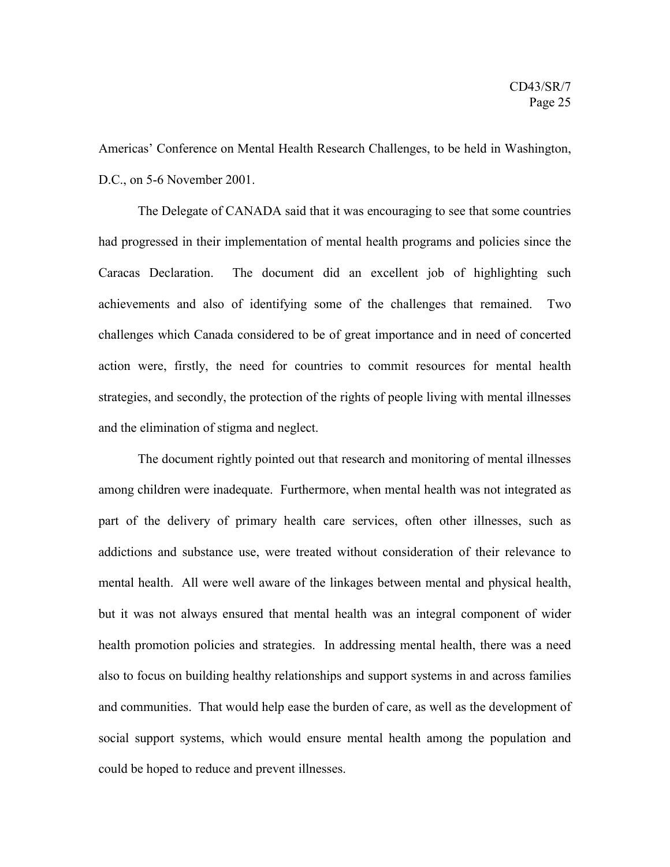Americas' Conference on Mental Health Research Challenges, to be held in Washington, D.C., on 5-6 November 2001.

The Delegate of CANADA said that it was encouraging to see that some countries had progressed in their implementation of mental health programs and policies since the Caracas Declaration. The document did an excellent job of highlighting such achievements and also of identifying some of the challenges that remained. Two challenges which Canada considered to be of great importance and in need of concerted action were, firstly, the need for countries to commit resources for mental health strategies, and secondly, the protection of the rights of people living with mental illnesses and the elimination of stigma and neglect.

The document rightly pointed out that research and monitoring of mental illnesses among children were inadequate. Furthermore, when mental health was not integrated as part of the delivery of primary health care services, often other illnesses, such as addictions and substance use, were treated without consideration of their relevance to mental health. All were well aware of the linkages between mental and physical health, but it was not always ensured that mental health was an integral component of wider health promotion policies and strategies. In addressing mental health, there was a need also to focus on building healthy relationships and support systems in and across families and communities. That would help ease the burden of care, as well as the development of social support systems, which would ensure mental health among the population and could be hoped to reduce and prevent illnesses.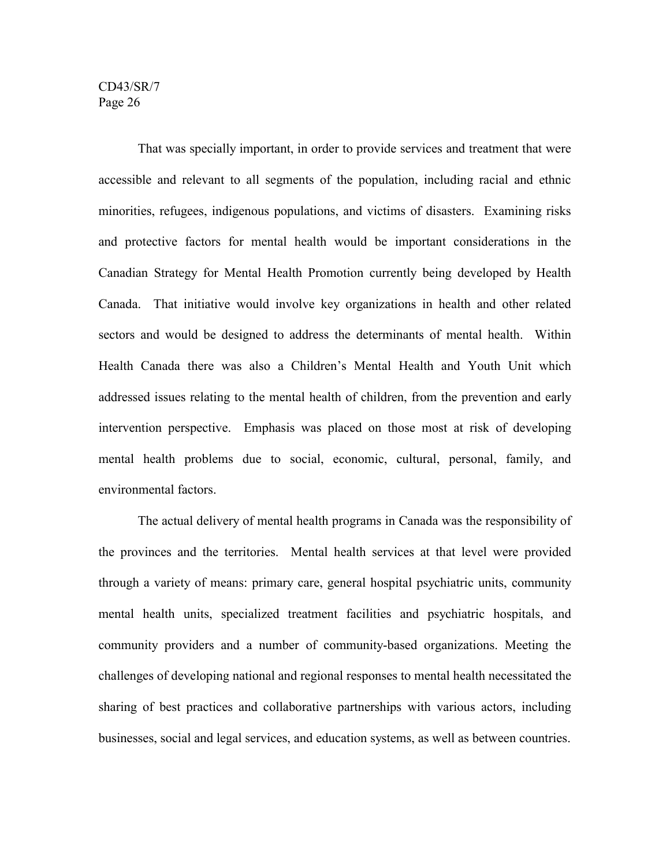That was specially important, in order to provide services and treatment that were accessible and relevant to all segments of the population, including racial and ethnic minorities, refugees, indigenous populations, and victims of disasters. Examining risks and protective factors for mental health would be important considerations in the Canadian Strategy for Mental Health Promotion currently being developed by Health Canada. That initiative would involve key organizations in health and other related sectors and would be designed to address the determinants of mental health. Within Health Canada there was also a Children's Mental Health and Youth Unit which addressed issues relating to the mental health of children, from the prevention and early intervention perspective. Emphasis was placed on those most at risk of developing mental health problems due to social, economic, cultural, personal, family, and environmental factors.

The actual delivery of mental health programs in Canada was the responsibility of the provinces and the territories. Mental health services at that level were provided through a variety of means: primary care, general hospital psychiatric units, community mental health units, specialized treatment facilities and psychiatric hospitals, and community providers and a number of community-based organizations. Meeting the challenges of developing national and regional responses to mental health necessitated the sharing of best practices and collaborative partnerships with various actors, including businesses, social and legal services, and education systems, as well as between countries.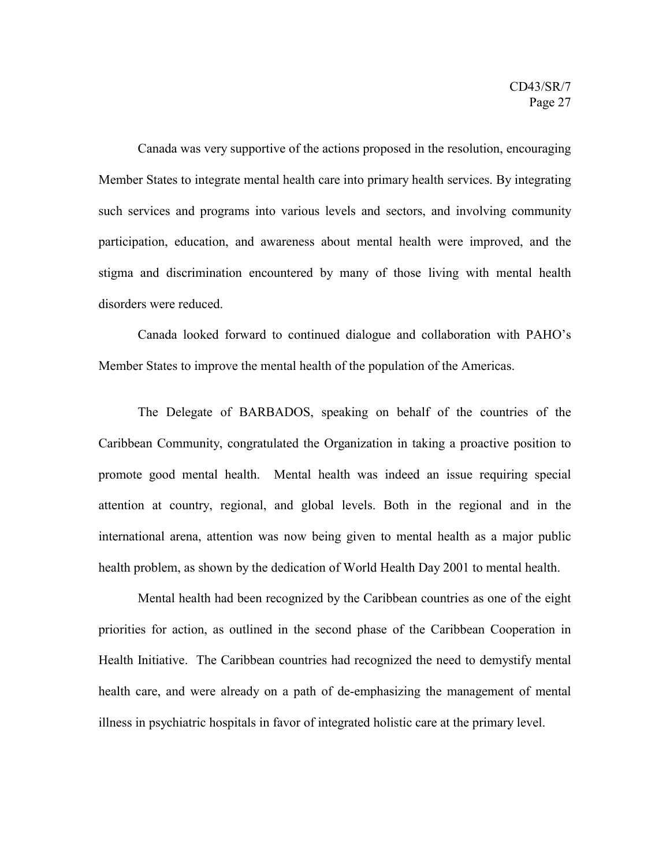Canada was very supportive of the actions proposed in the resolution, encouraging Member States to integrate mental health care into primary health services. By integrating such services and programs into various levels and sectors, and involving community participation, education, and awareness about mental health were improved, and the stigma and discrimination encountered by many of those living with mental health disorders were reduced.

Canada looked forward to continued dialogue and collaboration with PAHO's Member States to improve the mental health of the population of the Americas.

The Delegate of BARBADOS, speaking on behalf of the countries of the Caribbean Community, congratulated the Organization in taking a proactive position to promote good mental health. Mental health was indeed an issue requiring special attention at country, regional, and global levels. Both in the regional and in the international arena, attention was now being given to mental health as a major public health problem, as shown by the dedication of World Health Day 2001 to mental health.

Mental health had been recognized by the Caribbean countries as one of the eight priorities for action, as outlined in the second phase of the Caribbean Cooperation in Health Initiative. The Caribbean countries had recognized the need to demystify mental health care, and were already on a path of de-emphasizing the management of mental illness in psychiatric hospitals in favor of integrated holistic care at the primary level.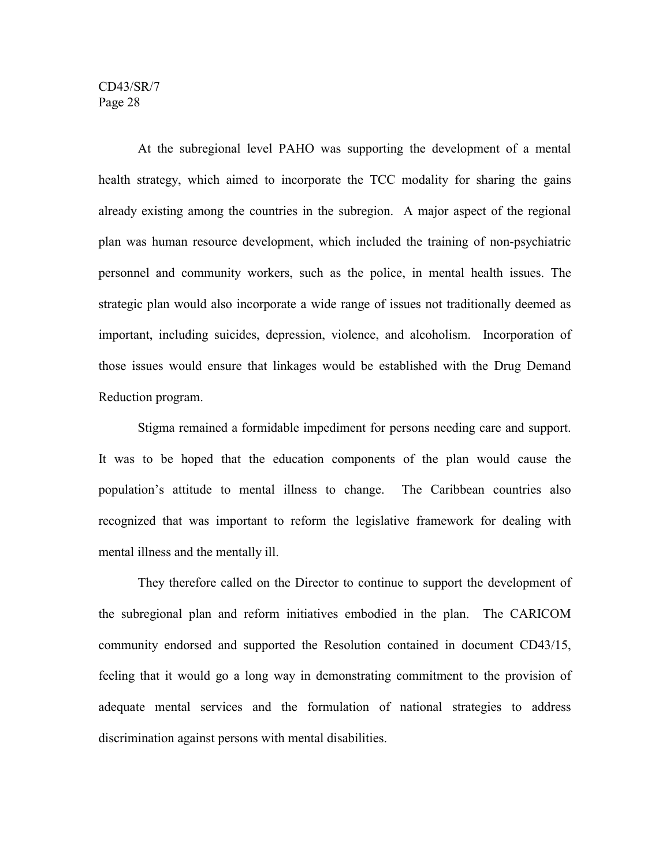At the subregional level PAHO was supporting the development of a mental health strategy, which aimed to incorporate the TCC modality for sharing the gains already existing among the countries in the subregion. A major aspect of the regional plan was human resource development, which included the training of non-psychiatric personnel and community workers, such as the police, in mental health issues. The strategic plan would also incorporate a wide range of issues not traditionally deemed as important, including suicides, depression, violence, and alcoholism. Incorporation of those issues would ensure that linkages would be established with the Drug Demand Reduction program.

Stigma remained a formidable impediment for persons needing care and support. It was to be hoped that the education components of the plan would cause the population's attitude to mental illness to change. The Caribbean countries also recognized that was important to reform the legislative framework for dealing with mental illness and the mentally ill.

They therefore called on the Director to continue to support the development of the subregional plan and reform initiatives embodied in the plan. The CARICOM community endorsed and supported the Resolution contained in document CD43/15, feeling that it would go a long way in demonstrating commitment to the provision of adequate mental services and the formulation of national strategies to address discrimination against persons with mental disabilities.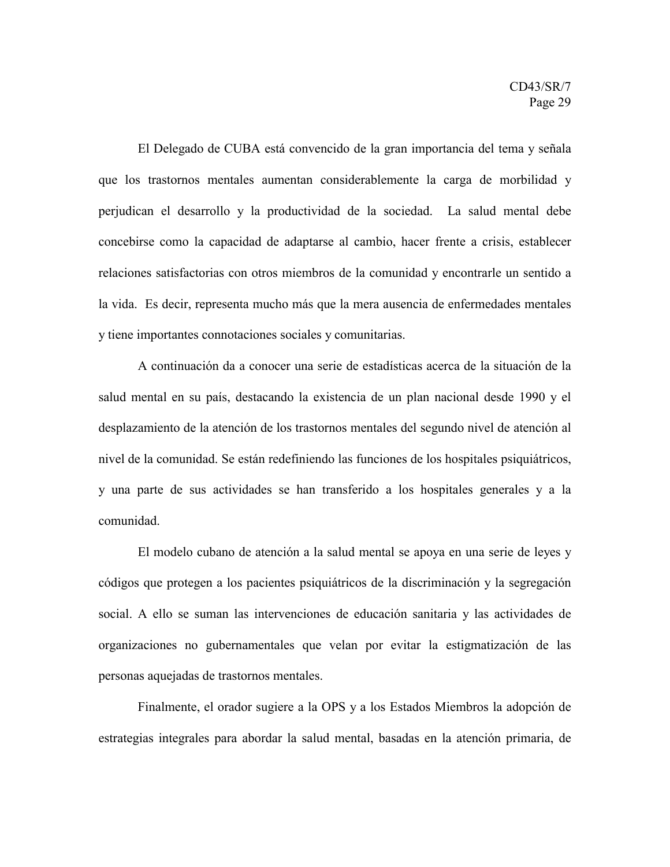El Delegado de CUBA está convencido de la gran importancia del tema y señala que los trastornos mentales aumentan considerablemente la carga de morbilidad y perjudican el desarrollo y la productividad de la sociedad. La salud mental debe concebirse como la capacidad de adaptarse al cambio, hacer frente a crisis, establecer relaciones satisfactorias con otros miembros de la comunidad y encontrarle un sentido a la vida. Es decir, representa mucho más que la mera ausencia de enfermedades mentales y tiene importantes connotaciones sociales y comunitarias.

A continuación da a conocer una serie de estadísticas acerca de la situación de la salud mental en su país, destacando la existencia de un plan nacional desde 1990 y el desplazamiento de la atención de los trastornos mentales del segundo nivel de atención al nivel de la comunidad. Se están redefiniendo las funciones de los hospitales psiquiátricos, y una parte de sus actividades se han transferido a los hospitales generales y a la comunidad.

El modelo cubano de atención a la salud mental se apoya en una serie de leyes y códigos que protegen a los pacientes psiquiátricos de la discriminación y la segregación social. A ello se suman las intervenciones de educación sanitaria y las actividades de organizaciones no gubernamentales que velan por evitar la estigmatización de las personas aquejadas de trastornos mentales.

Finalmente, el orador sugiere a la OPS y a los Estados Miembros la adopción de estrategias integrales para abordar la salud mental, basadas en la atención primaria, de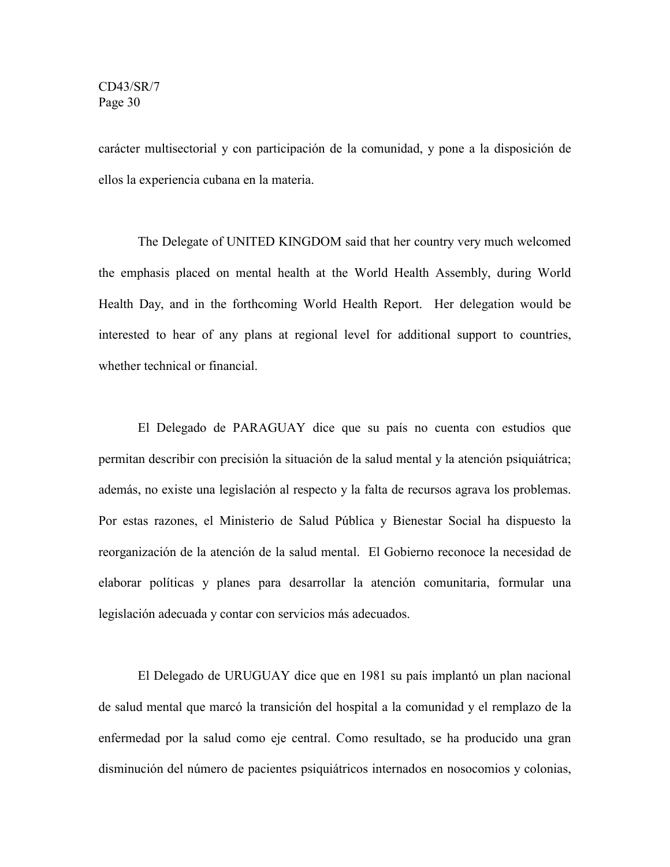carácter multisectorial y con participación de la comunidad, y pone a la disposición de ellos la experiencia cubana en la materia.

The Delegate of UNITED KINGDOM said that her country very much welcomed the emphasis placed on mental health at the World Health Assembly, during World Health Day, and in the forthcoming World Health Report. Her delegation would be interested to hear of any plans at regional level for additional support to countries, whether technical or financial.

El Delegado de PARAGUAY dice que su país no cuenta con estudios que permitan describir con precisión la situación de la salud mental y la atención psiquiátrica; además, no existe una legislación al respecto y la falta de recursos agrava los problemas. Por estas razones, el Ministerio de Salud Pública y Bienestar Social ha dispuesto la reorganización de la atención de la salud mental. El Gobierno reconoce la necesidad de elaborar políticas y planes para desarrollar la atención comunitaria, formular una legislación adecuada y contar con servicios más adecuados.

El Delegado de URUGUAY dice que en 1981 su país implantó un plan nacional de salud mental que marcó la transición del hospital a la comunidad y el remplazo de la enfermedad por la salud como eje central. Como resultado, se ha producido una gran disminución del número de pacientes psiquiátricos internados en nosocomios y colonias,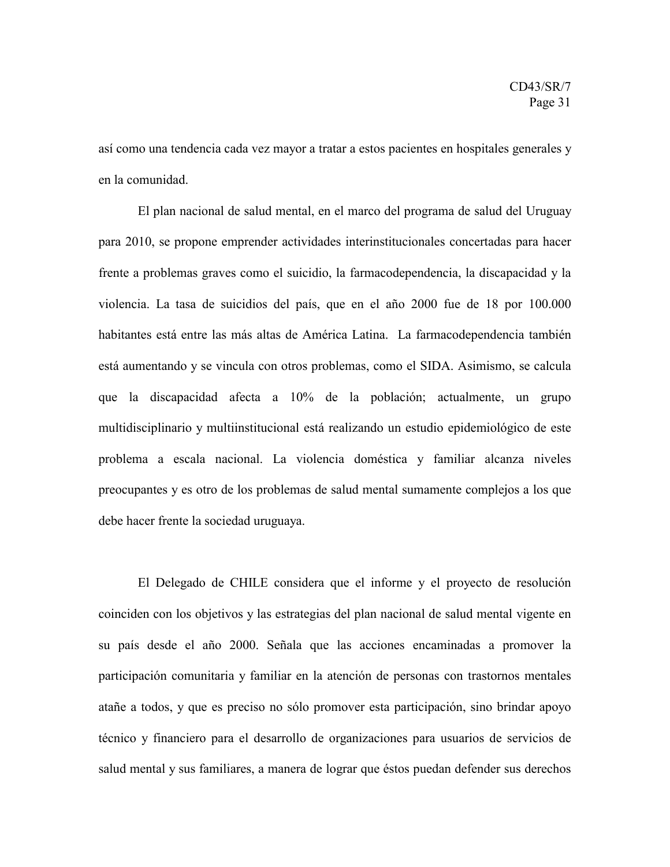así como una tendencia cada vez mayor a tratar a estos pacientes en hospitales generales y en la comunidad.

El plan nacional de salud mental, en el marco del programa de salud del Uruguay para 2010, se propone emprender actividades interinstitucionales concertadas para hacer frente a problemas graves como el suicidio, la farmacodependencia, la discapacidad y la violencia. La tasa de suicidios del país, que en el año 2000 fue de 18 por 100.000 habitantes está entre las más altas de América Latina. La farmacodependencia también está aumentando y se vincula con otros problemas, como el SIDA. Asimismo, se calcula que la discapacidad afecta a 10% de la población; actualmente, un grupo multidisciplinario y multiinstitucional está realizando un estudio epidemiológico de este problema a escala nacional. La violencia doméstica y familiar alcanza niveles preocupantes y es otro de los problemas de salud mental sumamente complejos a los que debe hacer frente la sociedad uruguaya.

El Delegado de CHILE considera que el informe y el proyecto de resolución coinciden con los objetivos y las estrategias del plan nacional de salud mental vigente en su país desde el año 2000. Señala que las acciones encaminadas a promover la participación comunitaria y familiar en la atención de personas con trastornos mentales atañe a todos, y que es preciso no sólo promover esta participación, sino brindar apoyo técnico y financiero para el desarrollo de organizaciones para usuarios de servicios de salud mental y sus familiares, a manera de lograr que éstos puedan defender sus derechos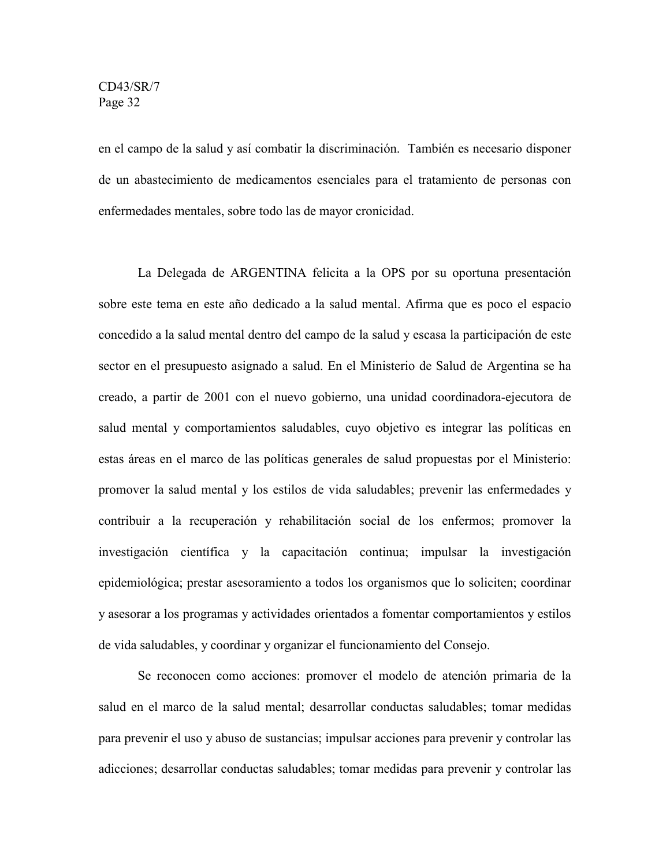en el campo de la salud y así combatir la discriminación. También es necesario disponer de un abastecimiento de medicamentos esenciales para el tratamiento de personas con enfermedades mentales, sobre todo las de mayor cronicidad.

La Delegada de ARGENTINA felicita a la OPS por su oportuna presentación sobre este tema en este año dedicado a la salud mental. Afirma que es poco el espacio concedido a la salud mental dentro del campo de la salud y escasa la participación de este sector en el presupuesto asignado a salud. En el Ministerio de Salud de Argentina se ha creado, a partir de 2001 con el nuevo gobierno, una unidad coordinadora-ejecutora de salud mental y comportamientos saludables, cuyo objetivo es integrar las políticas en estas áreas en el marco de las políticas generales de salud propuestas por el Ministerio: promover la salud mental y los estilos de vida saludables; prevenir las enfermedades y contribuir a la recuperación y rehabilitación social de los enfermos; promover la investigación científica y la capacitación continua; impulsar la investigación epidemiológica; prestar asesoramiento a todos los organismos que lo soliciten; coordinar y asesorar a los programas y actividades orientados a fomentar comportamientos y estilos de vida saludables, y coordinar y organizar el funcionamiento del Consejo.

Se reconocen como acciones: promover el modelo de atención primaria de la salud en el marco de la salud mental; desarrollar conductas saludables; tomar medidas para prevenir el uso y abuso de sustancias; impulsar acciones para prevenir y controlar las adicciones; desarrollar conductas saludables; tomar medidas para prevenir y controlar las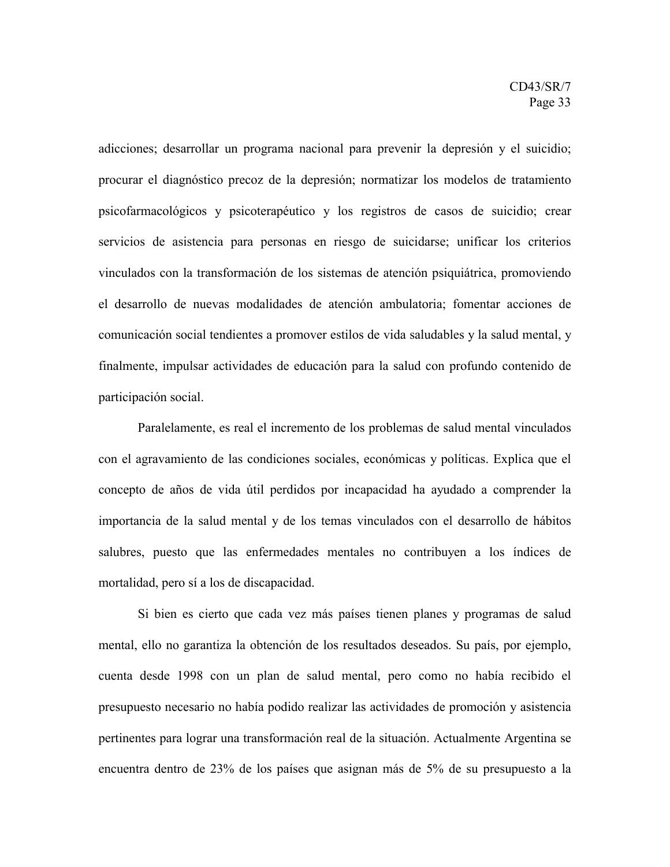adicciones; desarrollar un programa nacional para prevenir la depresión y el suicidio; procurar el diagnóstico precoz de la depresión; normatizar los modelos de tratamiento psicofarmacológicos y psicoterapéutico y los registros de casos de suicidio; crear servicios de asistencia para personas en riesgo de suicidarse; unificar los criterios vinculados con la transformación de los sistemas de atención psiquiátrica, promoviendo el desarrollo de nuevas modalidades de atención ambulatoria; fomentar acciones de comunicación social tendientes a promover estilos de vida saludables y la salud mental, y finalmente, impulsar actividades de educación para la salud con profundo contenido de participación social.

Paralelamente, es real el incremento de los problemas de salud mental vinculados con el agravamiento de las condiciones sociales, económicas y políticas. Explica que el concepto de años de vida útil perdidos por incapacidad ha ayudado a comprender la importancia de la salud mental y de los temas vinculados con el desarrollo de hábitos salubres, puesto que las enfermedades mentales no contribuyen a los índices de mortalidad, pero sí a los de discapacidad.

Si bien es cierto que cada vez más países tienen planes y programas de salud mental, ello no garantiza la obtención de los resultados deseados. Su país, por ejemplo, cuenta desde 1998 con un plan de salud mental, pero como no había recibido el presupuesto necesario no había podido realizar las actividades de promoción y asistencia pertinentes para lograr una transformación real de la situación. Actualmente Argentina se encuentra dentro de 23% de los países que asignan más de 5% de su presupuesto a la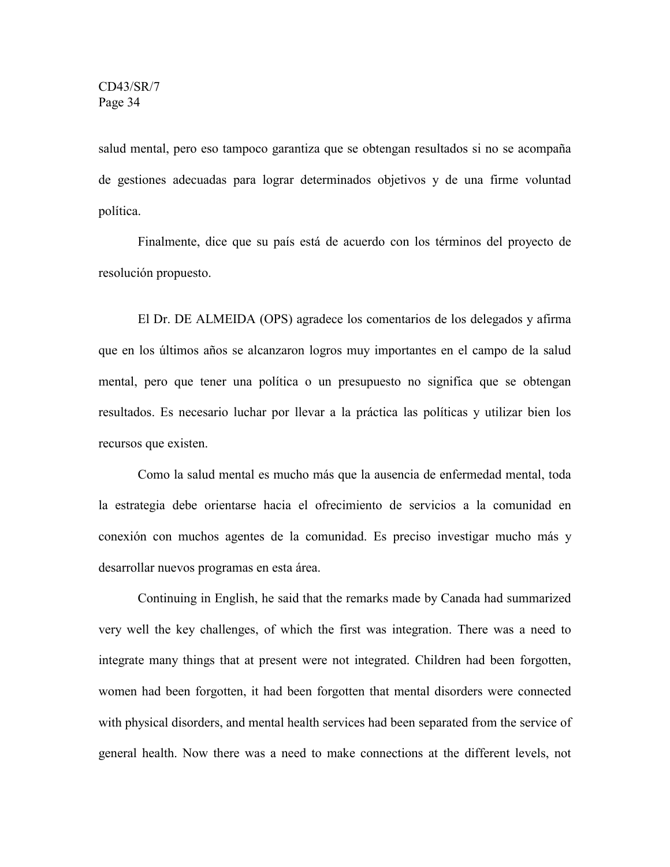salud mental, pero eso tampoco garantiza que se obtengan resultados si no se acompaña de gestiones adecuadas para lograr determinados objetivos y de una firme voluntad política.

Finalmente, dice que su país está de acuerdo con los términos del proyecto de resolución propuesto.

El Dr. DE ALMEIDA (OPS) agradece los comentarios de los delegados y afirma que en los últimos años se alcanzaron logros muy importantes en el campo de la salud mental, pero que tener una política o un presupuesto no significa que se obtengan resultados. Es necesario luchar por llevar a la práctica las políticas y utilizar bien los recursos que existen.

Como la salud mental es mucho más que la ausencia de enfermedad mental, toda la estrategia debe orientarse hacia el ofrecimiento de servicios a la comunidad en conexión con muchos agentes de la comunidad. Es preciso investigar mucho más y desarrollar nuevos programas en esta área.

Continuing in English, he said that the remarks made by Canada had summarized very well the key challenges, of which the first was integration. There was a need to integrate many things that at present were not integrated. Children had been forgotten, women had been forgotten, it had been forgotten that mental disorders were connected with physical disorders, and mental health services had been separated from the service of general health. Now there was a need to make connections at the different levels, not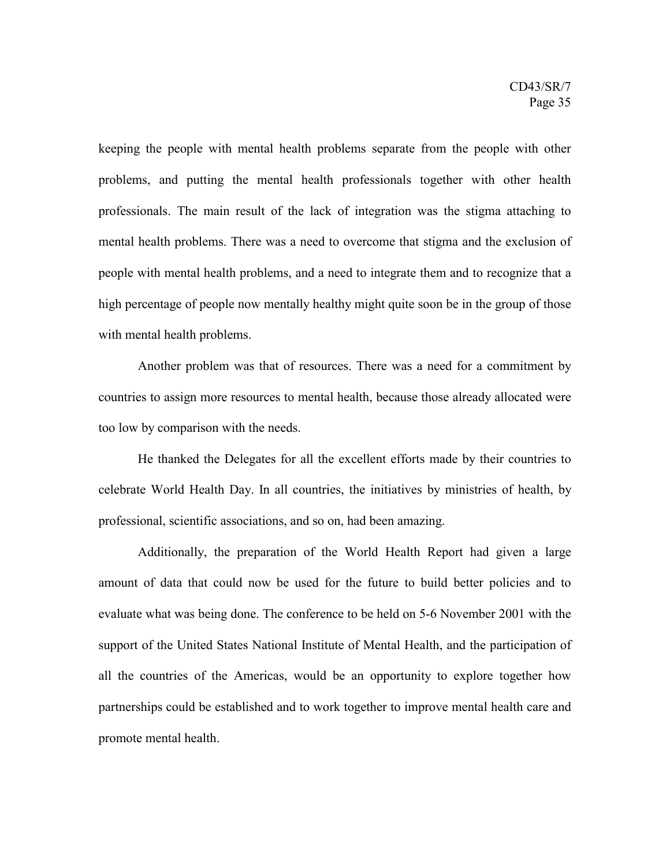keeping the people with mental health problems separate from the people with other problems, and putting the mental health professionals together with other health professionals. The main result of the lack of integration was the stigma attaching to mental health problems. There was a need to overcome that stigma and the exclusion of people with mental health problems, and a need to integrate them and to recognize that a high percentage of people now mentally healthy might quite soon be in the group of those with mental health problems.

Another problem was that of resources. There was a need for a commitment by countries to assign more resources to mental health, because those already allocated were too low by comparison with the needs.

He thanked the Delegates for all the excellent efforts made by their countries to celebrate World Health Day. In all countries, the initiatives by ministries of health, by professional, scientific associations, and so on, had been amazing.

Additionally, the preparation of the World Health Report had given a large amount of data that could now be used for the future to build better policies and to evaluate what was being done. The conference to be held on 5-6 November 2001 with the support of the United States National Institute of Mental Health, and the participation of all the countries of the Americas, would be an opportunity to explore together how partnerships could be established and to work together to improve mental health care and promote mental health.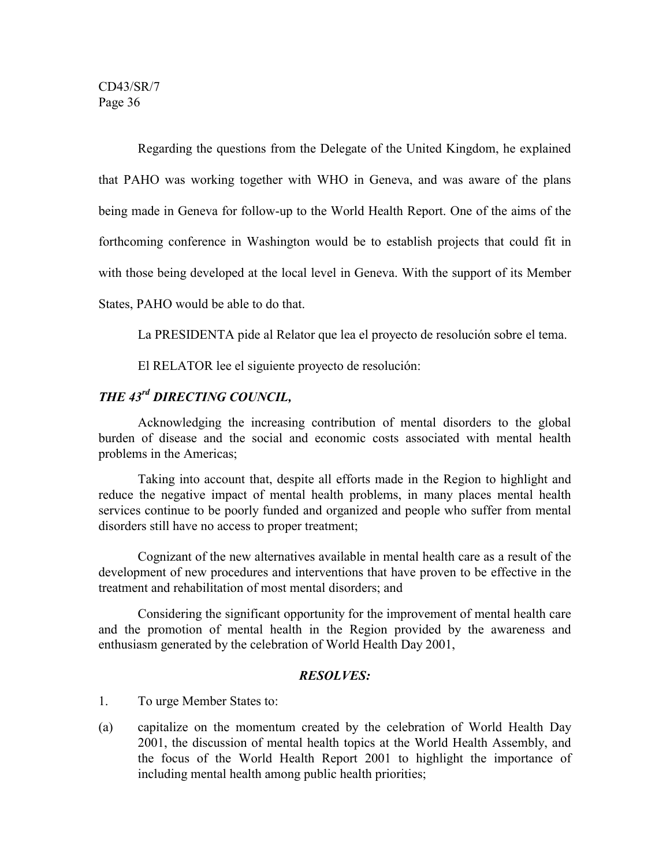Regarding the questions from the Delegate of the United Kingdom, he explained that PAHO was working together with WHO in Geneva, and was aware of the plans being made in Geneva for follow-up to the World Health Report. One of the aims of the forthcoming conference in Washington would be to establish projects that could fit in with those being developed at the local level in Geneva. With the support of its Member States, PAHO would be able to do that.

La PRESIDENTA pide al Relator que lea el proyecto de resolución sobre el tema.

El RELATOR lee el siguiente proyecto de resolución:

# *THE 43rd DIRECTING COUNCIL,*

Acknowledging the increasing contribution of mental disorders to the global burden of disease and the social and economic costs associated with mental health problems in the Americas;

Taking into account that, despite all efforts made in the Region to highlight and reduce the negative impact of mental health problems, in many places mental health services continue to be poorly funded and organized and people who suffer from mental disorders still have no access to proper treatment;

Cognizant of the new alternatives available in mental health care as a result of the development of new procedures and interventions that have proven to be effective in the treatment and rehabilitation of most mental disorders; and

Considering the significant opportunity for the improvement of mental health care and the promotion of mental health in the Region provided by the awareness and enthusiasm generated by the celebration of World Health Day 2001,

### *RESOLVES:*

1. To urge Member States to:

(a) capitalize on the momentum created by the celebration of World Health Day 2001, the discussion of mental health topics at the World Health Assembly, and the focus of the World Health Report 2001 to highlight the importance of including mental health among public health priorities;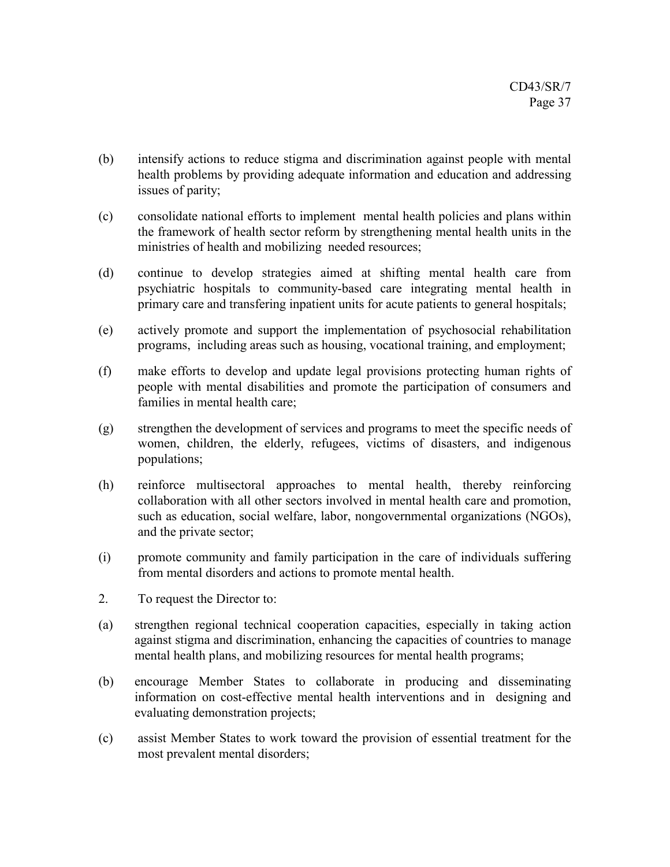- (b) intensify actions to reduce stigma and discrimination against people with mental health problems by providing adequate information and education and addressing issues of parity;
- (c) consolidate national efforts to implement mental health policies and plans within the framework of health sector reform by strengthening mental health units in the ministries of health and mobilizing needed resources;
- (d) continue to develop strategies aimed at shifting mental health care from psychiatric hospitals to community-based care integrating mental health in primary care and transfering inpatient units for acute patients to general hospitals;
- (e) actively promote and support the implementation of psychosocial rehabilitation programs, including areas such as housing, vocational training, and employment;
- (f) make efforts to develop and update legal provisions protecting human rights of people with mental disabilities and promote the participation of consumers and families in mental health care;
- (g) strengthen the development of services and programs to meet the specific needs of women, children, the elderly, refugees, victims of disasters, and indigenous populations;
- (h) reinforce multisectoral approaches to mental health, thereby reinforcing collaboration with all other sectors involved in mental health care and promotion, such as education, social welfare, labor, nongovernmental organizations (NGOs), and the private sector;
- (i) promote community and family participation in the care of individuals suffering from mental disorders and actions to promote mental health.
- 2. To request the Director to:
- (a) strengthen regional technical cooperation capacities, especially in taking action against stigma and discrimination, enhancing the capacities of countries to manage mental health plans, and mobilizing resources for mental health programs;
- (b) encourage Member States to collaborate in producing and disseminating information on cost-effective mental health interventions and in designing and evaluating demonstration projects;
- (c) assist Member States to work toward the provision of essential treatment for the most prevalent mental disorders;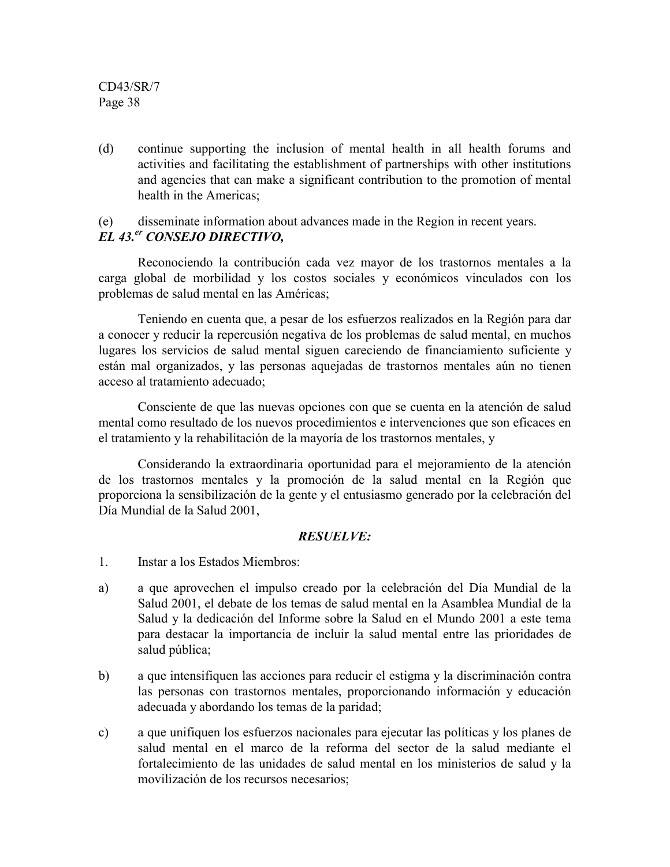(d) continue supporting the inclusion of mental health in all health forums and activities and facilitating the establishment of partnerships with other institutions and agencies that can make a significant contribution to the promotion of mental health in the Americas;

#### (e) disseminate information about advances made in the Region in recent years. *EL 43.er CONSEJO DIRECTIVO,*

Reconociendo la contribución cada vez mayor de los trastornos mentales a la carga global de morbilidad y los costos sociales y económicos vinculados con los problemas de salud mental en las Américas;

Teniendo en cuenta que, a pesar de los esfuerzos realizados en la Región para dar a conocer y reducir la repercusión negativa de los problemas de salud mental, en muchos lugares los servicios de salud mental siguen careciendo de financiamiento suficiente y están mal organizados, y las personas aquejadas de trastornos mentales aún no tienen acceso al tratamiento adecuado;

Consciente de que las nuevas opciones con que se cuenta en la atención de salud mental como resultado de los nuevos procedimientos e intervenciones que son eficaces en el tratamiento y la rehabilitación de la mayoría de los trastornos mentales, y

Considerando la extraordinaria oportunidad para el mejoramiento de la atención de los trastornos mentales y la promoción de la salud mental en la Región que proporciona la sensibilización de la gente y el entusiasmo generado por la celebración del Día Mundial de la Salud 2001,

## *RESUELVE:*

- 1. Instar a los Estados Miembros:
- a) a que aprovechen el impulso creado por la celebración del Día Mundial de la Salud 2001, el debate de los temas de salud mental en la Asamblea Mundial de la Salud y la dedicación del Informe sobre la Salud en el Mundo 2001 a este tema para destacar la importancia de incluir la salud mental entre las prioridades de salud pública;
- b) a que intensifiquen las acciones para reducir el estigma y la discriminación contra las personas con trastornos mentales, proporcionando información y educación adecuada y abordando los temas de la paridad;
- c) a que unifiquen los esfuerzos nacionales para ejecutar las políticas y los planes de salud mental en el marco de la reforma del sector de la salud mediante el fortalecimiento de las unidades de salud mental en los ministerios de salud y la movilización de los recursos necesarios;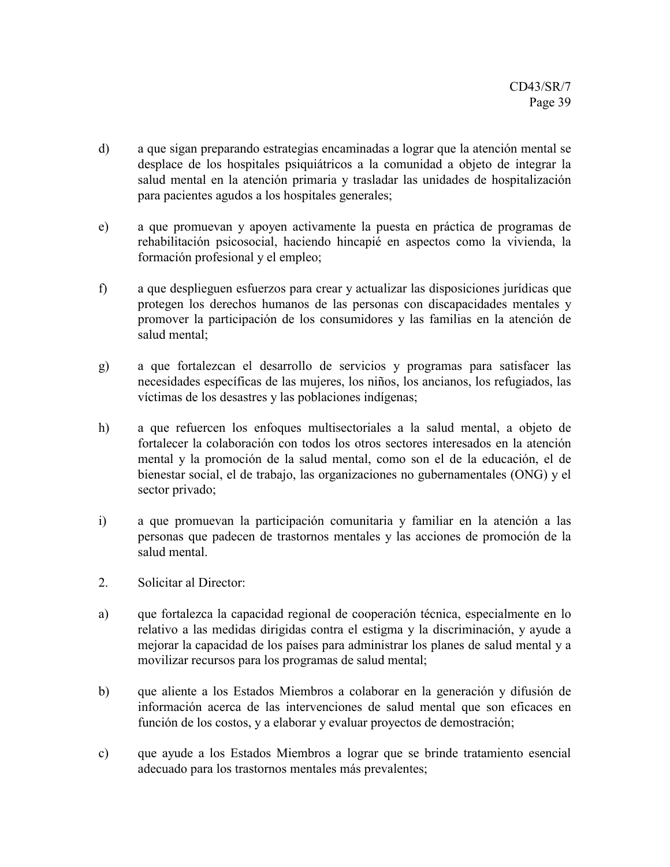- d) a que sigan preparando estrategias encaminadas a lograr que la atención mental se desplace de los hospitales psiquiátricos a la comunidad a objeto de integrar la salud mental en la atención primaria y trasladar las unidades de hospitalización para pacientes agudos a los hospitales generales;
- e) a que promuevan y apoyen activamente la puesta en práctica de programas de rehabilitación psicosocial, haciendo hincapié en aspectos como la vivienda, la formación profesional y el empleo;
- f) a que desplieguen esfuerzos para crear y actualizar las disposiciones jurídicas que protegen los derechos humanos de las personas con discapacidades mentales y promover la participación de los consumidores y las familias en la atención de salud mental;
- g) a que fortalezcan el desarrollo de servicios y programas para satisfacer las necesidades específicas de las mujeres, los niños, los ancianos, los refugiados, las víctimas de los desastres y las poblaciones indígenas;
- h) a que refuercen los enfoques multisectoriales a la salud mental, a objeto de fortalecer la colaboración con todos los otros sectores interesados en la atención mental y la promoción de la salud mental, como son el de la educación, el de bienestar social, el de trabajo, las organizaciones no gubernamentales (ONG) y el sector privado;
- i) a que promuevan la participación comunitaria y familiar en la atención a las personas que padecen de trastornos mentales y las acciones de promoción de la salud mental.
- 2. Solicitar al Director:
- a) que fortalezca la capacidad regional de cooperación técnica, especialmente en lo relativo a las medidas dirigidas contra el estigma y la discriminación, y ayude a mejorar la capacidad de los países para administrar los planes de salud mental y a movilizar recursos para los programas de salud mental;
- b) que aliente a los Estados Miembros a colaborar en la generación y difusión de información acerca de las intervenciones de salud mental que son eficaces en función de los costos, y a elaborar y evaluar proyectos de demostración;
- c) que ayude a los Estados Miembros a lograr que se brinde tratamiento esencial adecuado para los trastornos mentales más prevalentes;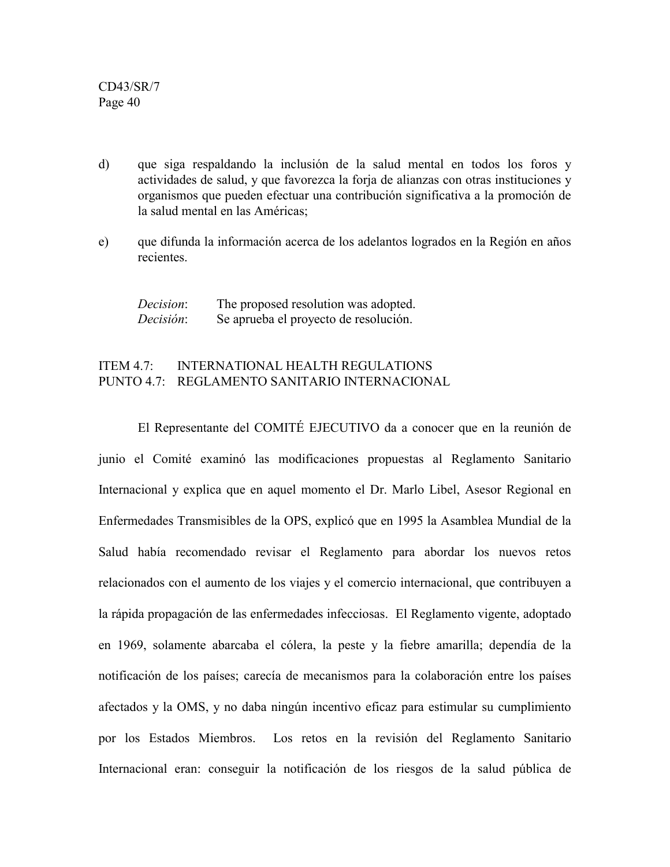- d) que siga respaldando la inclusión de la salud mental en todos los foros y actividades de salud, y que favorezca la forja de alianzas con otras instituciones y organismos que pueden efectuar una contribución significativa a la promoción de la salud mental en las Américas;
- e) que difunda la información acerca de los adelantos logrados en la Región en años recientes.

*Decision*: The proposed resolution was adopted. *Decisión*: Se aprueba el proyecto de resolución.

## ITEM 4.7: INTERNATIONAL HEALTH REGULATIONS PUNTO 4.7: REGLAMENTO SANITARIO INTERNACIONAL

El Representante del COMITÉ EJECUTIVO da a conocer que en la reunión de junio el Comité examinó las modificaciones propuestas al Reglamento Sanitario Internacional y explica que en aquel momento el Dr. Marlo Libel, Asesor Regional en Enfermedades Transmisibles de la OPS, explicó que en 1995 la Asamblea Mundial de la Salud había recomendado revisar el Reglamento para abordar los nuevos retos relacionados con el aumento de los viajes y el comercio internacional, que contribuyen a la rápida propagación de las enfermedades infecciosas. El Reglamento vigente, adoptado en 1969, solamente abarcaba el cólera, la peste y la fiebre amarilla; dependía de la notificación de los países; carecía de mecanismos para la colaboración entre los países afectados y la OMS, y no daba ningún incentivo eficaz para estimular su cumplimiento por los Estados Miembros. Los retos en la revisión del Reglamento Sanitario Internacional eran: conseguir la notificación de los riesgos de la salud pública de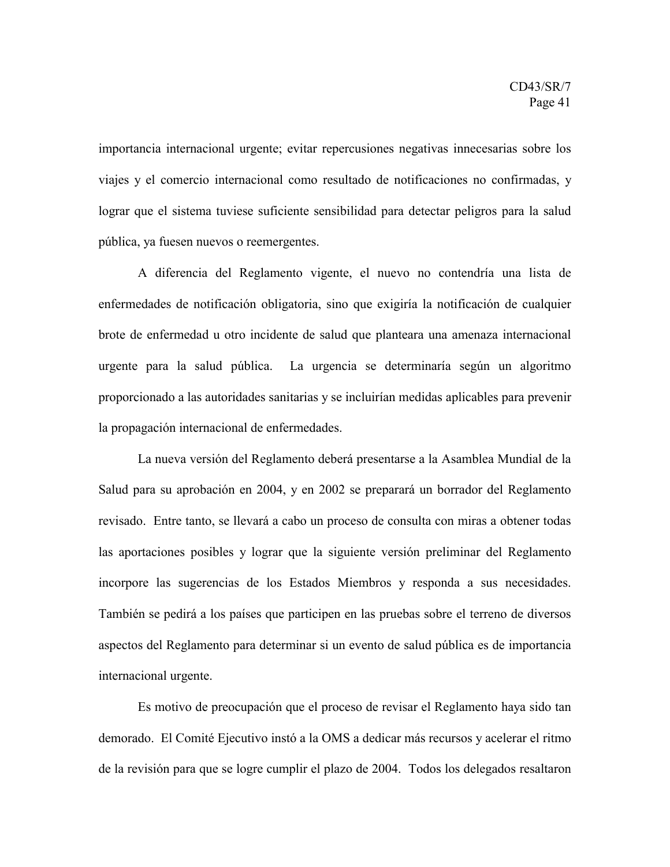importancia internacional urgente; evitar repercusiones negativas innecesarias sobre los viajes y el comercio internacional como resultado de notificaciones no confirmadas, y lograr que el sistema tuviese suficiente sensibilidad para detectar peligros para la salud pública, ya fuesen nuevos o reemergentes.

A diferencia del Reglamento vigente, el nuevo no contendría una lista de enfermedades de notificación obligatoria, sino que exigiría la notificación de cualquier brote de enfermedad u otro incidente de salud que planteara una amenaza internacional urgente para la salud pública. La urgencia se determinaría según un algoritmo proporcionado a las autoridades sanitarias y se incluirían medidas aplicables para prevenir la propagación internacional de enfermedades.

La nueva versión del Reglamento deberá presentarse a la Asamblea Mundial de la Salud para su aprobación en 2004, y en 2002 se preparará un borrador del Reglamento revisado. Entre tanto, se llevará a cabo un proceso de consulta con miras a obtener todas las aportaciones posibles y lograr que la siguiente versión preliminar del Reglamento incorpore las sugerencias de los Estados Miembros y responda a sus necesidades. También se pedirá a los países que participen en las pruebas sobre el terreno de diversos aspectos del Reglamento para determinar si un evento de salud pública es de importancia internacional urgente.

Es motivo de preocupación que el proceso de revisar el Reglamento haya sido tan demorado. El Comité Ejecutivo instó a la OMS a dedicar más recursos y acelerar el ritmo de la revisión para que se logre cumplir el plazo de 2004. Todos los delegados resaltaron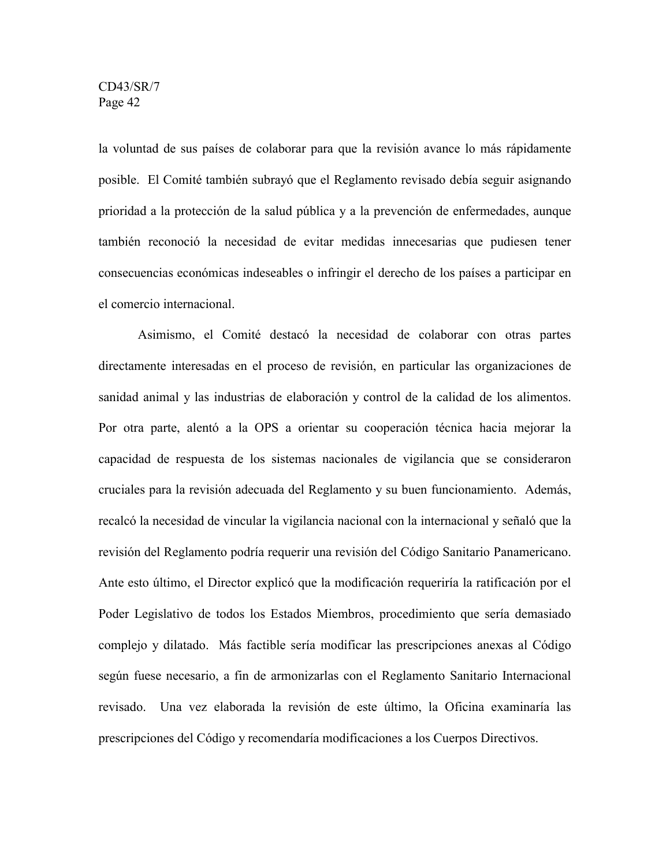la voluntad de sus países de colaborar para que la revisión avance lo más rápidamente posible. El Comité también subrayó que el Reglamento revisado debía seguir asignando prioridad a la protección de la salud pública y a la prevención de enfermedades, aunque también reconoció la necesidad de evitar medidas innecesarias que pudiesen tener consecuencias económicas indeseables o infringir el derecho de los países a participar en el comercio internacional.

Asimismo, el Comité destacó la necesidad de colaborar con otras partes directamente interesadas en el proceso de revisión, en particular las organizaciones de sanidad animal y las industrias de elaboración y control de la calidad de los alimentos. Por otra parte, alentó a la OPS a orientar su cooperación técnica hacia mejorar la capacidad de respuesta de los sistemas nacionales de vigilancia que se consideraron cruciales para la revisión adecuada del Reglamento y su buen funcionamiento. Además, recalcó la necesidad de vincular la vigilancia nacional con la internacional y señaló que la revisión del Reglamento podría requerir una revisión del Código Sanitario Panamericano. Ante esto último, el Director explicó que la modificación requeriría la ratificación por el Poder Legislativo de todos los Estados Miembros, procedimiento que sería demasiado complejo y dilatado. Más factible sería modificar las prescripciones anexas al Código según fuese necesario, a fin de armonizarlas con el Reglamento Sanitario Internacional revisado. Una vez elaborada la revisión de este último, la Oficina examinaría las prescripciones del Código y recomendaría modificaciones a los Cuerpos Directivos.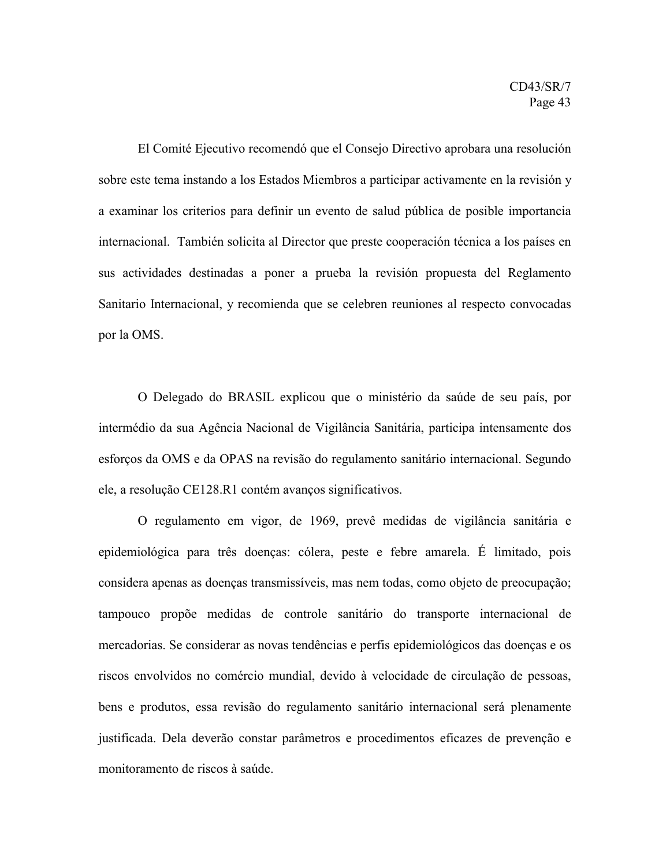El Comité Ejecutivo recomendó que el Consejo Directivo aprobara una resolución sobre este tema instando a los Estados Miembros a participar activamente en la revisión y a examinar los criterios para definir un evento de salud pública de posible importancia internacional. También solicita al Director que preste cooperación técnica a los países en sus actividades destinadas a poner a prueba la revisión propuesta del Reglamento Sanitario Internacional, y recomienda que se celebren reuniones al respecto convocadas por la OMS.

O Delegado do BRASIL explicou que o ministério da saúde de seu país, por intermédio da sua Agência Nacional de Vigilância Sanitária, participa intensamente dos esforços da OMS e da OPAS na revisão do regulamento sanitário internacional. Segundo ele, a resolução CE128.R1 contém avanços significativos.

O regulamento em vigor, de 1969, prevê medidas de vigilância sanitária e epidemiológica para três doenças: cólera, peste e febre amarela. É limitado, pois considera apenas as doenças transmissíveis, mas nem todas, como objeto de preocupação; tampouco propõe medidas de controle sanitário do transporte internacional de mercadorias. Se considerar as novas tendências e perfis epidemiológicos das doenças e os riscos envolvidos no comércio mundial, devido à velocidade de circulação de pessoas, bens e produtos, essa revisão do regulamento sanitário internacional será plenamente justificada. Dela deverão constar parâmetros e procedimentos eficazes de prevenção e monitoramento de riscos à saúde.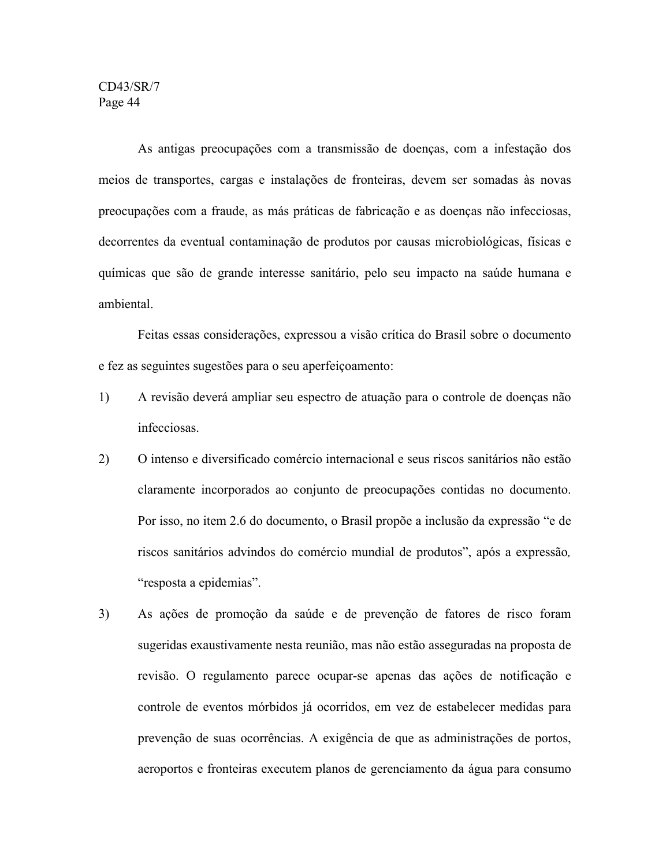As antigas preocupações com a transmissão de doenças, com a infestação dos meios de transportes, cargas e instalações de fronteiras, devem ser somadas às novas preocupações com a fraude, as más práticas de fabricação e as doenças não infecciosas, decorrentes da eventual contaminação de produtos por causas microbiológicas, físicas e químicas que são de grande interesse sanitário, pelo seu impacto na saúde humana e ambiental.

Feitas essas considerações, expressou a visão crítica do Brasil sobre o documento e fez as seguintes sugestões para o seu aperfeiçoamento:

- 1) A revisão deverá ampliar seu espectro de atuação para o controle de doenças não infecciosas.
- 2) O intenso e diversificado comércio internacional e seus riscos sanitários não estão claramente incorporados ao conjunto de preocupações contidas no documento. Por isso, no item 2.6 do documento, o Brasil propõe a inclusão da expressão "e de riscos sanitários advindos do comércio mundial de produtos", após a expressão*,* "resposta a epidemias".
- 3) As ações de promoção da saúde e de prevenção de fatores de risco foram sugeridas exaustivamente nesta reunião, mas não estão asseguradas na proposta de revisão. O regulamento parece ocupar-se apenas das ações de notificação e controle de eventos mórbidos já ocorridos, em vez de estabelecer medidas para prevenção de suas ocorrências. A exigência de que as administrações de portos, aeroportos e fronteiras executem planos de gerenciamento da água para consumo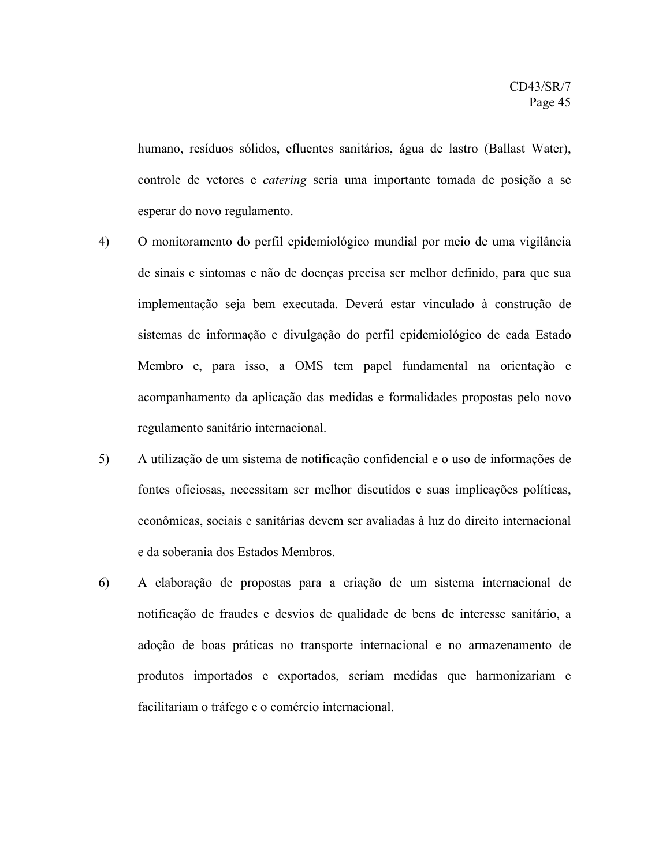humano, resíduos sólidos, efluentes sanitários, água de lastro (Ballast Water), controle de vetores e *catering* seria uma importante tomada de posição a se esperar do novo regulamento.

- 4) O monitoramento do perfil epidemiológico mundial por meio de uma vigilância de sinais e sintomas e não de doenças precisa ser melhor definido, para que sua implementação seja bem executada. Deverá estar vinculado à construção de sistemas de informação e divulgação do perfil epidemiológico de cada Estado Membro e, para isso, a OMS tem papel fundamental na orientação e acompanhamento da aplicação das medidas e formalidades propostas pelo novo regulamento sanitário internacional.
- 5) A utilização de um sistema de notificação confidencial e o uso de informações de fontes oficiosas, necessitam ser melhor discutidos e suas implicações políticas, econômicas, sociais e sanitárias devem ser avaliadas à luz do direito internacional e da soberania dos Estados Membros.
- 6) A elaboração de propostas para a criação de um sistema internacional de notificação de fraudes e desvios de qualidade de bens de interesse sanitário, a adoção de boas práticas no transporte internacional e no armazenamento de produtos importados e exportados, seriam medidas que harmonizariam e facilitariam o tráfego e o comércio internacional.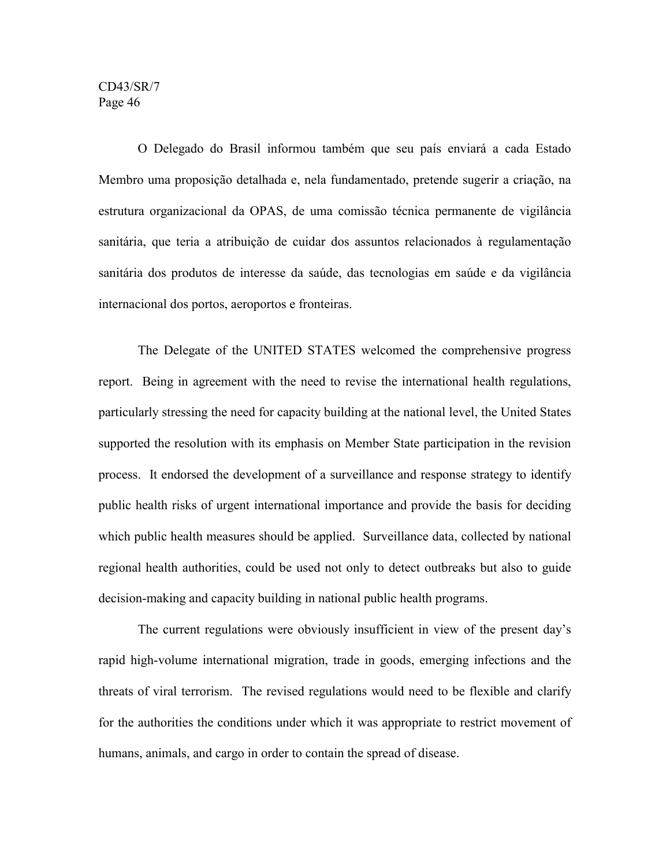O Delegado do Brasil informou também que seu país enviará a cada Estado Membro uma proposição detalhada e, nela fundamentado, pretende sugerir a criação, na estrutura organizacional da OPAS, de uma comissão técnica permanente de vigilância sanitária, que teria a atribuição de cuidar dos assuntos relacionados à regulamentação sanitária dos produtos de interesse da saúde, das tecnologias em saúde e da vigilância internacional dos portos, aeroportos e fronteiras.

The Delegate of the UNITED STATES welcomed the comprehensive progress report. Being in agreement with the need to revise the international health regulations, particularly stressing the need for capacity building at the national level, the United States supported the resolution with its emphasis on Member State participation in the revision process. It endorsed the development of a surveillance and response strategy to identify public health risks of urgent international importance and provide the basis for deciding which public health measures should be applied. Surveillance data, collected by national regional health authorities, could be used not only to detect outbreaks but also to guide decision-making and capacity building in national public health programs.

The current regulations were obviously insufficient in view of the present day's rapid high-volume international migration, trade in goods, emerging infections and the threats of viral terrorism. The revised regulations would need to be flexible and clarify for the authorities the conditions under which it was appropriate to restrict movement of humans, animals, and cargo in order to contain the spread of disease.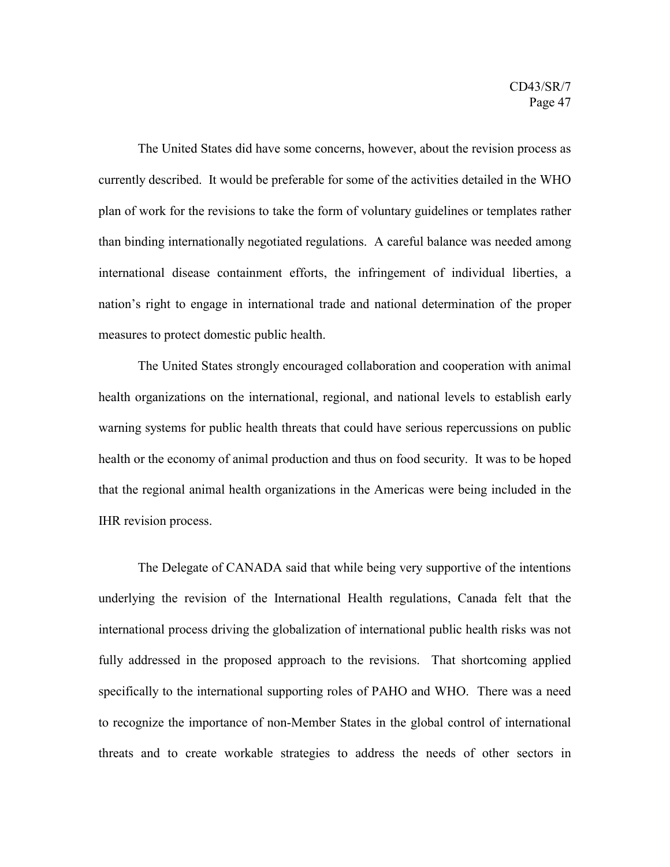The United States did have some concerns, however, about the revision process as currently described. It would be preferable for some of the activities detailed in the WHO plan of work for the revisions to take the form of voluntary guidelines or templates rather than binding internationally negotiated regulations. A careful balance was needed among international disease containment efforts, the infringement of individual liberties, a nation's right to engage in international trade and national determination of the proper measures to protect domestic public health.

The United States strongly encouraged collaboration and cooperation with animal health organizations on the international, regional, and national levels to establish early warning systems for public health threats that could have serious repercussions on public health or the economy of animal production and thus on food security. It was to be hoped that the regional animal health organizations in the Americas were being included in the IHR revision process.

The Delegate of CANADA said that while being very supportive of the intentions underlying the revision of the International Health regulations, Canada felt that the international process driving the globalization of international public health risks was not fully addressed in the proposed approach to the revisions. That shortcoming applied specifically to the international supporting roles of PAHO and WHO. There was a need to recognize the importance of non-Member States in the global control of international threats and to create workable strategies to address the needs of other sectors in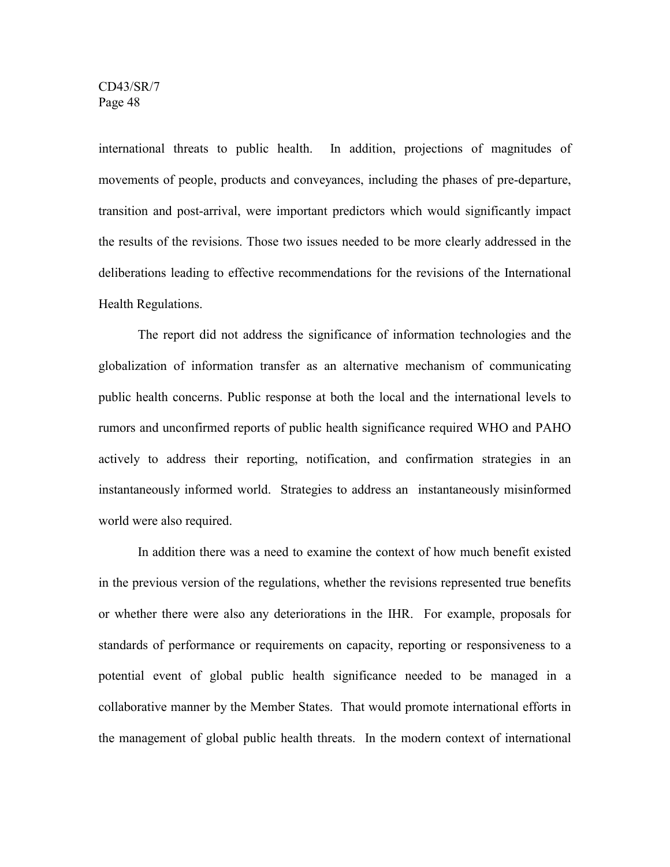international threats to public health. In addition, projections of magnitudes of movements of people, products and conveyances, including the phases of pre-departure, transition and post-arrival, were important predictors which would significantly impact the results of the revisions. Those two issues needed to be more clearly addressed in the deliberations leading to effective recommendations for the revisions of the International Health Regulations.

The report did not address the significance of information technologies and the globalization of information transfer as an alternative mechanism of communicating public health concerns. Public response at both the local and the international levels to rumors and unconfirmed reports of public health significance required WHO and PAHO actively to address their reporting, notification, and confirmation strategies in an instantaneously informed world. Strategies to address an instantaneously misinformed world were also required.

In addition there was a need to examine the context of how much benefit existed in the previous version of the regulations, whether the revisions represented true benefits or whether there were also any deteriorations in the IHR. For example, proposals for standards of performance or requirements on capacity, reporting or responsiveness to a potential event of global public health significance needed to be managed in a collaborative manner by the Member States. That would promote international efforts in the management of global public health threats. In the modern context of international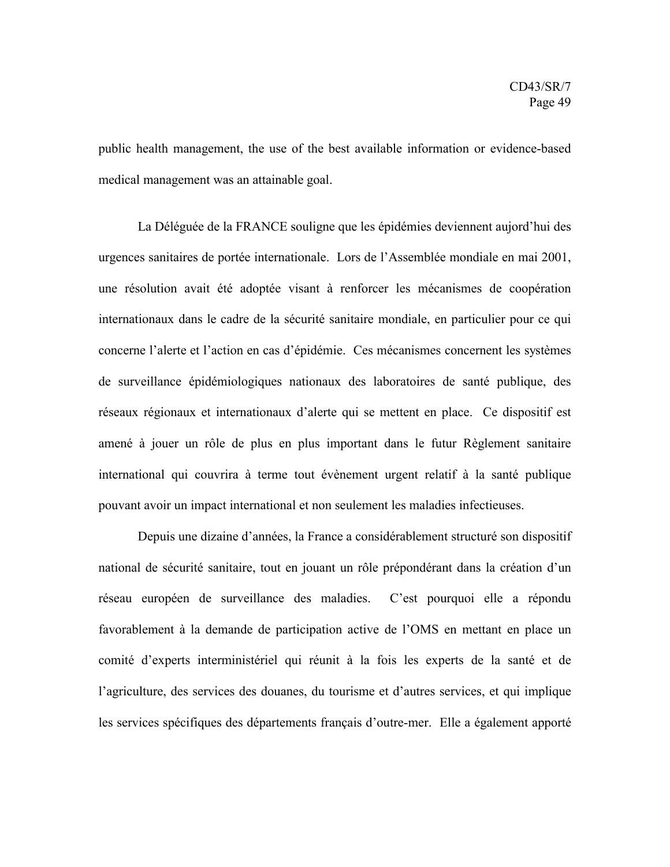public health management, the use of the best available information or evidence-based medical management was an attainable goal.

La Déléguée de la FRANCE souligne que les épidémies deviennent aujord'hui des urgences sanitaires de portée internationale. Lors de l'Assemblée mondiale en mai 2001, une résolution avait été adoptée visant à renforcer les mécanismes de coopération internationaux dans le cadre de la sécurité sanitaire mondiale, en particulier pour ce qui concerne l'alerte et l'action en cas d'épidémie. Ces mécanismes concernent les systèmes de surveillance épidémiologiques nationaux des laboratoires de santé publique, des réseaux régionaux et internationaux d'alerte qui se mettent en place. Ce dispositif est amené à jouer un rôle de plus en plus important dans le futur Règlement sanitaire international qui couvrira à terme tout évènement urgent relatif à la santé publique pouvant avoir un impact international et non seulement les maladies infectieuses.

Depuis une dizaine d'années, la France a considérablement structuré son dispositif national de sécurité sanitaire, tout en jouant un rôle prépondérant dans la création d'un réseau européen de surveillance des maladies. C'est pourquoi elle a répondu favorablement à la demande de participation active de l'OMS en mettant en place un comité d'experts interministériel qui réunit à la fois les experts de la santé et de l'agriculture, des services des douanes, du tourisme et d'autres services, et qui implique les services spécifiques des départements français d'outre-mer. Elle a également apporté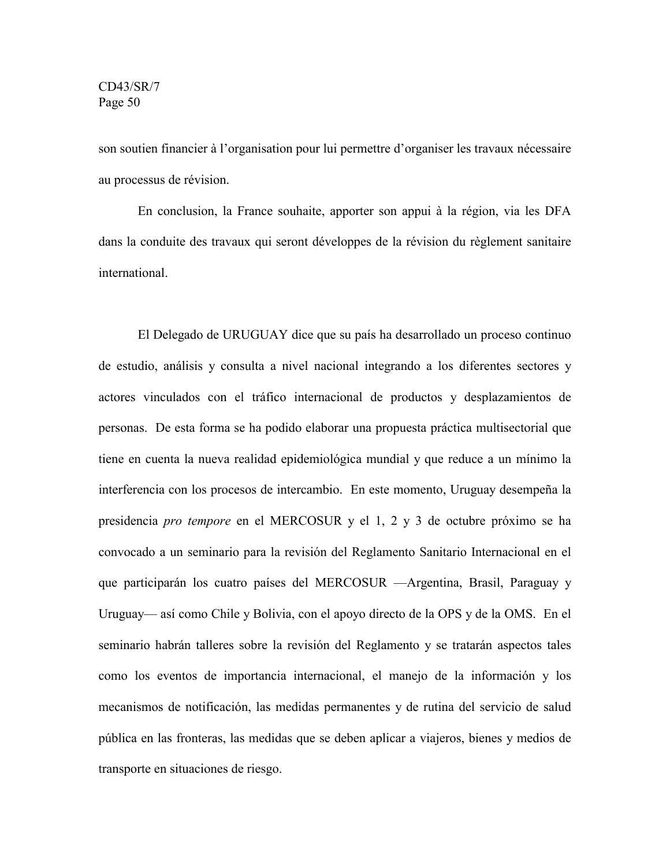son soutien financier à l'organisation pour lui permettre d'organiser les travaux nécessaire au processus de révision.

En conclusion, la France souhaite, apporter son appui à la région, via les DFA dans la conduite des travaux qui seront développes de la révision du règlement sanitaire international.

El Delegado de URUGUAY dice que su país ha desarrollado un proceso continuo de estudio, análisis y consulta a nivel nacional integrando a los diferentes sectores y actores vinculados con el tráfico internacional de productos y desplazamientos de personas. De esta forma se ha podido elaborar una propuesta práctica multisectorial que tiene en cuenta la nueva realidad epidemiológica mundial y que reduce a un mínimo la interferencia con los procesos de intercambio. En este momento, Uruguay desempeña la presidencia *pro tempore* en el MERCOSUR y el 1, 2 y 3 de octubre próximo se ha convocado a un seminario para la revisión del Reglamento Sanitario Internacional en el que participarán los cuatro países del MERCOSUR —Argentina, Brasil, Paraguay y Uruguay— así como Chile y Bolivia, con el apoyo directo de la OPS y de la OMS. En el seminario habrán talleres sobre la revisión del Reglamento y se tratarán aspectos tales como los eventos de importancia internacional, el manejo de la información y los mecanismos de notificación, las medidas permanentes y de rutina del servicio de salud pública en las fronteras, las medidas que se deben aplicar a viajeros, bienes y medios de transporte en situaciones de riesgo.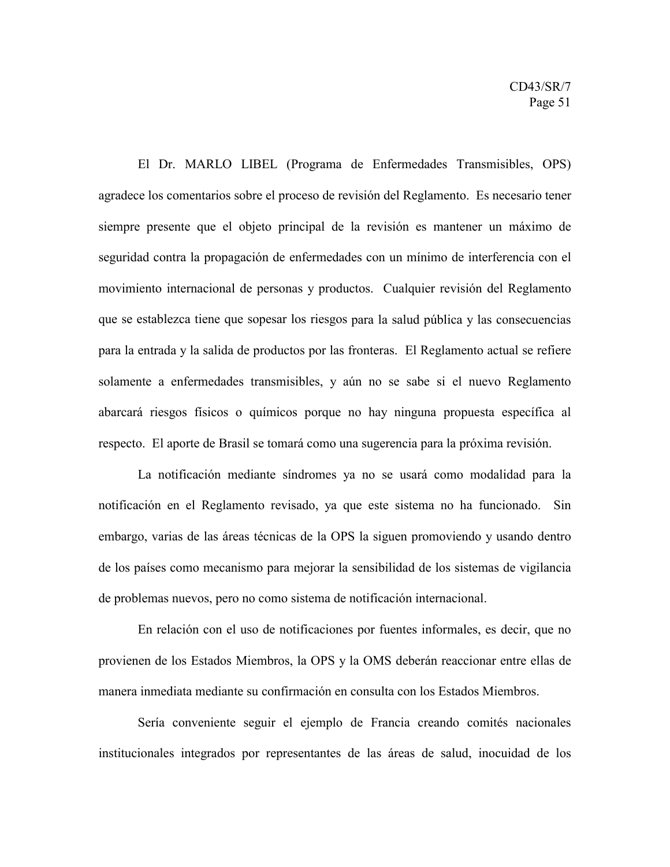El Dr. MARLO LIBEL (Programa de Enfermedades Transmisibles, OPS) agradece los comentarios sobre el proceso de revisión del Reglamento. Es necesario tener siempre presente que el objeto principal de la revisión es mantener un máximo de seguridad contra la propagación de enfermedades con un mínimo de interferencia con el movimiento internacional de personas y productos. Cualquier revisión del Reglamento que se establezca tiene que sopesar los riesgos para la salud pública y las consecuencias para la entrada y la salida de productos por las fronteras. El Reglamento actual se refiere solamente a enfermedades transmisibles, y aún no se sabe si el nuevo Reglamento abarcará riesgos físicos o químicos porque no hay ninguna propuesta específica al respecto. El aporte de Brasil se tomará como una sugerencia para la próxima revisión.

La notificación mediante síndromes ya no se usará como modalidad para la notificación en el Reglamento revisado, ya que este sistema no ha funcionado. Sin embargo, varias de las áreas técnicas de la OPS la siguen promoviendo y usando dentro de los países como mecanismo para mejorar la sensibilidad de los sistemas de vigilancia de problemas nuevos, pero no como sistema de notificación internacional.

En relación con el uso de notificaciones por fuentes informales, es decir, que no provienen de los Estados Miembros, la OPS y la OMS deberán reaccionar entre ellas de manera inmediata mediante su confirmación en consulta con los Estados Miembros.

Sería conveniente seguir el ejemplo de Francia creando comités nacionales institucionales integrados por representantes de las áreas de salud, inocuidad de los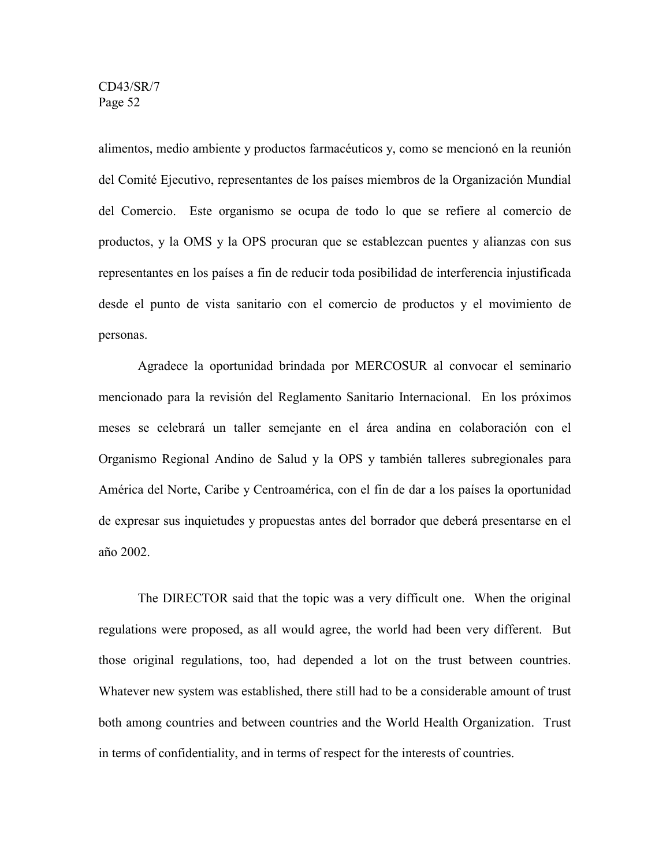alimentos, medio ambiente y productos farmacéuticos y, como se mencionó en la reunión del Comité Ejecutivo, representantes de los países miembros de la Organización Mundial del Comercio. Este organismo se ocupa de todo lo que se refiere al comercio de productos, y la OMS y la OPS procuran que se establezcan puentes y alianzas con sus representantes en los países a fin de reducir toda posibilidad de interferencia injustificada desde el punto de vista sanitario con el comercio de productos y el movimiento de personas.

Agradece la oportunidad brindada por MERCOSUR al convocar el seminario mencionado para la revisión del Reglamento Sanitario Internacional. En los próximos meses se celebrará un taller semejante en el área andina en colaboración con el Organismo Regional Andino de Salud y la OPS y también talleres subregionales para América del Norte, Caribe y Centroamérica, con el fin de dar a los países la oportunidad de expresar sus inquietudes y propuestas antes del borrador que deberá presentarse en el año 2002.

The DIRECTOR said that the topic was a very difficult one. When the original regulations were proposed, as all would agree, the world had been very different. But those original regulations, too, had depended a lot on the trust between countries. Whatever new system was established, there still had to be a considerable amount of trust both among countries and between countries and the World Health Organization. Trust in terms of confidentiality, and in terms of respect for the interests of countries.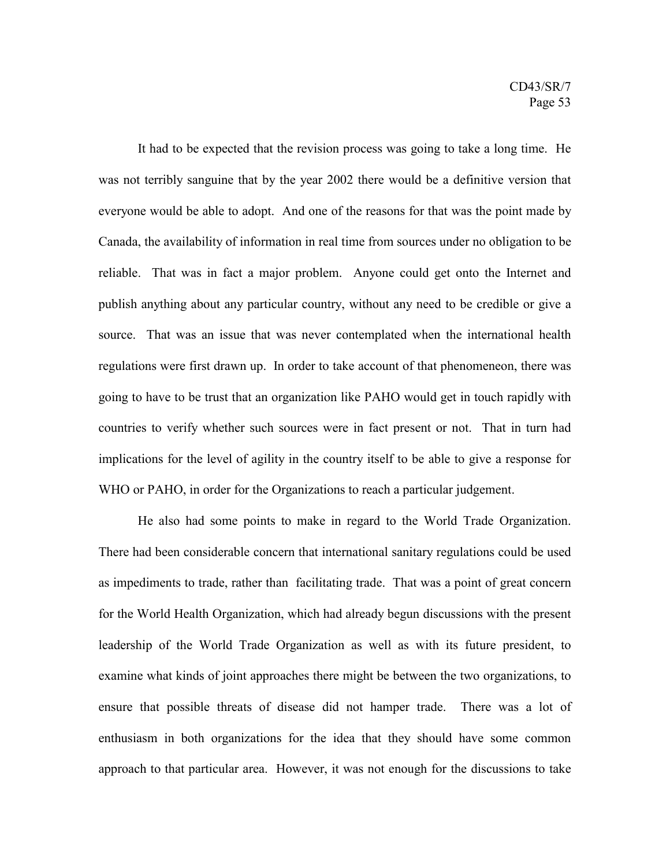It had to be expected that the revision process was going to take a long time. He was not terribly sanguine that by the year 2002 there would be a definitive version that everyone would be able to adopt. And one of the reasons for that was the point made by Canada, the availability of information in real time from sources under no obligation to be reliable. That was in fact a major problem. Anyone could get onto the Internet and publish anything about any particular country, without any need to be credible or give a source. That was an issue that was never contemplated when the international health regulations were first drawn up. In order to take account of that phenomeneon, there was going to have to be trust that an organization like PAHO would get in touch rapidly with countries to verify whether such sources were in fact present or not. That in turn had implications for the level of agility in the country itself to be able to give a response for WHO or PAHO, in order for the Organizations to reach a particular judgement.

He also had some points to make in regard to the World Trade Organization. There had been considerable concern that international sanitary regulations could be used as impediments to trade, rather than facilitating trade. That was a point of great concern for the World Health Organization, which had already begun discussions with the present leadership of the World Trade Organization as well as with its future president, to examine what kinds of joint approaches there might be between the two organizations, to ensure that possible threats of disease did not hamper trade. There was a lot of enthusiasm in both organizations for the idea that they should have some common approach to that particular area. However, it was not enough for the discussions to take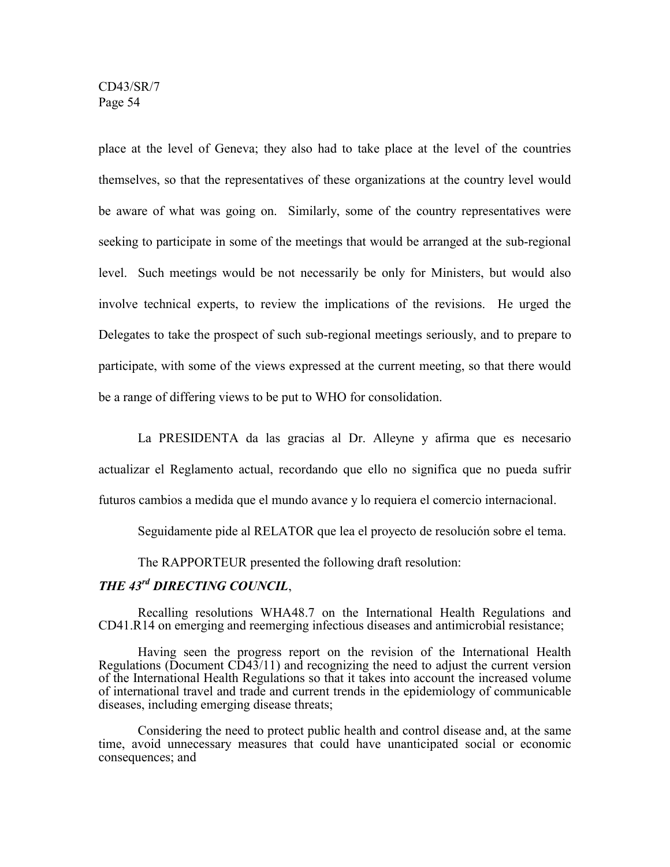place at the level of Geneva; they also had to take place at the level of the countries themselves, so that the representatives of these organizations at the country level would be aware of what was going on. Similarly, some of the country representatives were seeking to participate in some of the meetings that would be arranged at the sub-regional level. Such meetings would be not necessarily be only for Ministers, but would also involve technical experts, to review the implications of the revisions. He urged the Delegates to take the prospect of such sub-regional meetings seriously, and to prepare to participate, with some of the views expressed at the current meeting, so that there would be a range of differing views to be put to WHO for consolidation.

La PRESIDENTA da las gracias al Dr. Alleyne y afirma que es necesario actualizar el Reglamento actual, recordando que ello no significa que no pueda sufrir futuros cambios a medida que el mundo avance y lo requiera el comercio internacional.

Seguidamente pide al RELATOR que lea el proyecto de resolución sobre el tema.

The RAPPORTEUR presented the following draft resolution:

## *THE 43rd DIRECTING COUNCIL*,

Recalling resolutions WHA48.7 on the International Health Regulations and CD41.R14 on emerging and reemerging infectious diseases and antimicrobial resistance;

Having seen the progress report on the revision of the International Health Regulations (Document CD43/11) and recognizing the need to adjust the current version of the International Health Regulations so that it takes into account the increased volume of international travel and trade and current trends in the epidemiology of communicable diseases, including emerging disease threats;

Considering the need to protect public health and control disease and, at the same time, avoid unnecessary measures that could have unanticipated social or economic consequences; and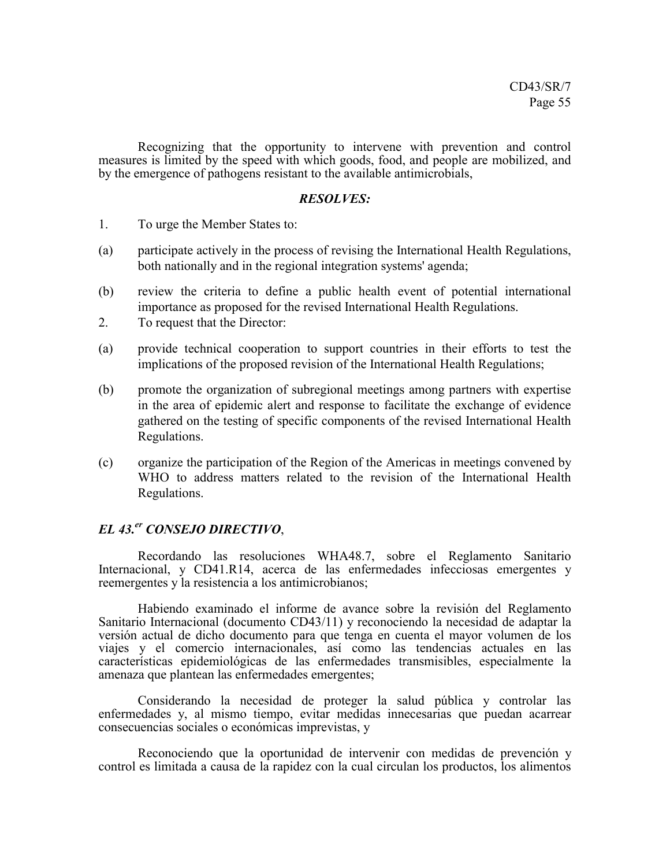Recognizing that the opportunity to intervene with prevention and control measures is limited by the speed with which goods, food, and people are mobilized, and by the emergence of pathogens resistant to the available antimicrobials,

#### *RESOLVES:*

- 1. To urge the Member States to:
- (a) participate actively in the process of revising the International Health Regulations, both nationally and in the regional integration systems' agenda;
- (b) review the criteria to define a public health event of potential international importance as proposed for the revised International Health Regulations.
- 2. To request that the Director:
- (a) provide technical cooperation to support countries in their efforts to test the implications of the proposed revision of the International Health Regulations;
- (b) promote the organization of subregional meetings among partners with expertise in the area of epidemic alert and response to facilitate the exchange of evidence gathered on the testing of specific components of the revised International Health Regulations.
- (c) organize the participation of the Region of the Americas in meetings convened by WHO to address matters related to the revision of the International Health Regulations.

#### *EL 43.er CONSEJO DIRECTIVO*,

Recordando las resoluciones WHA48.7, sobre el Reglamento Sanitario Internacional, y CD41.R14, acerca de las enfermedades infecciosas emergentes y reemergentes y la resistencia a los antimicrobianos;

Habiendo examinado el informe de avance sobre la revisión del Reglamento Sanitario Internacional (documento CD43/11) y reconociendo la necesidad de adaptar la versión actual de dicho documento para que tenga en cuenta el mayor volumen de los viajes y el comercio internacionales, así como las tendencias actuales en las características epidemiológicas de las enfermedades transmisibles, especialmente la amenaza que plantean las enfermedades emergentes;

Considerando la necesidad de proteger la salud pública y controlar las enfermedades y, al mismo tiempo, evitar medidas innecesarias que puedan acarrear consecuencias sociales o económicas imprevistas, y

Reconociendo que la oportunidad de intervenir con medidas de prevención y control es limitada a causa de la rapidez con la cual circulan los productos, los alimentos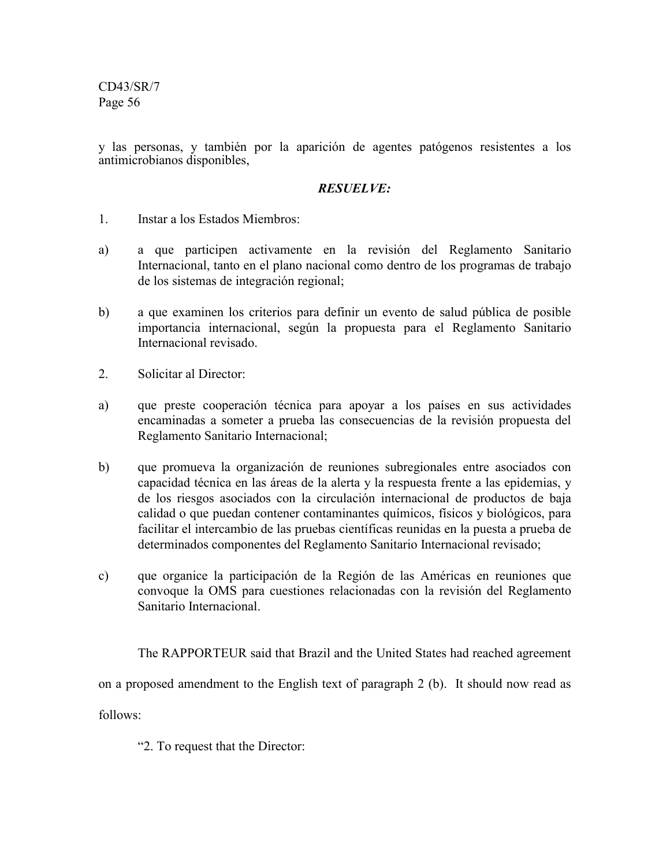y las personas, y también por la aparición de agentes patógenos resistentes a los antimicrobianos disponibles,

## *RESUELVE:*

- 1. Instar a los Estados Miembros:
- a) a que participen activamente en la revisión del Reglamento Sanitario Internacional, tanto en el plano nacional como dentro de los programas de trabajo de los sistemas de integración regional;
- b) a que examinen los criterios para definir un evento de salud pública de posible importancia internacional, según la propuesta para el Reglamento Sanitario Internacional revisado.
- 2. Solicitar al Director:
- a) que preste cooperación técnica para apoyar a los países en sus actividades encaminadas a someter a prueba las consecuencias de la revisión propuesta del Reglamento Sanitario Internacional;
- b) que promueva la organización de reuniones subregionales entre asociados con capacidad técnica en las áreas de la alerta y la respuesta frente a las epidemias, y de los riesgos asociados con la circulación internacional de productos de baja calidad o que puedan contener contaminantes químicos, físicos y biológicos, para facilitar el intercambio de las pruebas científicas reunidas en la puesta a prueba de determinados componentes del Reglamento Sanitario Internacional revisado;
- c) que organice la participación de la Región de las Américas en reuniones que convoque la OMS para cuestiones relacionadas con la revisión del Reglamento Sanitario Internacional.

The RAPPORTEUR said that Brazil and the United States had reached agreement on a proposed amendment to the English text of paragraph 2 (b). It should now read as follows:

"2. To request that the Director: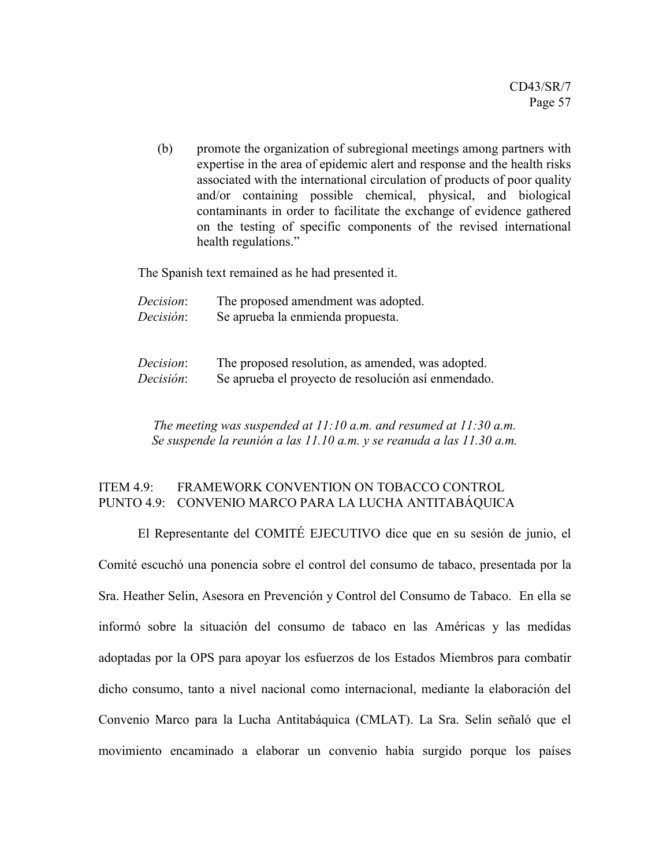(b) promote the organization of subregional meetings among partners with expertise in the area of epidemic alert and response and the health risks associated with the international circulation of products of poor quality and/or containing possible chemical, physical, and biological contaminants in order to facilitate the exchange of evidence gathered on the testing of specific components of the revised international health regulations."

The Spanish text remained as he had presented it.

| Decision: | The proposed amendment was adopted. |
|-----------|-------------------------------------|
| Decisión: | Se aprueba la enmienda propuesta.   |

| Decision: | The proposed resolution, as amended, was adopted.   |
|-----------|-----------------------------------------------------|
| Decisión: | Se aprueba el proyecto de resolución así enmendado. |

*The meeting was suspended at 11:10 a.m. and resumed at 11:30 a.m. Se suspende la reunión a las 11.10 a.m. y se reanuda a las 11.30 a.m.*

## ITEM 4.9: FRAMEWORK CONVENTION ON TOBACCO CONTROL PUNTO 4.9: CONVENIO MARCO PARA LA LUCHA ANTITABÁQUICA

El Representante del COMITÉ EJECUTIVO dice que en su sesión de junio, el Comité escuchó una ponencia sobre el control del consumo de tabaco, presentada por la Sra. Heather Selin, Asesora en Prevención y Control del Consumo de Tabaco. En ella se informó sobre la situación del consumo de tabaco en las Américas y las medidas adoptadas por la OPS para apoyar los esfuerzos de los Estados Miembros para combatir dicho consumo, tanto a nivel nacional como internacional, mediante la elaboración del Convenio Marco para la Lucha Antitabáquica (CMLAT). La Sra. Selin señaló que el movimiento encaminado a elaborar un convenio había surgido porque los países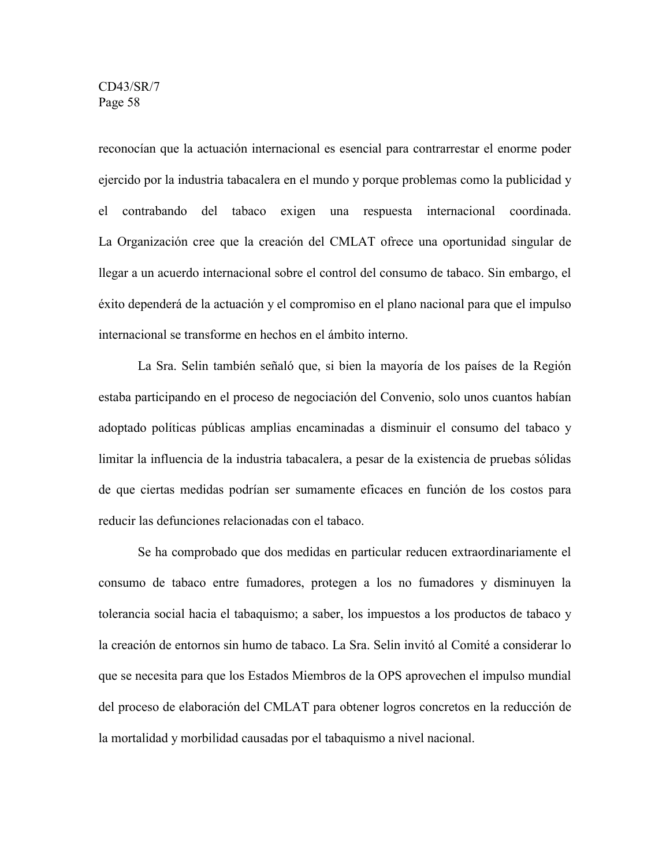reconocían que la actuación internacional es esencial para contrarrestar el enorme poder ejercido por la industria tabacalera en el mundo y porque problemas como la publicidad y el contrabando del tabaco exigen una respuesta internacional coordinada. La Organización cree que la creación del CMLAT ofrece una oportunidad singular de llegar a un acuerdo internacional sobre el control del consumo de tabaco. Sin embargo, el éxito dependerá de la actuación y el compromiso en el plano nacional para que el impulso internacional se transforme en hechos en el ámbito interno.

La Sra. Selin también señaló que, si bien la mayoría de los países de la Región estaba participando en el proceso de negociación del Convenio, solo unos cuantos habían adoptado políticas públicas amplias encaminadas a disminuir el consumo del tabaco y limitar la influencia de la industria tabacalera, a pesar de la existencia de pruebas sólidas de que ciertas medidas podrían ser sumamente eficaces en función de los costos para reducir las defunciones relacionadas con el tabaco.

Se ha comprobado que dos medidas en particular reducen extraordinariamente el consumo de tabaco entre fumadores, protegen a los no fumadores y disminuyen la tolerancia social hacia el tabaquismo; a saber, los impuestos a los productos de tabaco y la creación de entornos sin humo de tabaco. La Sra. Selin invitó al Comité a considerar lo que se necesita para que los Estados Miembros de la OPS aprovechen el impulso mundial del proceso de elaboración del CMLAT para obtener logros concretos en la reducción de la mortalidad y morbilidad causadas por el tabaquismo a nivel nacional.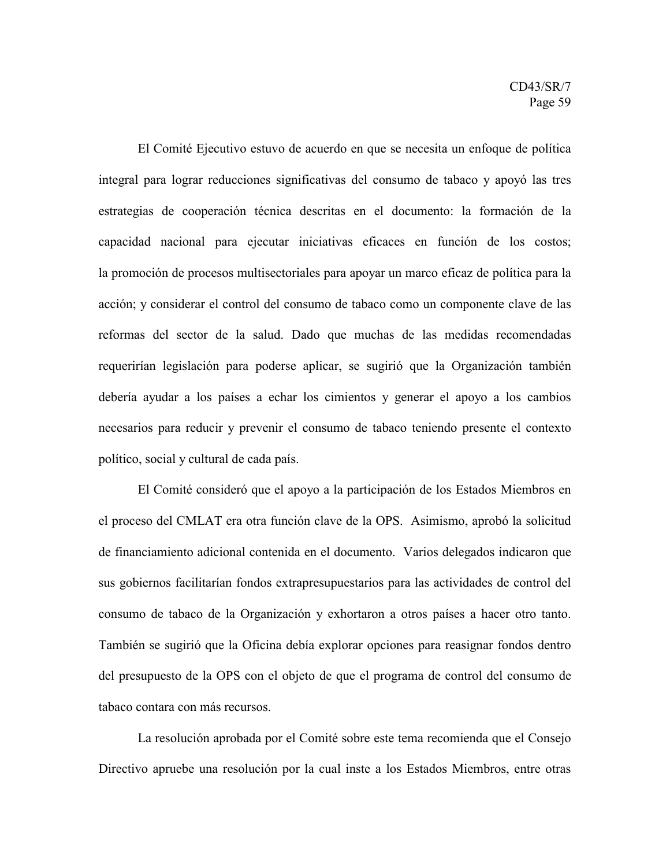El Comité Ejecutivo estuvo de acuerdo en que se necesita un enfoque de política integral para lograr reducciones significativas del consumo de tabaco y apoyó las tres estrategias de cooperación técnica descritas en el documento: la formación de la capacidad nacional para ejecutar iniciativas eficaces en función de los costos; la promoción de procesos multisectoriales para apoyar un marco eficaz de política para la acción; y considerar el control del consumo de tabaco como un componente clave de las reformas del sector de la salud. Dado que muchas de las medidas recomendadas requerirían legislación para poderse aplicar, se sugirió que la Organización también debería ayudar a los países a echar los cimientos y generar el apoyo a los cambios necesarios para reducir y prevenir el consumo de tabaco teniendo presente el contexto político, social y cultural de cada país.

El Comité consideró que el apoyo a la participación de los Estados Miembros en el proceso del CMLAT era otra función clave de la OPS. Asimismo, aprobó la solicitud de financiamiento adicional contenida en el documento. Varios delegados indicaron que sus gobiernos facilitarían fondos extrapresupuestarios para las actividades de control del consumo de tabaco de la Organización y exhortaron a otros países a hacer otro tanto. También se sugirió que la Oficina debía explorar opciones para reasignar fondos dentro del presupuesto de la OPS con el objeto de que el programa de control del consumo de tabaco contara con más recursos.

La resolución aprobada por el Comité sobre este tema recomienda que el Consejo Directivo apruebe una resolución por la cual inste a los Estados Miembros, entre otras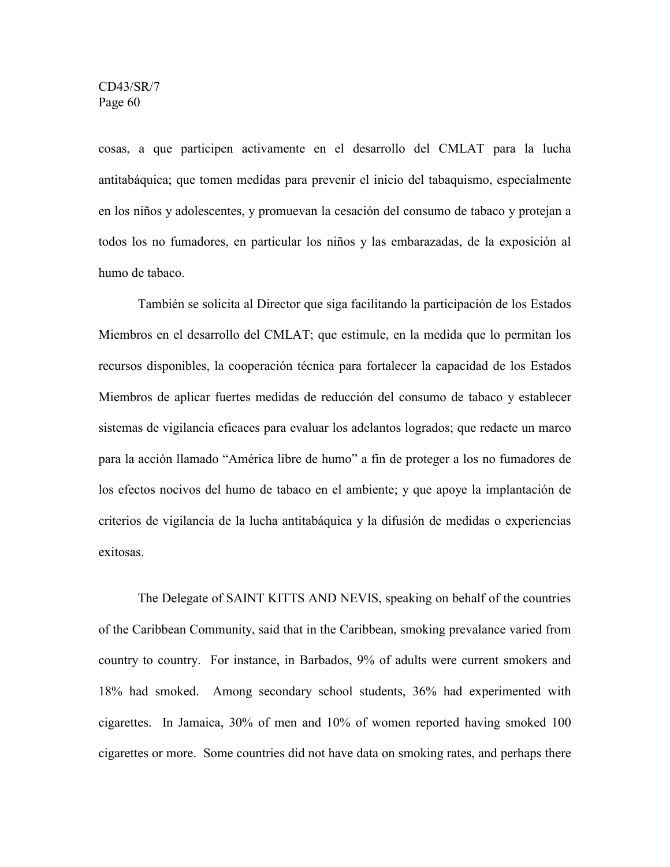cosas, a que participen activamente en el desarrollo del CMLAT para la lucha antitabáquica; que tomen medidas para prevenir el inicio del tabaquismo, especialmente en los niños y adolescentes, y promuevan la cesación del consumo de tabaco y protejan a todos los no fumadores, en particular los niños y las embarazadas, de la exposición al humo de tabaco.

También se solicita al Director que siga facilitando la participación de los Estados Miembros en el desarrollo del CMLAT; que estimule, en la medida que lo permitan los recursos disponibles, la cooperación técnica para fortalecer la capacidad de los Estados Miembros de aplicar fuertes medidas de reducción del consumo de tabaco y establecer sistemas de vigilancia eficaces para evaluar los adelantos logrados; que redacte un marco para la acción llamado "América libre de humo" a fin de proteger a los no fumadores de los efectos nocivos del humo de tabaco en el ambiente; y que apoye la implantación de criterios de vigilancia de la lucha antitabáquica y la difusión de medidas o experiencias exitosas.

The Delegate of SAINT KITTS AND NEVIS, speaking on behalf of the countries of the Caribbean Community, said that in the Caribbean, smoking prevalance varied from country to country. For instance, in Barbados, 9% of adults were current smokers and 18% had smoked. Among secondary school students, 36% had experimented with cigarettes. In Jamaica, 30% of men and 10% of women reported having smoked 100 cigarettes or more. Some countries did not have data on smoking rates, and perhaps there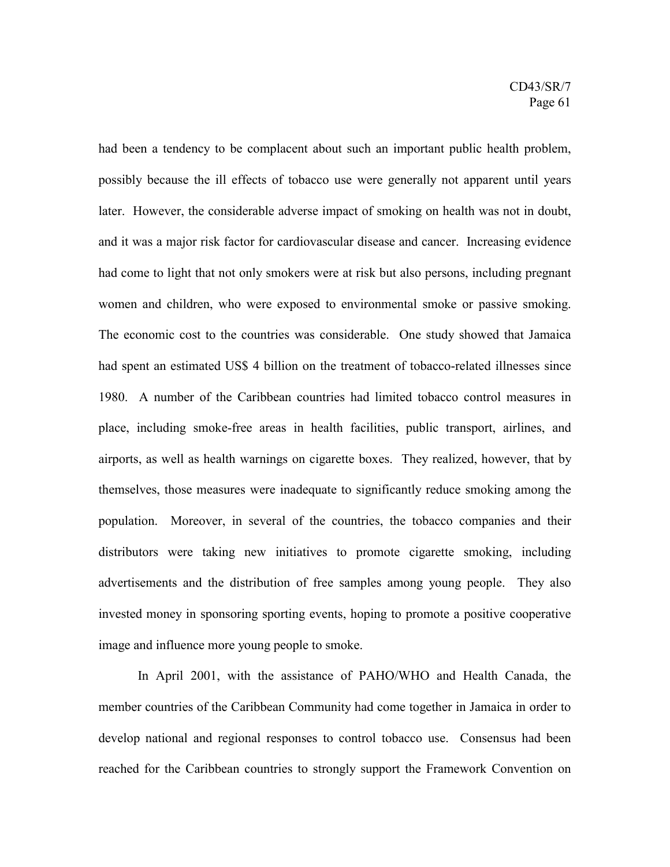had been a tendency to be complacent about such an important public health problem, possibly because the ill effects of tobacco use were generally not apparent until years later. However, the considerable adverse impact of smoking on health was not in doubt, and it was a major risk factor for cardiovascular disease and cancer. Increasing evidence had come to light that not only smokers were at risk but also persons, including pregnant women and children, who were exposed to environmental smoke or passive smoking. The economic cost to the countries was considerable. One study showed that Jamaica had spent an estimated US\$ 4 billion on the treatment of tobacco-related illnesses since 1980. A number of the Caribbean countries had limited tobacco control measures in place, including smoke-free areas in health facilities, public transport, airlines, and airports, as well as health warnings on cigarette boxes. They realized, however, that by themselves, those measures were inadequate to significantly reduce smoking among the population. Moreover, in several of the countries, the tobacco companies and their distributors were taking new initiatives to promote cigarette smoking, including advertisements and the distribution of free samples among young people. They also invested money in sponsoring sporting events, hoping to promote a positive cooperative image and influence more young people to smoke.

In April 2001, with the assistance of PAHO/WHO and Health Canada, the member countries of the Caribbean Community had come together in Jamaica in order to develop national and regional responses to control tobacco use. Consensus had been reached for the Caribbean countries to strongly support the Framework Convention on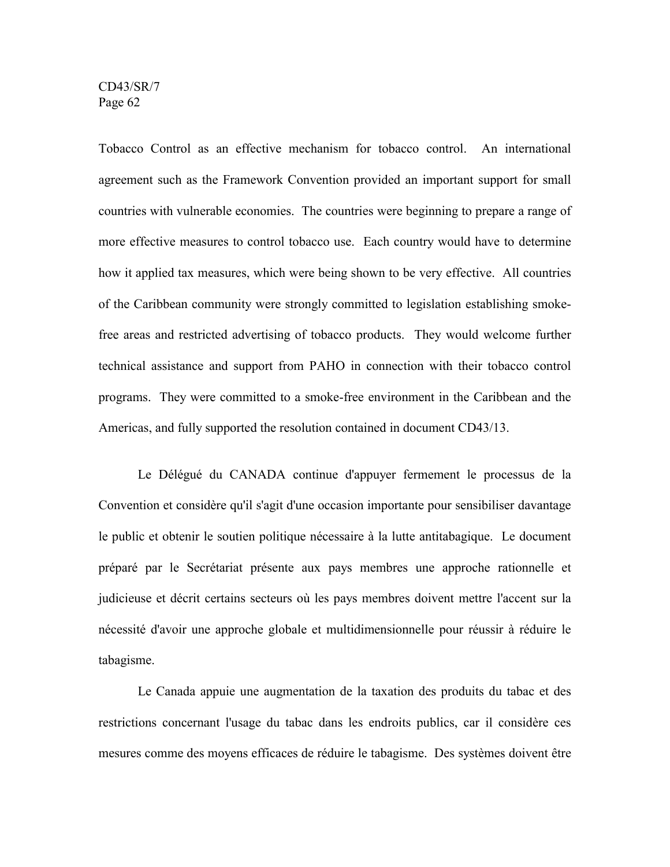Tobacco Control as an effective mechanism for tobacco control. An international agreement such as the Framework Convention provided an important support for small countries with vulnerable economies. The countries were beginning to prepare a range of more effective measures to control tobacco use. Each country would have to determine how it applied tax measures, which were being shown to be very effective. All countries of the Caribbean community were strongly committed to legislation establishing smokefree areas and restricted advertising of tobacco products. They would welcome further technical assistance and support from PAHO in connection with their tobacco control programs. They were committed to a smoke-free environment in the Caribbean and the Americas, and fully supported the resolution contained in document CD43/13.

Le Délégué du CANADA continue d'appuyer fermement le processus de la Convention et considère qu'il s'agit d'une occasion importante pour sensibiliser davantage le public et obtenir le soutien politique nécessaire à la lutte antitabagique. Le document préparé par le Secrétariat présente aux pays membres une approche rationnelle et judicieuse et décrit certains secteurs où les pays membres doivent mettre l'accent sur la nécessité d'avoir une approche globale et multidimensionnelle pour réussir à réduire le tabagisme.

Le Canada appuie une augmentation de la taxation des produits du tabac et des restrictions concernant l'usage du tabac dans les endroits publics, car il considère ces mesures comme des moyens efficaces de réduire le tabagisme. Des systèmes doivent être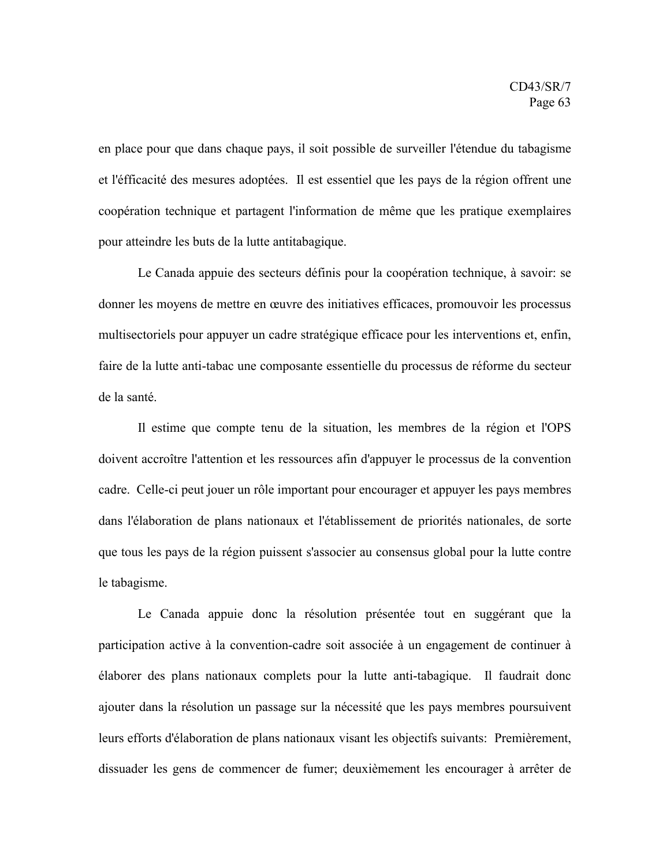en place pour que dans chaque pays, il soit possible de surveiller l'étendue du tabagisme et l'éfficacité des mesures adoptées. Il est essentiel que les pays de la région offrent une coopération technique et partagent l'information de même que les pratique exemplaires pour atteindre les buts de la lutte antitabagique.

Le Canada appuie des secteurs définis pour la coopération technique, à savoir: se donner les moyens de mettre en œuvre des initiatives efficaces, promouvoir les processus multisectoriels pour appuyer un cadre stratégique efficace pour les interventions et, enfin, faire de la lutte anti-tabac une composante essentielle du processus de réforme du secteur de la santé.

Il estime que compte tenu de la situation, les membres de la région et l'OPS doivent accroître l'attention et les ressources afin d'appuyer le processus de la convention cadre. Celle-ci peut jouer un rôle important pour encourager et appuyer les pays membres dans l'élaboration de plans nationaux et l'établissement de priorités nationales, de sorte que tous les pays de la région puissent s'associer au consensus global pour la lutte contre le tabagisme.

Le Canada appuie donc la résolution présentée tout en suggérant que la participation active à la convention-cadre soit associée à un engagement de continuer à élaborer des plans nationaux complets pour la lutte anti-tabagique. Il faudrait donc ajouter dans la résolution un passage sur la nécessité que les pays membres poursuivent leurs efforts d'élaboration de plans nationaux visant les objectifs suivants: Premièrement, dissuader les gens de commencer de fumer; deuxièmement les encourager à arrêter de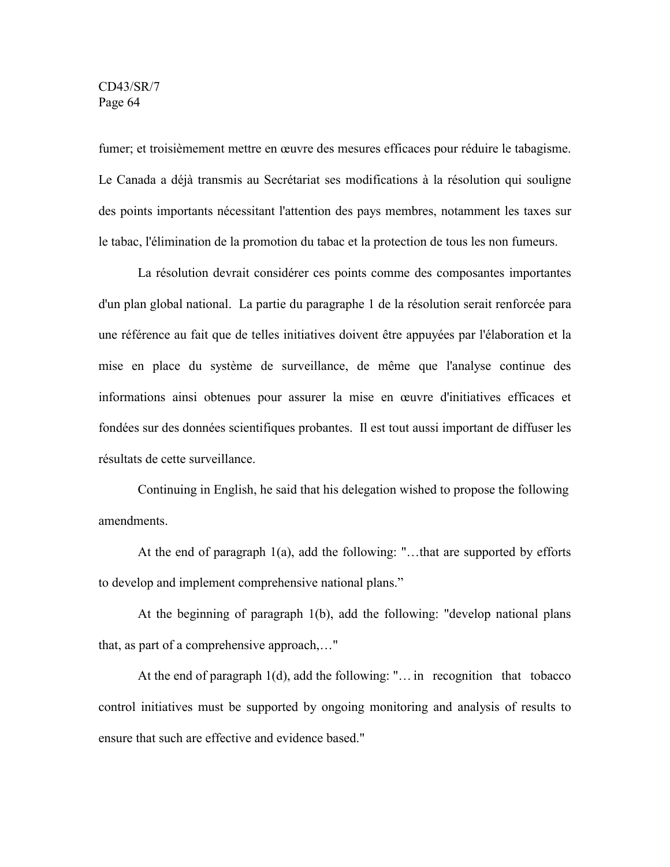fumer; et troisièmement mettre en œuvre des mesures efficaces pour réduire le tabagisme. Le Canada a déjà transmis au Secrétariat ses modifications à la résolution qui souligne des points importants nécessitant l'attention des pays membres, notamment les taxes sur le tabac, l'élimination de la promotion du tabac et la protection de tous les non fumeurs.

La résolution devrait considérer ces points comme des composantes importantes d'un plan global national. La partie du paragraphe 1 de la résolution serait renforcée para une référence au fait que de telles initiatives doivent être appuyées par l'élaboration et la mise en place du système de surveillance, de même que l'analyse continue des informations ainsi obtenues pour assurer la mise en œuvre d'initiatives efficaces et fondées sur des données scientifiques probantes. Il est tout aussi important de diffuser les résultats de cette surveillance.

Continuing in English, he said that his delegation wished to propose the following amendments.

At the end of paragraph 1(a), add the following: "…that are supported by efforts to develop and implement comprehensive national plans."

At the beginning of paragraph 1(b), add the following: "develop national plans that, as part of a comprehensive approach,…"

At the end of paragraph 1(d), add the following: "… in recognition that tobacco control initiatives must be supported by ongoing monitoring and analysis of results to ensure that such are effective and evidence based."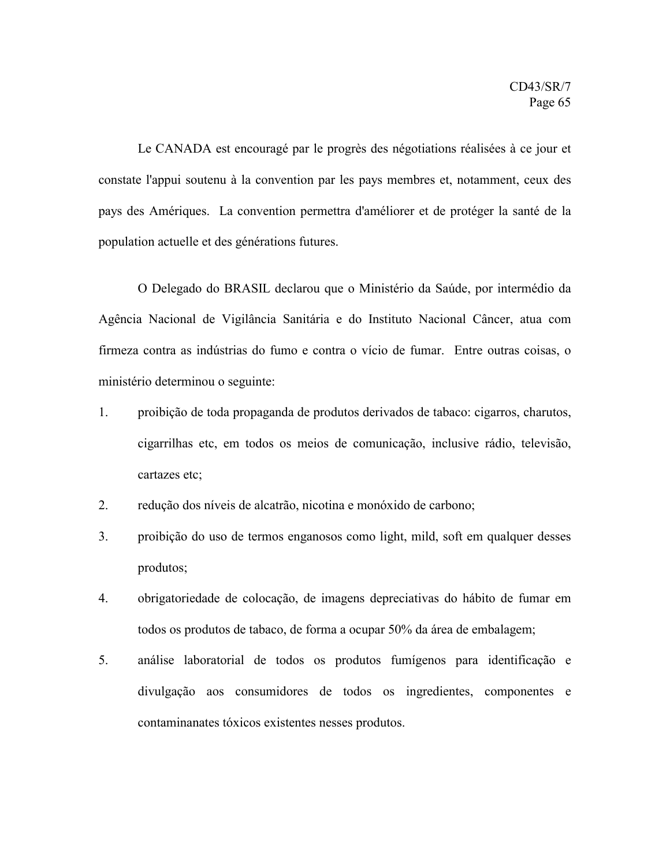Le CANADA est encouragé par le progrès des négotiations réalisées à ce jour et constate l'appui soutenu à la convention par les pays membres et, notamment, ceux des pays des Amériques. La convention permettra d'améliorer et de protéger la santé de la population actuelle et des générations futures.

O Delegado do BRASIL declarou que o Ministério da Saúde, por intermédio da Agência Nacional de Vigilância Sanitária e do Instituto Nacional Câncer, atua com firmeza contra as indústrias do fumo e contra o vício de fumar. Entre outras coisas, o ministério determinou o seguinte:

- 1. proibição de toda propaganda de produtos derivados de tabaco: cigarros, charutos, cigarrilhas etc, em todos os meios de comunicação, inclusive rádio, televisão, cartazes etc;
- 2. redução dos níveis de alcatrão, nicotina e monóxido de carbono;
- 3. proibição do uso de termos enganosos como light, mild, soft em qualquer desses produtos;
- 4. obrigatoriedade de colocação, de imagens depreciativas do hábito de fumar em todos os produtos de tabaco, de forma a ocupar 50% da área de embalagem;
- 5. análise laboratorial de todos os produtos fumígenos para identificação e divulgação aos consumidores de todos os ingredientes, componentes e contaminanates tóxicos existentes nesses produtos.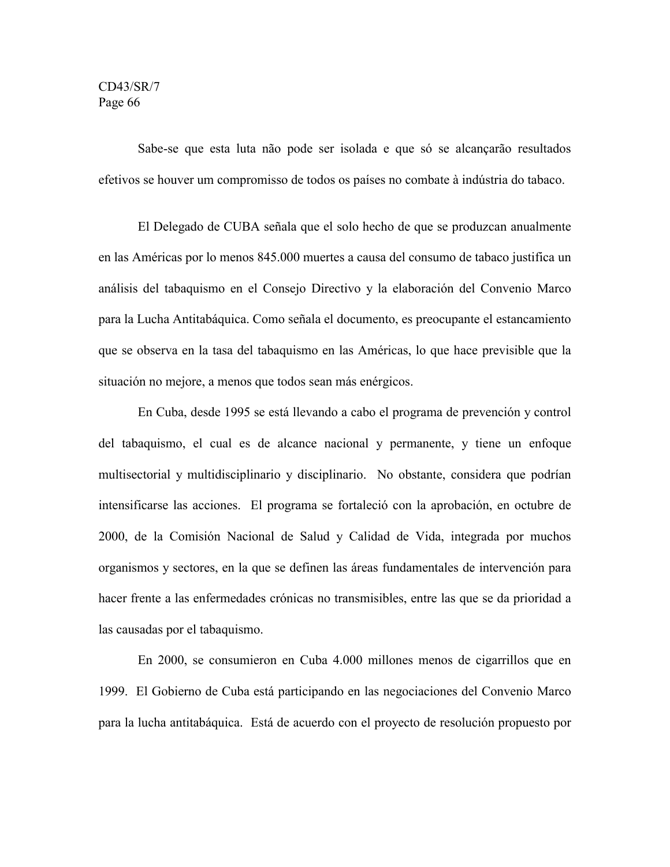Sabe-se que esta luta não pode ser isolada e que só se alcançarão resultados efetivos se houver um compromisso de todos os países no combate à indústria do tabaco.

El Delegado de CUBA señala que el solo hecho de que se produzcan anualmente en las Américas por lo menos 845.000 muertes a causa del consumo de tabaco justifica un análisis del tabaquismo en el Consejo Directivo y la elaboración del Convenio Marco para la Lucha Antitabáquica. Como señala el documento, es preocupante el estancamiento que se observa en la tasa del tabaquismo en las Américas, lo que hace previsible que la situación no mejore, a menos que todos sean más enérgicos.

En Cuba, desde 1995 se está llevando a cabo el programa de prevención y control del tabaquismo, el cual es de alcance nacional y permanente, y tiene un enfoque multisectorial y multidisciplinario y disciplinario. No obstante, considera que podrían intensificarse las acciones. El programa se fortaleció con la aprobación, en octubre de 2000, de la Comisión Nacional de Salud y Calidad de Vida, integrada por muchos organismos y sectores, en la que se definen las áreas fundamentales de intervención para hacer frente a las enfermedades crónicas no transmisibles, entre las que se da prioridad a las causadas por el tabaquismo.

En 2000, se consumieron en Cuba 4.000 millones menos de cigarrillos que en 1999. El Gobierno de Cuba está participando en las negociaciones del Convenio Marco para la lucha antitabáquica. Está de acuerdo con el proyecto de resolución propuesto por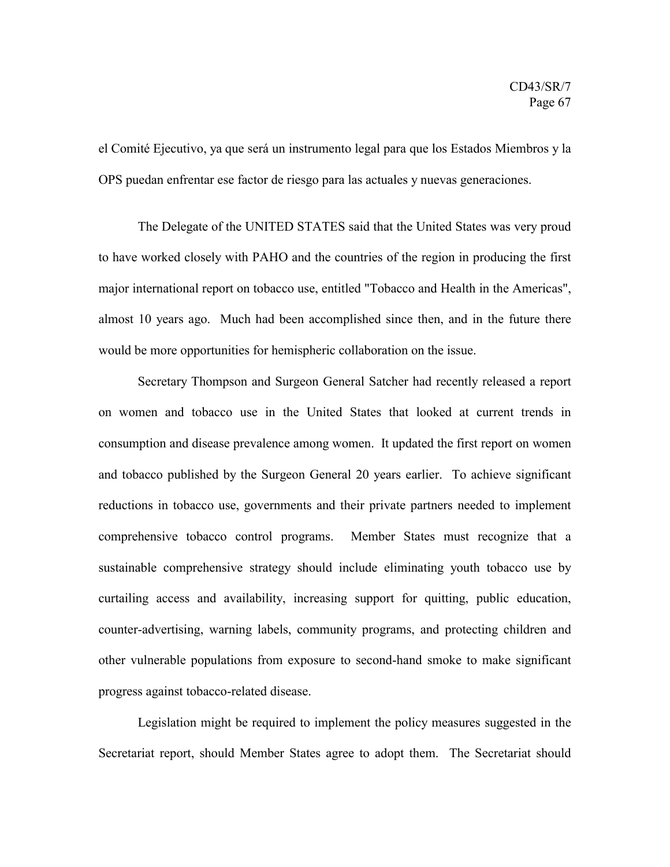el Comité Ejecutivo, ya que será un instrumento legal para que los Estados Miembros y la OPS puedan enfrentar ese factor de riesgo para las actuales y nuevas generaciones.

The Delegate of the UNITED STATES said that the United States was very proud to have worked closely with PAHO and the countries of the region in producing the first major international report on tobacco use, entitled "Tobacco and Health in the Americas", almost 10 years ago. Much had been accomplished since then, and in the future there would be more opportunities for hemispheric collaboration on the issue.

Secretary Thompson and Surgeon General Satcher had recently released a report on women and tobacco use in the United States that looked at current trends in consumption and disease prevalence among women. It updated the first report on women and tobacco published by the Surgeon General 20 years earlier. To achieve significant reductions in tobacco use, governments and their private partners needed to implement comprehensive tobacco control programs. Member States must recognize that a sustainable comprehensive strategy should include eliminating youth tobacco use by curtailing access and availability, increasing support for quitting, public education, counter-advertising, warning labels, community programs, and protecting children and other vulnerable populations from exposure to second-hand smoke to make significant progress against tobacco-related disease.

Legislation might be required to implement the policy measures suggested in the Secretariat report, should Member States agree to adopt them. The Secretariat should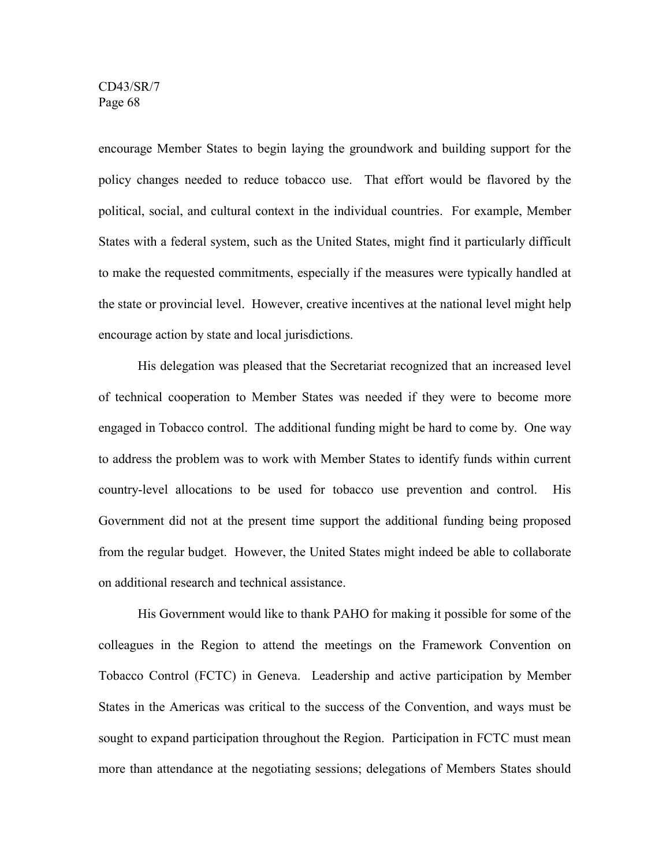encourage Member States to begin laying the groundwork and building support for the policy changes needed to reduce tobacco use. That effort would be flavored by the political, social, and cultural context in the individual countries. For example, Member States with a federal system, such as the United States, might find it particularly difficult to make the requested commitments, especially if the measures were typically handled at the state or provincial level. However, creative incentives at the national level might help encourage action by state and local jurisdictions.

His delegation was pleased that the Secretariat recognized that an increased level of technical cooperation to Member States was needed if they were to become more engaged in Tobacco control. The additional funding might be hard to come by. One way to address the problem was to work with Member States to identify funds within current country-level allocations to be used for tobacco use prevention and control. His Government did not at the present time support the additional funding being proposed from the regular budget. However, the United States might indeed be able to collaborate on additional research and technical assistance.

His Government would like to thank PAHO for making it possible for some of the colleagues in the Region to attend the meetings on the Framework Convention on Tobacco Control (FCTC) in Geneva. Leadership and active participation by Member States in the Americas was critical to the success of the Convention, and ways must be sought to expand participation throughout the Region. Participation in FCTC must mean more than attendance at the negotiating sessions; delegations of Members States should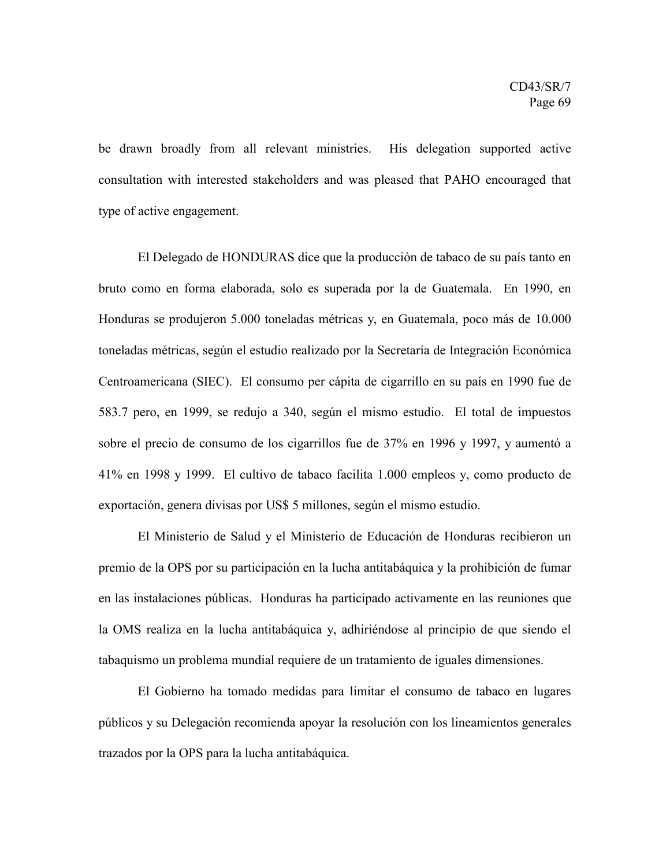be drawn broadly from all relevant ministries. His delegation supported active consultation with interested stakeholders and was pleased that PAHO encouraged that type of active engagement.

El Delegado de HONDURAS dice que la producción de tabaco de su país tanto en bruto como en forma elaborada, solo es superada por la de Guatemala. En 1990, en Honduras se produjeron 5.000 toneladas métricas y, en Guatemala, poco más de 10.000 toneladas métricas, según el estudio realizado por la Secretaría de Integración Económica Centroamericana (SIEC). El consumo per cápita de cigarrillo en su país en 1990 fue de 583.7 pero, en 1999, se redujo a 340, según el mismo estudio. El total de impuestos sobre el precio de consumo de los cigarrillos fue de 37% en 1996 y 1997, y aumentó a 41% en 1998 y 1999. El cultivo de tabaco facilita 1.000 empleos y, como producto de exportación, genera divisas por US\$ 5 millones, según el mismo estudio.

El Ministerio de Salud y el Ministerio de Educación de Honduras recibieron un premio de la OPS por su participación en la lucha antitabáquica y la prohibición de fumar en las instalaciones públicas. Honduras ha participado activamente en las reuniones que la OMS realiza en la lucha antitabáquica y, adhiriéndose al principio de que siendo el tabaquismo un problema mundial requiere de un tratamiento de iguales dimensiones.

El Gobierno ha tomado medidas para limitar el consumo de tabaco en lugares públicos y su Delegación recomienda apoyar la resolución con los lineamientos generales trazados por la OPS para la lucha antitabáquica.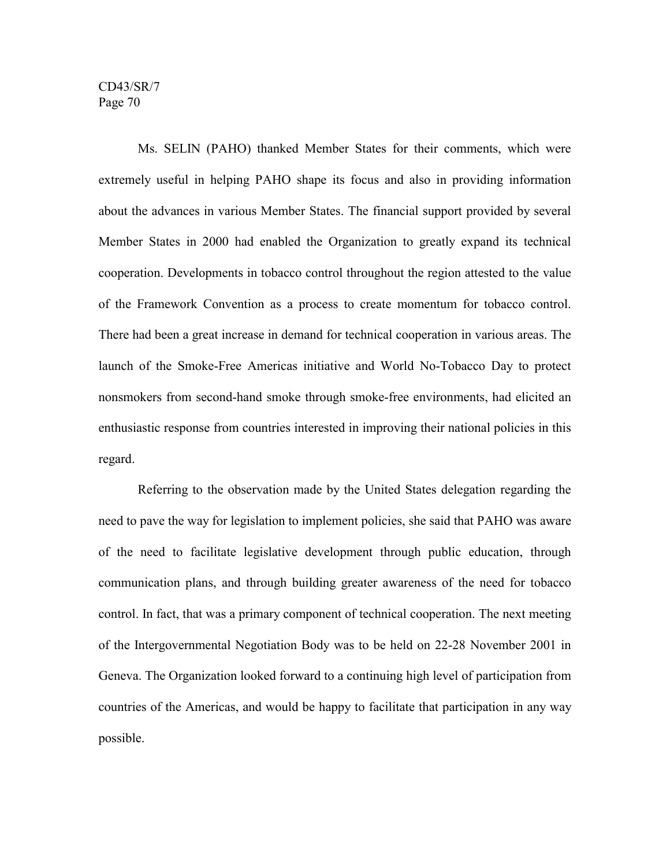Ms. SELIN (PAHO) thanked Member States for their comments, which were extremely useful in helping PAHO shape its focus and also in providing information about the advances in various Member States. The financial support provided by several Member States in 2000 had enabled the Organization to greatly expand its technical cooperation. Developments in tobacco control throughout the region attested to the value of the Framework Convention as a process to create momentum for tobacco control. There had been a great increase in demand for technical cooperation in various areas. The launch of the Smoke-Free Americas initiative and World No-Tobacco Day to protect nonsmokers from second-hand smoke through smoke-free environments, had elicited an enthusiastic response from countries interested in improving their national policies in this regard.

Referring to the observation made by the United States delegation regarding the need to pave the way for legislation to implement policies, she said that PAHO was aware of the need to facilitate legislative development through public education, through communication plans, and through building greater awareness of the need for tobacco control. In fact, that was a primary component of technical cooperation. The next meeting of the Intergovernmental Negotiation Body was to be held on 22-28 November 2001 in Geneva. The Organization looked forward to a continuing high level of participation from countries of the Americas, and would be happy to facilitate that participation in any way possible.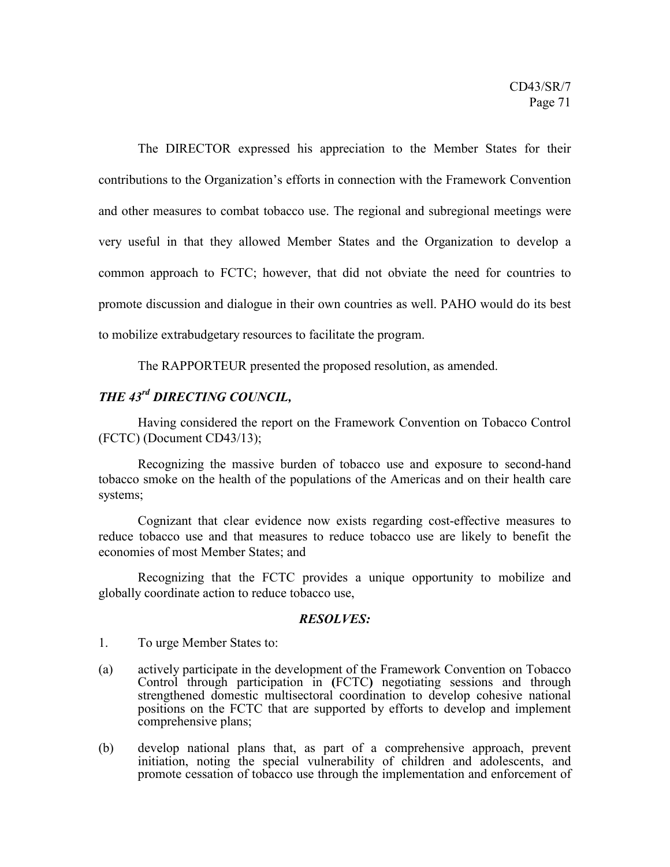The DIRECTOR expressed his appreciation to the Member States for their contributions to the Organization's efforts in connection with the Framework Convention and other measures to combat tobacco use. The regional and subregional meetings were very useful in that they allowed Member States and the Organization to develop a common approach to FCTC; however, that did not obviate the need for countries to promote discussion and dialogue in their own countries as well. PAHO would do its best to mobilize extrabudgetary resources to facilitate the program.

The RAPPORTEUR presented the proposed resolution, as amended.

# *THE 43rd DIRECTING COUNCIL,*

Having considered the report on the Framework Convention on Tobacco Control (FCTC) (Document CD43/13);

Recognizing the massive burden of tobacco use and exposure to second-hand tobacco smoke on the health of the populations of the Americas and on their health care systems;

Cognizant that clear evidence now exists regarding cost-effective measures to reduce tobacco use and that measures to reduce tobacco use are likely to benefit the economies of most Member States; and

Recognizing that the FCTC provides a unique opportunity to mobilize and globally coordinate action to reduce tobacco use,

## *RESOLVES:*

1. To urge Member States to:

- (a) actively participate in the development of the Framework Convention on Tobacco Control through participation in **(**FCTC**)** negotiating sessions and through strengthened domestic multisectoral coordination to develop cohesive national positions on the FCTC that are supported by efforts to develop and implement comprehensive plans;
- (b) develop national plans that, as part of a comprehensive approach, prevent initiation, noting the special vulnerability of children and adolescents, and promote cessation of tobacco use through the implementation and enforcement of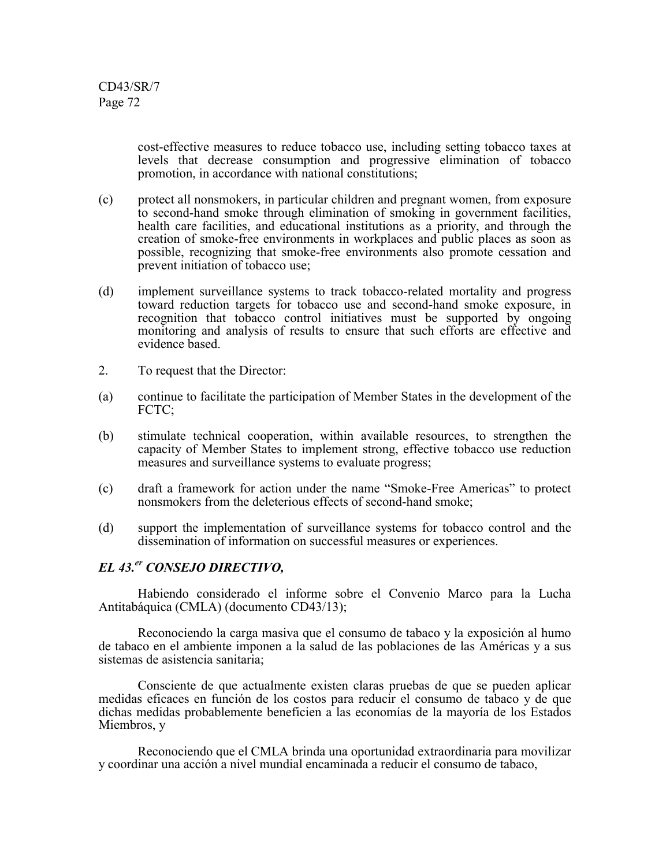> cost-effective measures to reduce tobacco use, including setting tobacco taxes at levels that decrease consumption and progressive elimination of tobacco promotion, in accordance with national constitutions;

- (c) protect all nonsmokers, in particular children and pregnant women, from exposure to second-hand smoke through elimination of smoking in government facilities, health care facilities, and educational institutions as a priority, and through the creation of smoke-free environments in workplaces and public places as soon as possible, recognizing that smoke-free environments also promote cessation and prevent initiation of tobacco use;
- (d) implement surveillance systems to track tobacco-related mortality and progress toward reduction targets for tobacco use and second-hand smoke exposure, in recognition that tobacco control initiatives must be supported by ongoing monitoring and analysis of results to ensure that such efforts are effective and evidence based.
- 2. To request that the Director:
- (a) continue to facilitate the participation of Member States in the development of the FCTC:
- (b) stimulate technical cooperation, within available resources, to strengthen the capacity of Member States to implement strong, effective tobacco use reduction measures and surveillance systems to evaluate progress;
- (c) draft a framework for action under the name "Smoke-Free Americas" to protect nonsmokers from the deleterious effects of second-hand smoke;
- (d) support the implementation of surveillance systems for tobacco control and the dissemination of information on successful measures or experiences.

#### *EL 43.er CONSEJO DIRECTIVO,*

Habiendo considerado el informe sobre el Convenio Marco para la Lucha Antitabáquica (CMLA) (documento CD43/13);

Reconociendo la carga masiva que el consumo de tabaco y la exposición al humo de tabaco en el ambiente imponen a la salud de las poblaciones de las Américas y a sus sistemas de asistencia sanitaria;

Consciente de que actualmente existen claras pruebas de que se pueden aplicar medidas eficaces en función de los costos para reducir el consumo de tabaco y de que dichas medidas probablemente beneficien a las economías de la mayoría de los Estados Miembros, y

Reconociendo que el CMLA brinda una oportunidad extraordinaria para movilizar y coordinar una acción a nivel mundial encaminada a reducir el consumo de tabaco,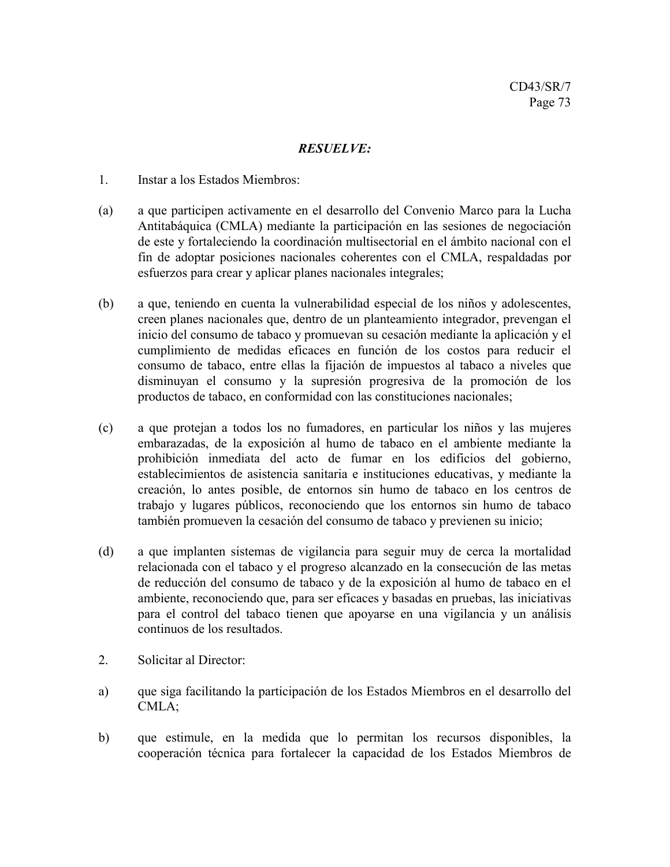# *RESUELVE:*

- 1. Instar a los Estados Miembros:
- (a) a que participen activamente en el desarrollo del Convenio Marco para la Lucha Antitabáquica (CMLA) mediante la participación en las sesiones de negociación de este y fortaleciendo la coordinación multisectorial en el ámbito nacional con el fin de adoptar posiciones nacionales coherentes con el CMLA, respaldadas por esfuerzos para crear y aplicar planes nacionales integrales;
- (b) a que, teniendo en cuenta la vulnerabilidad especial de los niños y adolescentes, creen planes nacionales que, dentro de un planteamiento integrador, prevengan el inicio del consumo de tabaco y promuevan su cesación mediante la aplicación y el cumplimiento de medidas eficaces en función de los costos para reducir el consumo de tabaco, entre ellas la fijación de impuestos al tabaco a niveles que disminuyan el consumo y la supresión progresiva de la promoción de los productos de tabaco, en conformidad con las constituciones nacionales;
- (c) a que protejan a todos los no fumadores, en particular los niños y las mujeres embarazadas, de la exposición al humo de tabaco en el ambiente mediante la prohibición inmediata del acto de fumar en los edificios del gobierno, establecimientos de asistencia sanitaria e instituciones educativas, y mediante la creación, lo antes posible, de entornos sin humo de tabaco en los centros de trabajo y lugares públicos, reconociendo que los entornos sin humo de tabaco también promueven la cesación del consumo de tabaco y previenen su inicio;
- (d) a que implanten sistemas de vigilancia para seguir muy de cerca la mortalidad relacionada con el tabaco y el progreso alcanzado en la consecución de las metas de reducción del consumo de tabaco y de la exposición al humo de tabaco en el ambiente, reconociendo que, para ser eficaces y basadas en pruebas, las iniciativas para el control del tabaco tienen que apoyarse en una vigilancia y un análisis continuos de los resultados.
- 2. Solicitar al Director:
- a) que siga facilitando la participación de los Estados Miembros en el desarrollo del CMLA;
- b) que estimule, en la medida que lo permitan los recursos disponibles, la cooperación técnica para fortalecer la capacidad de los Estados Miembros de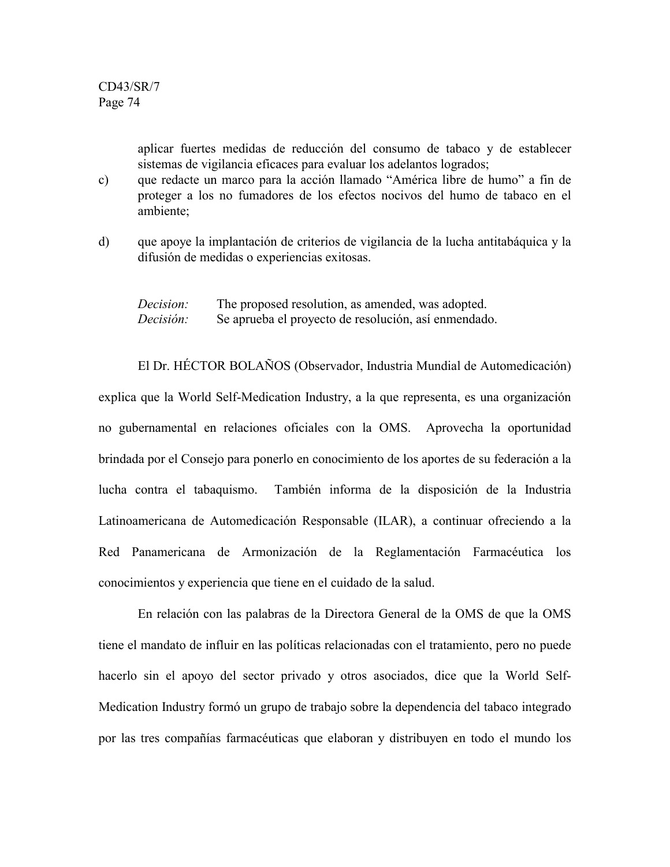aplicar fuertes medidas de reducción del consumo de tabaco y de establecer sistemas de vigilancia eficaces para evaluar los adelantos logrados;

- c) que redacte un marco para la acción llamado "América libre de humo" a fin de proteger a los no fumadores de los efectos nocivos del humo de tabaco en el ambiente;
- d) que apoye la implantación de criterios de vigilancia de la lucha antitabáquica y la difusión de medidas o experiencias exitosas.

*Decision:* The proposed resolution, as amended, was adopted. *Decisión:* Se aprueba el proyecto de resolución, así enmendado.

El Dr. HÉCTOR BOLAÑOS (Observador, Industria Mundial de Automedicación) explica que la World Self-Medication Industry, a la que representa, es una organización no gubernamental en relaciones oficiales con la OMS. Aprovecha la oportunidad brindada por el Consejo para ponerlo en conocimiento de los aportes de su federación a la lucha contra el tabaquismo. También informa de la disposición de la Industria Latinoamericana de Automedicación Responsable (ILAR), a continuar ofreciendo a la Red Panamericana de Armonización de la Reglamentación Farmacéutica los conocimientos y experiencia que tiene en el cuidado de la salud.

En relación con las palabras de la Directora General de la OMS de que la OMS tiene el mandato de influir en las políticas relacionadas con el tratamiento, pero no puede hacerlo sin el apoyo del sector privado y otros asociados, dice que la World Self-Medication Industry formó un grupo de trabajo sobre la dependencia del tabaco integrado por las tres compañías farmacéuticas que elaboran y distribuyen en todo el mundo los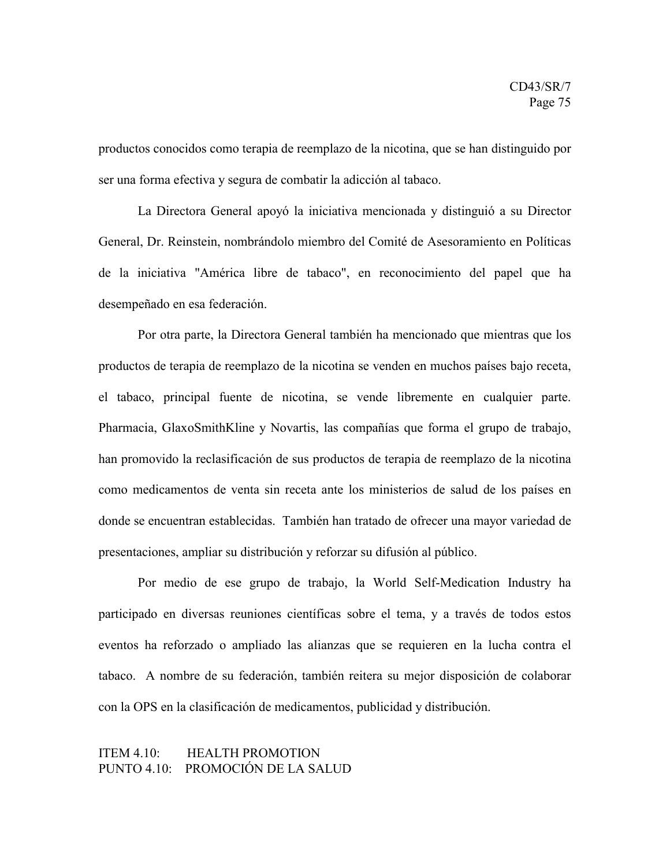productos conocidos como terapia de reemplazo de la nicotina, que se han distinguido por ser una forma efectiva y segura de combatir la adicción al tabaco.

La Directora General apoyó la iniciativa mencionada y distinguió a su Director General, Dr. Reinstein, nombrándolo miembro del Comité de Asesoramiento en Políticas de la iniciativa "América libre de tabaco", en reconocimiento del papel que ha desempeñado en esa federación.

Por otra parte, la Directora General también ha mencionado que mientras que los productos de terapia de reemplazo de la nicotina se venden en muchos países bajo receta, el tabaco, principal fuente de nicotina, se vende libremente en cualquier parte. Pharmacia, GlaxoSmithKline y Novartis, las compañías que forma el grupo de trabajo, han promovido la reclasificación de sus productos de terapia de reemplazo de la nicotina como medicamentos de venta sin receta ante los ministerios de salud de los países en donde se encuentran establecidas. También han tratado de ofrecer una mayor variedad de presentaciones, ampliar su distribución y reforzar su difusión al público.

Por medio de ese grupo de trabajo, la World Self-Medication Industry ha participado en diversas reuniones científicas sobre el tema, y a través de todos estos eventos ha reforzado o ampliado las alianzas que se requieren en la lucha contra el tabaco. A nombre de su federación, también reitera su mejor disposición de colaborar con la OPS en la clasificación de medicamentos, publicidad y distribución.

## ITEM 4.10: HEALTH PROMOTION PUNTO 4.10: PROMOCIÓN DE LA SALUD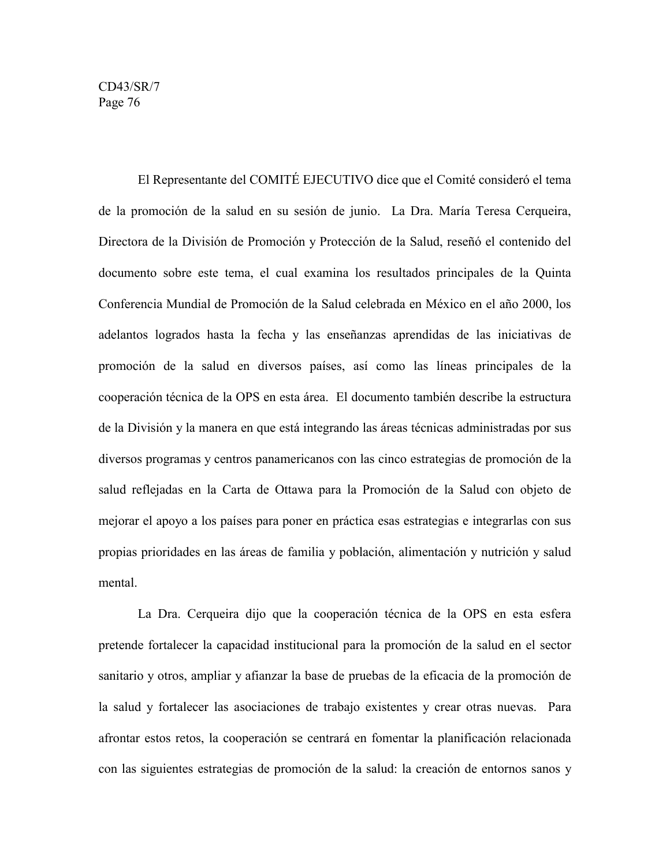El Representante del COMITÉ EJECUTIVO dice que el Comité consideró el tema de la promoción de la salud en su sesión de junio. La Dra. María Teresa Cerqueira, Directora de la División de Promoción y Protección de la Salud, reseñó el contenido del documento sobre este tema, el cual examina los resultados principales de la Quinta Conferencia Mundial de Promoción de la Salud celebrada en México en el año 2000, los adelantos logrados hasta la fecha y las enseñanzas aprendidas de las iniciativas de promoción de la salud en diversos países, así como las líneas principales de la cooperación técnica de la OPS en esta área. El documento también describe la estructura de la División y la manera en que está integrando las áreas técnicas administradas por sus diversos programas y centros panamericanos con las cinco estrategias de promoción de la salud reflejadas en la Carta de Ottawa para la Promoción de la Salud con objeto de mejorar el apoyo a los países para poner en práctica esas estrategias e integrarlas con sus propias prioridades en las áreas de familia y población, alimentación y nutrición y salud mental.

La Dra. Cerqueira dijo que la cooperación técnica de la OPS en esta esfera pretende fortalecer la capacidad institucional para la promoción de la salud en el sector sanitario y otros, ampliar y afianzar la base de pruebas de la eficacia de la promoción de la salud y fortalecer las asociaciones de trabajo existentes y crear otras nuevas. Para afrontar estos retos, la cooperación se centrará en fomentar la planificación relacionada con las siguientes estrategias de promoción de la salud: la creación de entornos sanos y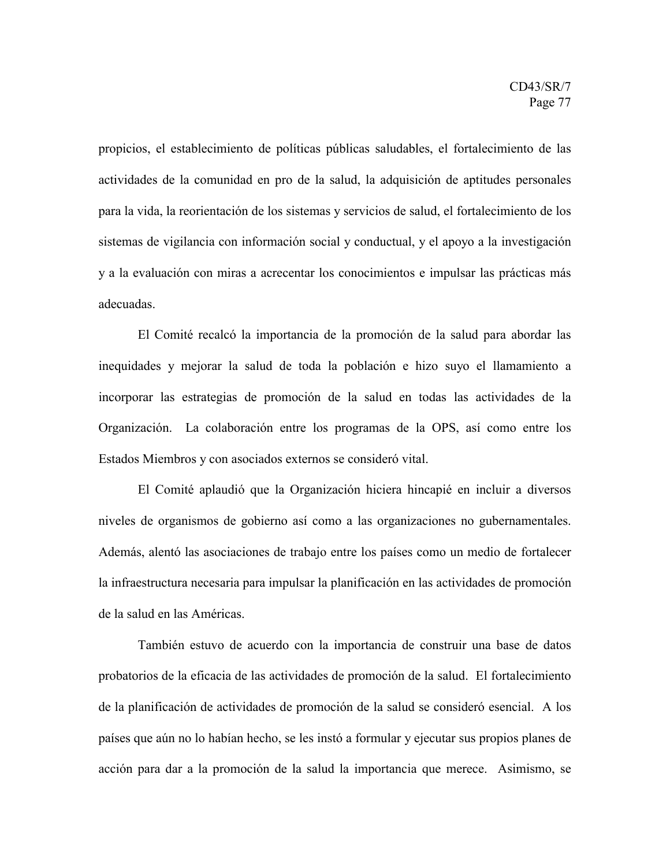propicios, el establecimiento de políticas públicas saludables, el fortalecimiento de las actividades de la comunidad en pro de la salud, la adquisición de aptitudes personales para la vida, la reorientación de los sistemas y servicios de salud, el fortalecimiento de los sistemas de vigilancia con información social y conductual, y el apoyo a la investigación y a la evaluación con miras a acrecentar los conocimientos e impulsar las prácticas más adecuadas.

El Comité recalcó la importancia de la promoción de la salud para abordar las inequidades y mejorar la salud de toda la población e hizo suyo el llamamiento a incorporar las estrategias de promoción de la salud en todas las actividades de la Organización. La colaboración entre los programas de la OPS, así como entre los Estados Miembros y con asociados externos se consideró vital.

El Comité aplaudió que la Organización hiciera hincapié en incluir a diversos niveles de organismos de gobierno así como a las organizaciones no gubernamentales. Además, alentó las asociaciones de trabajo entre los países como un medio de fortalecer la infraestructura necesaria para impulsar la planificación en las actividades de promoción de la salud en las Américas.

También estuvo de acuerdo con la importancia de construir una base de datos probatorios de la eficacia de las actividades de promoción de la salud. El fortalecimiento de la planificación de actividades de promoción de la salud se consideró esencial. A los países que aún no lo habían hecho, se les instó a formular y ejecutar sus propios planes de acción para dar a la promoción de la salud la importancia que merece. Asimismo, se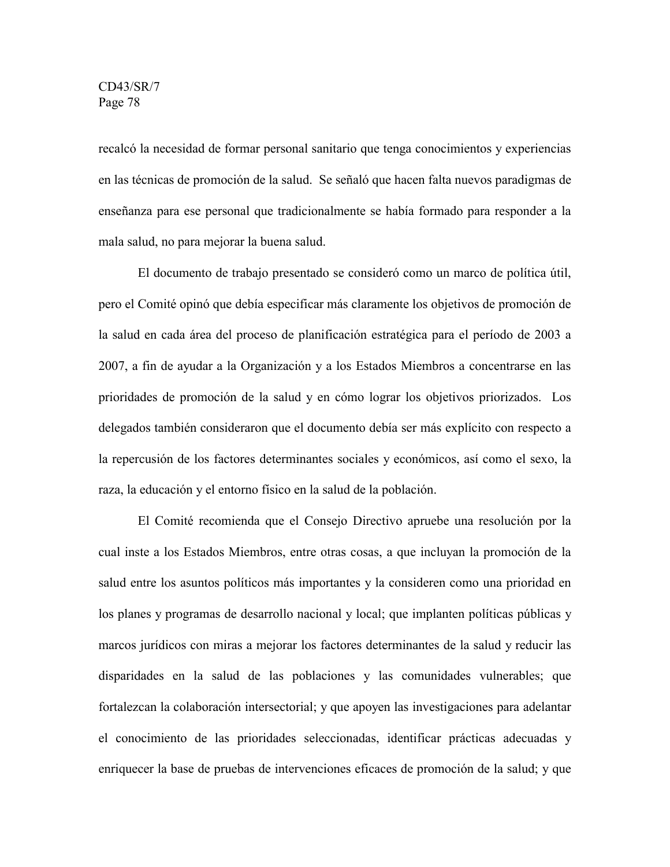recalcó la necesidad de formar personal sanitario que tenga conocimientos y experiencias en las técnicas de promoción de la salud. Se señaló que hacen falta nuevos paradigmas de enseñanza para ese personal que tradicionalmente se había formado para responder a la mala salud, no para mejorar la buena salud.

El documento de trabajo presentado se consideró como un marco de política útil, pero el Comité opinó que debía especificar más claramente los objetivos de promoción de la salud en cada área del proceso de planificación estratégica para el período de 2003 a 2007, a fin de ayudar a la Organización y a los Estados Miembros a concentrarse en las prioridades de promoción de la salud y en cómo lograr los objetivos priorizados. Los delegados también consideraron que el documento debía ser más explícito con respecto a la repercusión de los factores determinantes sociales y económicos, así como el sexo, la raza, la educación y el entorno físico en la salud de la población.

El Comité recomienda que el Consejo Directivo apruebe una resolución por la cual inste a los Estados Miembros, entre otras cosas, a que incluyan la promoción de la salud entre los asuntos políticos más importantes y la consideren como una prioridad en los planes y programas de desarrollo nacional y local; que implanten políticas públicas y marcos jurídicos con miras a mejorar los factores determinantes de la salud y reducir las disparidades en la salud de las poblaciones y las comunidades vulnerables; que fortalezcan la colaboración intersectorial; y que apoyen las investigaciones para adelantar el conocimiento de las prioridades seleccionadas, identificar prácticas adecuadas y enriquecer la base de pruebas de intervenciones eficaces de promoción de la salud; y que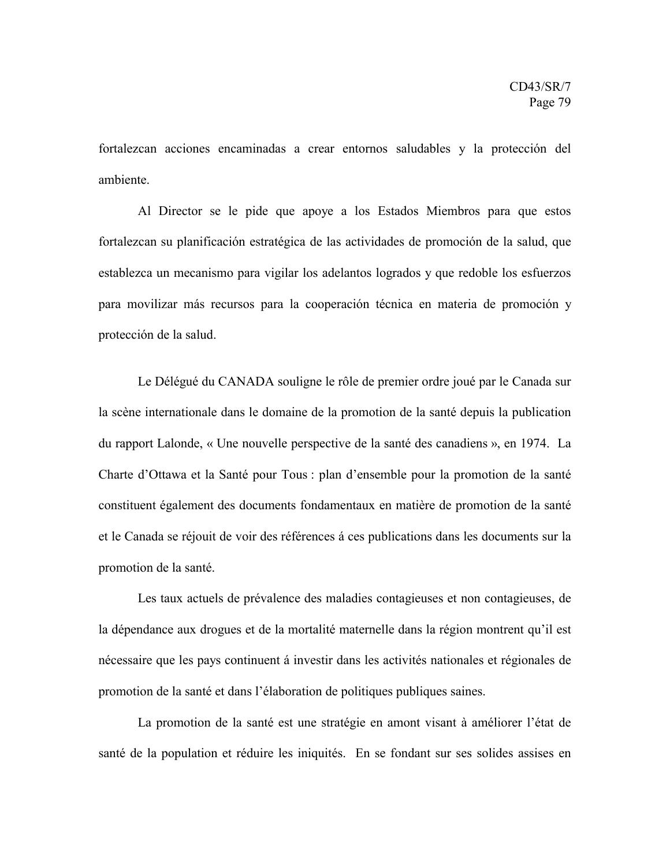fortalezcan acciones encaminadas a crear entornos saludables y la protección del ambiente.

Al Director se le pide que apoye a los Estados Miembros para que estos fortalezcan su planificación estratégica de las actividades de promoción de la salud, que establezca un mecanismo para vigilar los adelantos logrados y que redoble los esfuerzos para movilizar más recursos para la cooperación técnica en materia de promoción y protección de la salud.

Le Délégué du CANADA souligne le rôle de premier ordre joué par le Canada sur la scène internationale dans le domaine de la promotion de la santé depuis la publication du rapport Lalonde, « Une nouvelle perspective de la santé des canadiens », en 1974. La Charte d'Ottawa et la Santé pour Tous : plan d'ensemble pour la promotion de la santé constituent également des documents fondamentaux en matière de promotion de la santé et le Canada se réjouit de voir des références á ces publications dans les documents sur la promotion de la santé.

Les taux actuels de prévalence des maladies contagieuses et non contagieuses, de la dépendance aux drogues et de la mortalité maternelle dans la région montrent qu'il est nécessaire que les pays continuent á investir dans les activités nationales et régionales de promotion de la santé et dans l'élaboration de politiques publiques saines.

La promotion de la santé est une stratégie en amont visant à améliorer l'état de santé de la population et réduire les iniquités. En se fondant sur ses solides assises en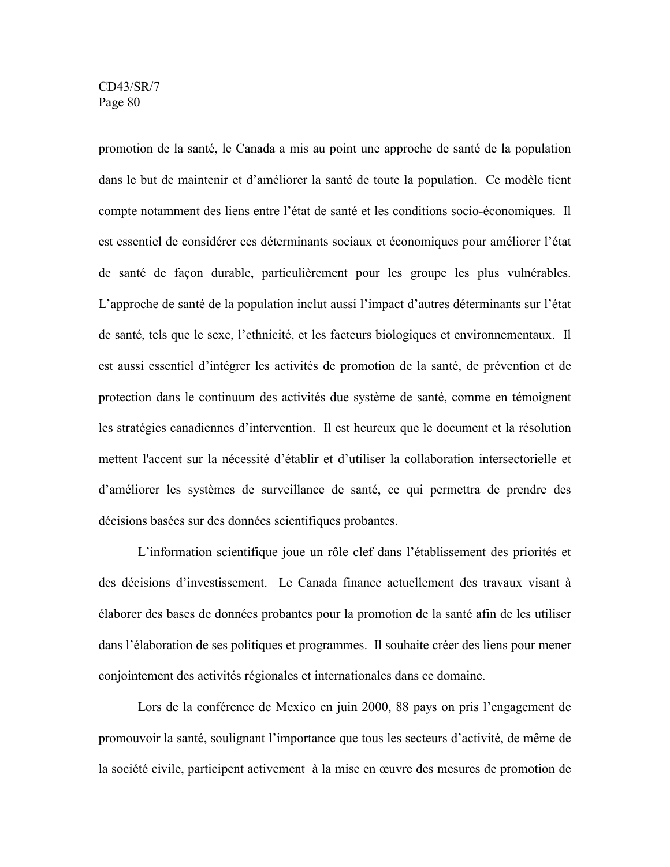promotion de la santé, le Canada a mis au point une approche de santé de la population dans le but de maintenir et d'améliorer la santé de toute la population. Ce modèle tient compte notamment des liens entre l'état de santé et les conditions socio-économiques. Il est essentiel de considérer ces déterminants sociaux et économiques pour améliorer l'état de santé de façon durable, particulièrement pour les groupe les plus vulnérables. L'approche de santé de la population inclut aussi l'impact d'autres déterminants sur l'état de santé, tels que le sexe, l'ethnicité, et les facteurs biologiques et environnementaux. Il est aussi essentiel d'intégrer les activités de promotion de la santé, de prévention et de protection dans le continuum des activités due système de santé, comme en témoignent les stratégies canadiennes d'intervention. Il est heureux que le document et la résolution mettent l'accent sur la nécessité d'établir et d'utiliser la collaboration intersectorielle et d'améliorer les systèmes de surveillance de santé, ce qui permettra de prendre des décisions basées sur des données scientifiques probantes.

L'information scientifique joue un rôle clef dans l'établissement des priorités et des décisions d'investissement. Le Canada finance actuellement des travaux visant à élaborer des bases de données probantes pour la promotion de la santé afin de les utiliser dans l'élaboration de ses politiques et programmes. Il souhaite créer des liens pour mener conjointement des activités régionales et internationales dans ce domaine.

Lors de la conférence de Mexico en juin 2000, 88 pays on pris l'engagement de promouvoir la santé, soulignant l'importance que tous les secteurs d'activité, de même de la société civile, participent activement à la mise en œuvre des mesures de promotion de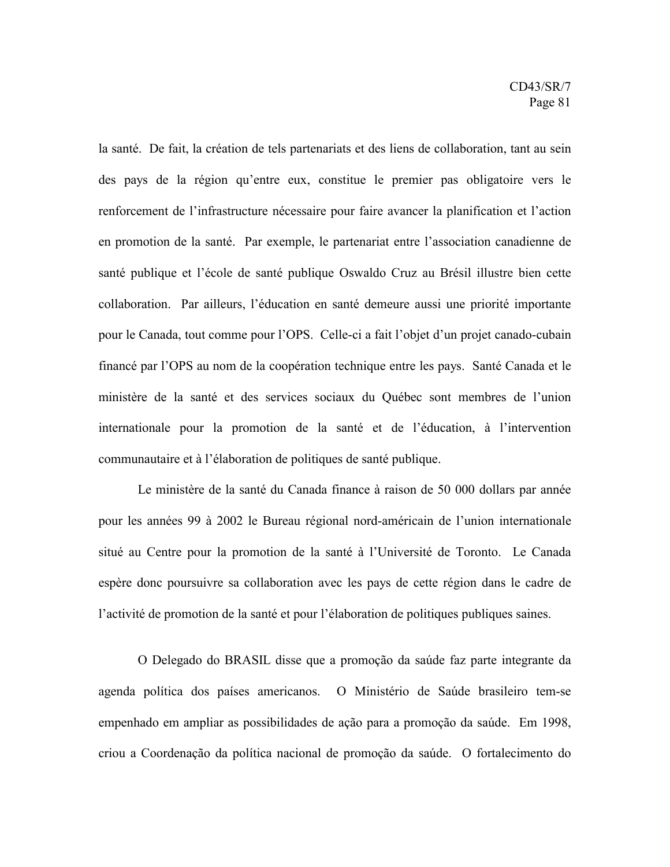la santé. De fait, la création de tels partenariats et des liens de collaboration, tant au sein des pays de la région qu'entre eux, constitue le premier pas obligatoire vers le renforcement de l'infrastructure nécessaire pour faire avancer la planification et l'action en promotion de la santé. Par exemple, le partenariat entre l'association canadienne de santé publique et l'école de santé publique Oswaldo Cruz au Brésil illustre bien cette collaboration. Par ailleurs, l'éducation en santé demeure aussi une priorité importante pour le Canada, tout comme pour l'OPS. Celle-ci a fait l'objet d'un projet canado-cubain financé par l'OPS au nom de la coopération technique entre les pays. Santé Canada et le ministère de la santé et des services sociaux du Québec sont membres de l'union internationale pour la promotion de la santé et de l'éducation, à l'intervention communautaire et à l'élaboration de politiques de santé publique.

Le ministère de la santé du Canada finance à raison de 50 000 dollars par année pour les années 99 à 2002 le Bureau régional nord-américain de l'union internationale situé au Centre pour la promotion de la santé à l'Université de Toronto. Le Canada espère donc poursuivre sa collaboration avec les pays de cette région dans le cadre de l'activité de promotion de la santé et pour l'élaboration de politiques publiques saines.

O Delegado do BRASIL disse que a promoção da saúde faz parte integrante da agenda política dos países americanos. O Ministério de Saúde brasileiro tem-se empenhado em ampliar as possibilidades de ação para a promoção da saúde. Em 1998, criou a Coordenação da política nacional de promoção da saúde. O fortalecimento do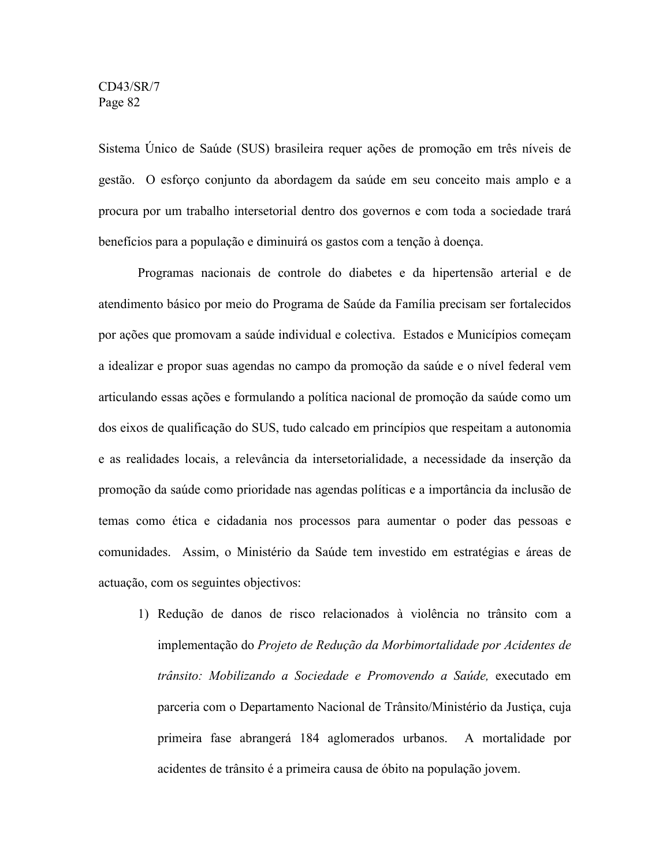Sistema Único de Saúde (SUS) brasileira requer ações de promoção em três níveis de gestão. O esforço conjunto da abordagem da saúde em seu conceito mais amplo e a procura por um trabalho intersetorial dentro dos governos e com toda a sociedade trará benefícios para a população e diminuirá os gastos com a tenção à doença.

Programas nacionais de controle do diabetes e da hipertensão arterial e de atendimento básico por meio do Programa de Saúde da Família precisam ser fortalecidos por ações que promovam a saúde individual e colectiva. Estados e Municípios começam a idealizar e propor suas agendas no campo da promoção da saúde e o nível federal vem articulando essas ações e formulando a política nacional de promoção da saúde como um dos eixos de qualificação do SUS, tudo calcado em princípios que respeitam a autonomia e as realidades locais, a relevância da intersetorialidade, a necessidade da inserção da promoção da saúde como prioridade nas agendas políticas e a importância da inclusão de temas como ética e cidadania nos processos para aumentar o poder das pessoas e comunidades. Assim, o Ministério da Saúde tem investido em estratégias e áreas de actuação, com os seguintes objectivos:

1) Redução de danos de risco relacionados à violência no trânsito com a implementação do *Projeto de Redução da Morbimortalidade por Acidentes de trânsito: Mobilizando a Sociedade e Promovendo a Saúde,* executado em parceria com o Departamento Nacional de Trânsito/Ministério da Justiça, cuja primeira fase abrangerá 184 aglomerados urbanos. A mortalidade por acidentes de trânsito é a primeira causa de óbito na população jovem.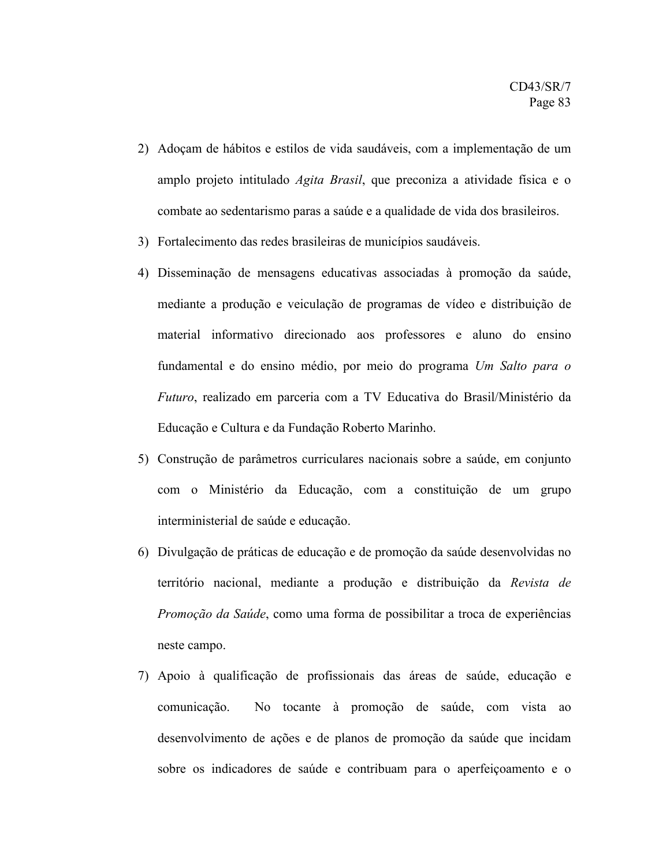- 2) Adoçam de hábitos e estilos de vida saudáveis, com a implementação de um amplo projeto intitulado *Agita Brasil*, que preconiza a atividade física e o combate ao sedentarismo paras a saúde e a qualidade de vida dos brasileiros.
- 3) Fortalecimento das redes brasileiras de municípios saudáveis.
- 4) Disseminação de mensagens educativas associadas à promoção da saúde, mediante a produção e veiculação de programas de vídeo e distribuição de material informativo direcionado aos professores e aluno do ensino fundamental e do ensino médio, por meio do programa *Um Salto para o Futuro*, realizado em parceria com a TV Educativa do Brasil/Ministério da Educação e Cultura e da Fundação Roberto Marinho.
- 5) Construção de parâmetros curriculares nacionais sobre a saúde, em conjunto com o Ministério da Educação, com a constituição de um grupo interministerial de saúde e educação.
- 6) Divulgação de práticas de educação e de promoção da saúde desenvolvidas no território nacional, mediante a produção e distribuição da *Revista de Promoção da Saúde*, como uma forma de possibilitar a troca de experiências neste campo.
- 7) Apoio à qualificação de profissionais das áreas de saúde, educação e comunicação. No tocante à promoção de saúde, com vista ao desenvolvimento de ações e de planos de promoção da saúde que incidam sobre os indicadores de saúde e contribuam para o aperfeiçoamento e o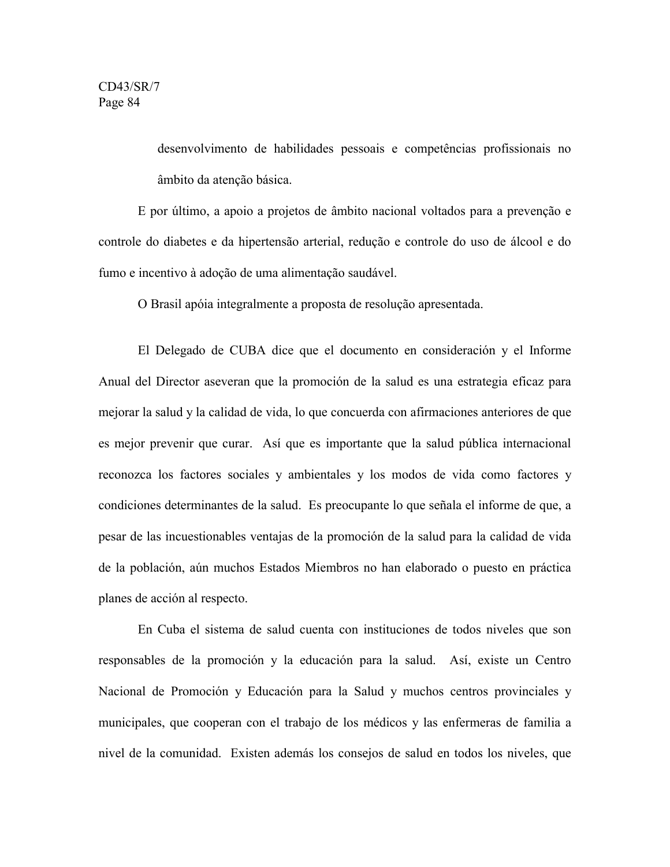desenvolvimento de habilidades pessoais e competências profissionais no âmbito da atenção básica.

E por último, a apoio a projetos de âmbito nacional voltados para a prevenção e controle do diabetes e da hipertensão arterial, redução e controle do uso de álcool e do fumo e incentivo à adoção de uma alimentação saudável.

O Brasil apóia integralmente a proposta de resolução apresentada.

El Delegado de CUBA dice que el documento en consideración y el Informe Anual del Director aseveran que la promoción de la salud es una estrategia eficaz para mejorar la salud y la calidad de vida, lo que concuerda con afirmaciones anteriores de que es mejor prevenir que curar. Así que es importante que la salud pública internacional reconozca los factores sociales y ambientales y los modos de vida como factores y condiciones determinantes de la salud. Es preocupante lo que señala el informe de que, a pesar de las incuestionables ventajas de la promoción de la salud para la calidad de vida de la población, aún muchos Estados Miembros no han elaborado o puesto en práctica planes de acción al respecto.

En Cuba el sistema de salud cuenta con instituciones de todos niveles que son responsables de la promoción y la educación para la salud. Así, existe un Centro Nacional de Promoción y Educación para la Salud y muchos centros provinciales y municipales, que cooperan con el trabajo de los médicos y las enfermeras de familia a nivel de la comunidad. Existen además los consejos de salud en todos los niveles, que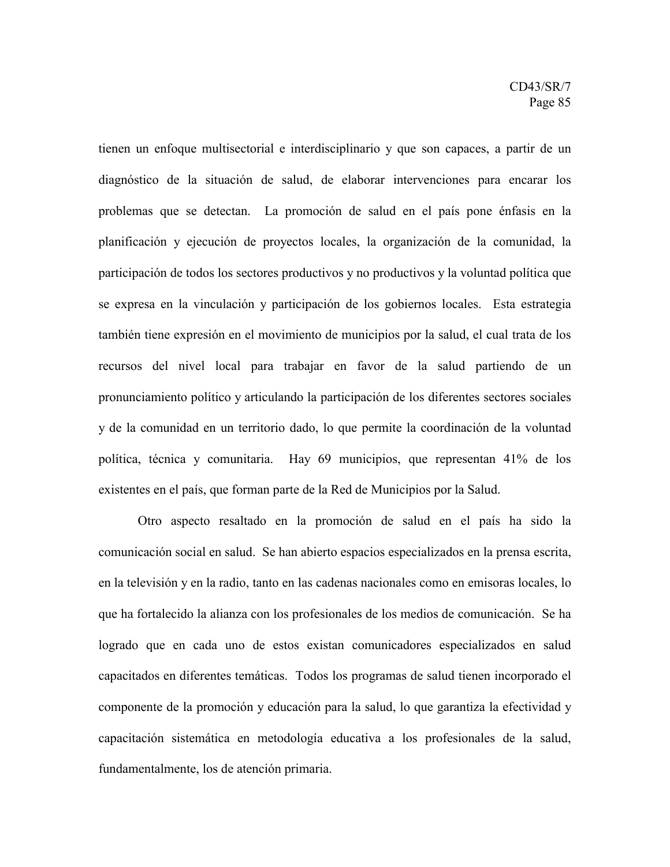tienen un enfoque multisectorial e interdisciplinario y que son capaces, a partir de un diagnóstico de la situación de salud, de elaborar intervenciones para encarar los problemas que se detectan. La promoción de salud en el país pone énfasis en la planificación y ejecución de proyectos locales, la organización de la comunidad, la participación de todos los sectores productivos y no productivos y la voluntad política que se expresa en la vinculación y participación de los gobiernos locales. Esta estrategia también tiene expresión en el movimiento de municipios por la salud, el cual trata de los recursos del nivel local para trabajar en favor de la salud partiendo de un pronunciamiento político y articulando la participación de los diferentes sectores sociales y de la comunidad en un territorio dado, lo que permite la coordinación de la voluntad política, técnica y comunitaria. Hay 69 municipios, que representan 41% de los existentes en el país, que forman parte de la Red de Municipios por la Salud.

Otro aspecto resaltado en la promoción de salud en el país ha sido la comunicación social en salud. Se han abierto espacios especializados en la prensa escrita, en la televisión y en la radio, tanto en las cadenas nacionales como en emisoras locales, lo que ha fortalecido la alianza con los profesionales de los medios de comunicación. Se ha logrado que en cada uno de estos existan comunicadores especializados en salud capacitados en diferentes temáticas. Todos los programas de salud tienen incorporado el componente de la promoción y educación para la salud, lo que garantiza la efectividad y capacitación sistemática en metodología educativa a los profesionales de la salud, fundamentalmente, los de atención primaria.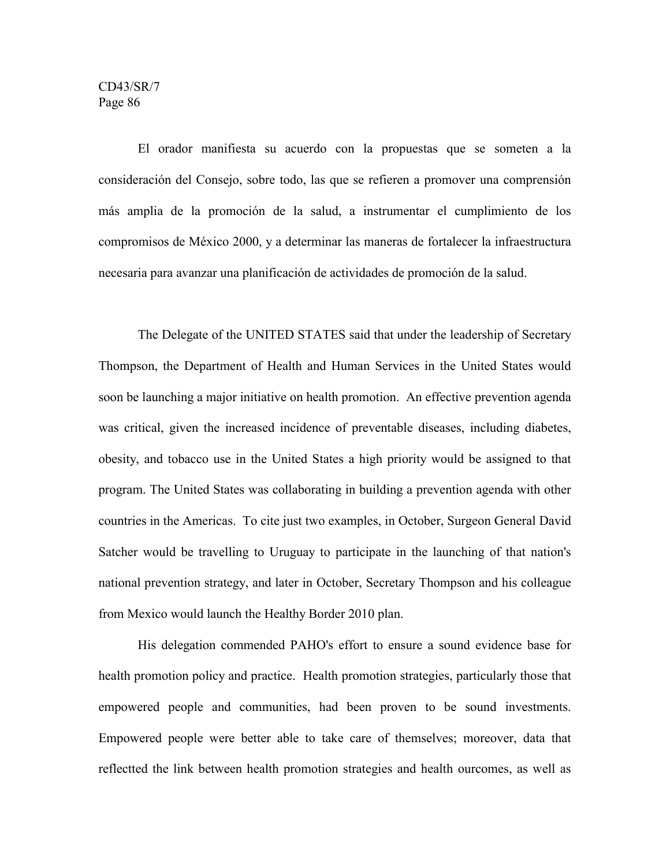El orador manifiesta su acuerdo con la propuestas que se someten a la consideración del Consejo, sobre todo, las que se refieren a promover una comprensión más amplia de la promoción de la salud, a instrumentar el cumplimiento de los compromisos de México 2000, y a determinar las maneras de fortalecer la infraestructura necesaria para avanzar una planificación de actividades de promoción de la salud.

The Delegate of the UNITED STATES said that under the leadership of Secretary Thompson, the Department of Health and Human Services in the United States would soon be launching a major initiative on health promotion. An effective prevention agenda was critical, given the increased incidence of preventable diseases, including diabetes, obesity, and tobacco use in the United States a high priority would be assigned to that program. The United States was collaborating in building a prevention agenda with other countries in the Americas. To cite just two examples, in October, Surgeon General David Satcher would be travelling to Uruguay to participate in the launching of that nation's national prevention strategy, and later in October, Secretary Thompson and his colleague from Mexico would launch the Healthy Border 2010 plan.

His delegation commended PAHO's effort to ensure a sound evidence base for health promotion policy and practice. Health promotion strategies, particularly those that empowered people and communities, had been proven to be sound investments. Empowered people were better able to take care of themselves; moreover, data that reflectted the link between health promotion strategies and health ourcomes, as well as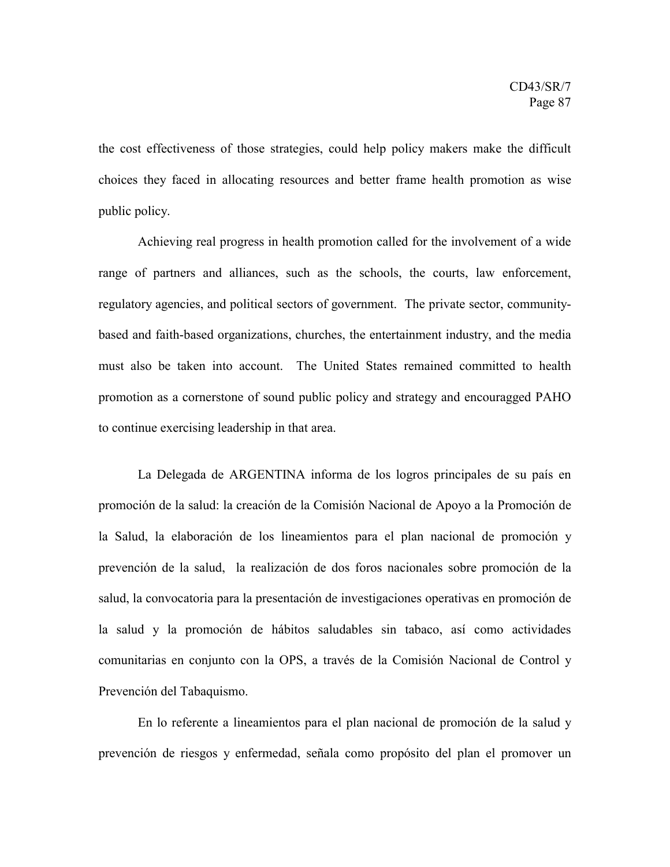the cost effectiveness of those strategies, could help policy makers make the difficult choices they faced in allocating resources and better frame health promotion as wise public policy.

Achieving real progress in health promotion called for the involvement of a wide range of partners and alliances, such as the schools, the courts, law enforcement, regulatory agencies, and political sectors of government. The private sector, communitybased and faith-based organizations, churches, the entertainment industry, and the media must also be taken into account. The United States remained committed to health promotion as a cornerstone of sound public policy and strategy and encouragged PAHO to continue exercising leadership in that area.

La Delegada de ARGENTINA informa de los logros principales de su país en promoción de la salud: la creación de la Comisión Nacional de Apoyo a la Promoción de la Salud, la elaboración de los lineamientos para el plan nacional de promoción y prevención de la salud, la realización de dos foros nacionales sobre promoción de la salud, la convocatoria para la presentación de investigaciones operativas en promoción de la salud y la promoción de hábitos saludables sin tabaco, así como actividades comunitarias en conjunto con la OPS, a través de la Comisión Nacional de Control y Prevención del Tabaquismo.

En lo referente a lineamientos para el plan nacional de promoción de la salud y prevención de riesgos y enfermedad, señala como propósito del plan el promover un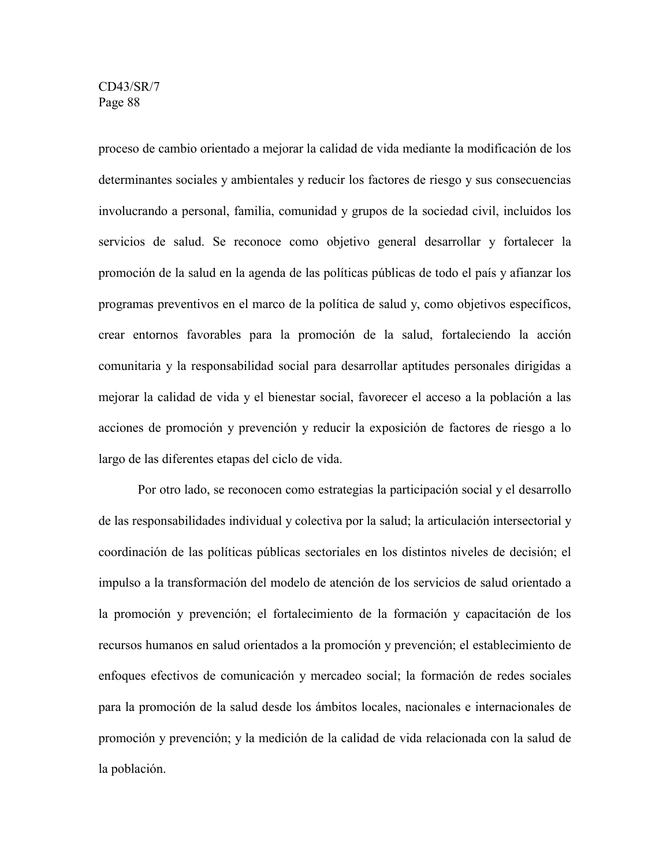proceso de cambio orientado a mejorar la calidad de vida mediante la modificación de los determinantes sociales y ambientales y reducir los factores de riesgo y sus consecuencias involucrando a personal, familia, comunidad y grupos de la sociedad civil, incluidos los servicios de salud. Se reconoce como objetivo general desarrollar y fortalecer la promoción de la salud en la agenda de las políticas públicas de todo el país y afianzar los programas preventivos en el marco de la política de salud y, como objetivos específicos, crear entornos favorables para la promoción de la salud, fortaleciendo la acción comunitaria y la responsabilidad social para desarrollar aptitudes personales dirigidas a mejorar la calidad de vida y el bienestar social, favorecer el acceso a la población a las acciones de promoción y prevención y reducir la exposición de factores de riesgo a lo largo de las diferentes etapas del ciclo de vida.

Por otro lado, se reconocen como estrategias la participación social y el desarrollo de las responsabilidades individual y colectiva por la salud; la articulación intersectorial y coordinación de las políticas públicas sectoriales en los distintos niveles de decisión; el impulso a la transformación del modelo de atención de los servicios de salud orientado a la promoción y prevención; el fortalecimiento de la formación y capacitación de los recursos humanos en salud orientados a la promoción y prevención; el establecimiento de enfoques efectivos de comunicación y mercadeo social; la formación de redes sociales para la promoción de la salud desde los ámbitos locales, nacionales e internacionales de promoción y prevención; y la medición de la calidad de vida relacionada con la salud de la población.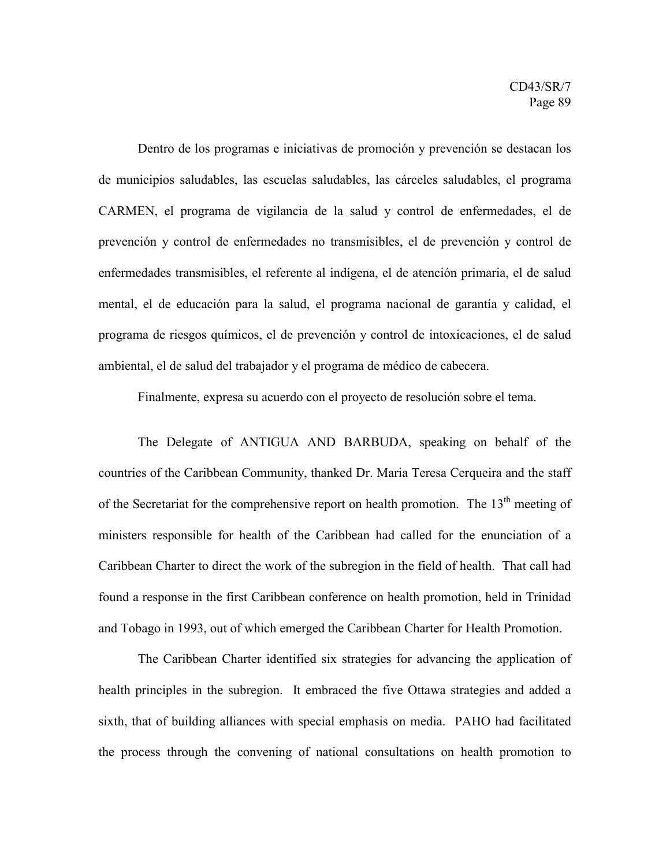Dentro de los programas e iniciativas de promoción y prevención se destacan los de municipios saludables, las escuelas saludables, las cárceles saludables, el programa CARMEN, el programa de vigilancia de la salud y control de enfermedades, el de prevención y control de enfermedades no transmisibles, el de prevención y control de enfermedades transmisibles, el referente al indígena, el de atención primaria, el de salud mental, el de educación para la salud, el programa nacional de garantía y calidad, el programa de riesgos químicos, el de prevención y control de intoxicaciones, el de salud ambiental, el de salud del trabajador y el programa de médico de cabecera.

Finalmente, expresa su acuerdo con el proyecto de resolución sobre el tema.

The Delegate of ANTIGUA AND BARBUDA, speaking on behalf of the countries of the Caribbean Community, thanked Dr. Maria Teresa Cerqueira and the staff of the Secretariat for the comprehensive report on health promotion. The  $13<sup>th</sup>$  meeting of ministers responsible for health of the Caribbean had called for the enunciation of a Caribbean Charter to direct the work of the subregion in the field of health. That call had found a response in the first Caribbean conference on health promotion, held in Trinidad and Tobago in 1993, out of which emerged the Caribbean Charter for Health Promotion.

The Caribbean Charter identified six strategies for advancing the application of health principles in the subregion. It embraced the five Ottawa strategies and added a sixth, that of building alliances with special emphasis on media. PAHO had facilitated the process through the convening of national consultations on health promotion to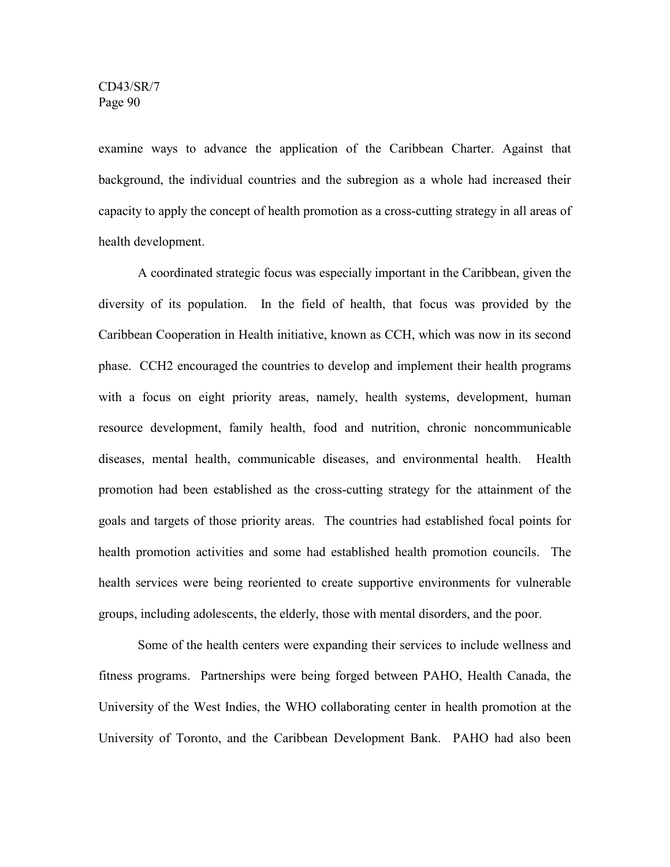examine ways to advance the application of the Caribbean Charter. Against that background, the individual countries and the subregion as a whole had increased their capacity to apply the concept of health promotion as a cross-cutting strategy in all areas of health development.

A coordinated strategic focus was especially important in the Caribbean, given the diversity of its population. In the field of health, that focus was provided by the Caribbean Cooperation in Health initiative, known as CCH, which was now in its second phase. CCH2 encouraged the countries to develop and implement their health programs with a focus on eight priority areas, namely, health systems, development, human resource development, family health, food and nutrition, chronic noncommunicable diseases, mental health, communicable diseases, and environmental health. Health promotion had been established as the cross-cutting strategy for the attainment of the goals and targets of those priority areas. The countries had established focal points for health promotion activities and some had established health promotion councils. The health services were being reoriented to create supportive environments for vulnerable groups, including adolescents, the elderly, those with mental disorders, and the poor.

Some of the health centers were expanding their services to include wellness and fitness programs. Partnerships were being forged between PAHO, Health Canada, the University of the West Indies, the WHO collaborating center in health promotion at the University of Toronto, and the Caribbean Development Bank. PAHO had also been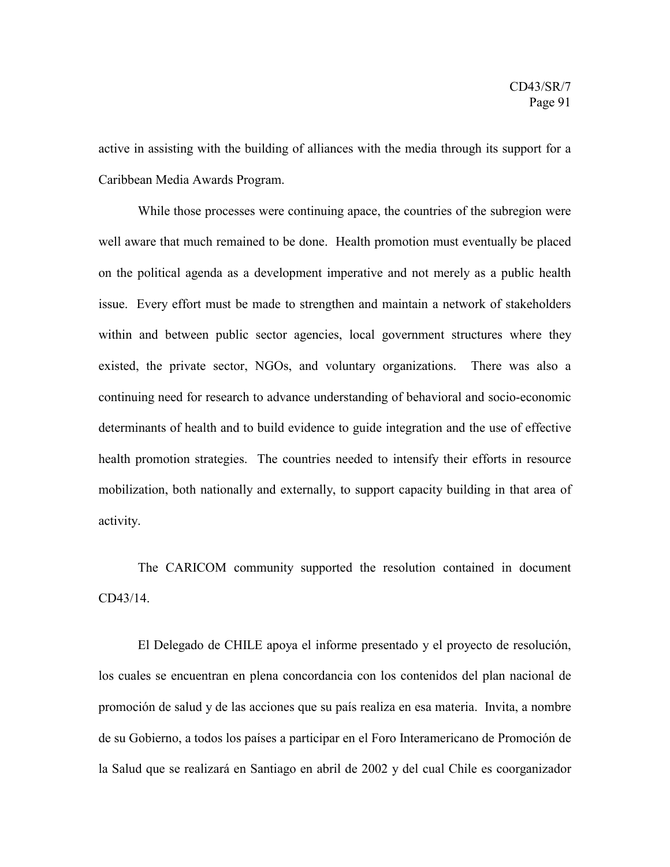active in assisting with the building of alliances with the media through its support for a Caribbean Media Awards Program.

While those processes were continuing apace, the countries of the subregion were well aware that much remained to be done. Health promotion must eventually be placed on the political agenda as a development imperative and not merely as a public health issue. Every effort must be made to strengthen and maintain a network of stakeholders within and between public sector agencies, local government structures where they existed, the private sector, NGOs, and voluntary organizations. There was also a continuing need for research to advance understanding of behavioral and socio-economic determinants of health and to build evidence to guide integration and the use of effective health promotion strategies. The countries needed to intensify their efforts in resource mobilization, both nationally and externally, to support capacity building in that area of activity.

The CARICOM community supported the resolution contained in document CD43/14.

El Delegado de CHILE apoya el informe presentado y el proyecto de resolución, los cuales se encuentran en plena concordancia con los contenidos del plan nacional de promoción de salud y de las acciones que su país realiza en esa materia. Invita, a nombre de su Gobierno, a todos los países a participar en el Foro Interamericano de Promoción de la Salud que se realizará en Santiago en abril de 2002 y del cual Chile es coorganizador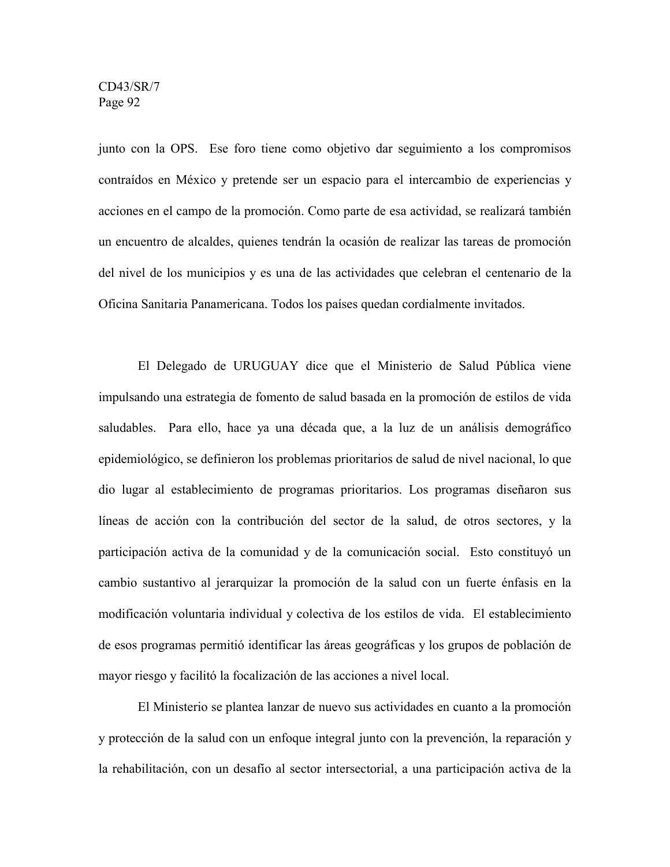junto con la OPS. Ese foro tiene como objetivo dar seguimiento a los compromisos contraídos en México y pretende ser un espacio para el intercambio de experiencias y acciones en el campo de la promoción. Como parte de esa actividad, se realizará también un encuentro de alcaldes, quienes tendrán la ocasión de realizar las tareas de promoción del nivel de los municipios y es una de las actividades que celebran el centenario de la Oficina Sanitaria Panamericana. Todos los países quedan cordialmente invitados.

El Delegado de URUGUAY dice que el Ministerio de Salud Pública viene impulsando una estrategia de fomento de salud basada en la promoción de estilos de vida saludables. Para ello, hace ya una década que, a la luz de un análisis demográfico epidemiológico, se definieron los problemas prioritarios de salud de nivel nacional, lo que dio lugar al establecimiento de programas prioritarios. Los programas diseñaron sus líneas de acción con la contribución del sector de la salud, de otros sectores, y la participación activa de la comunidad y de la comunicación social. Esto constituyó un cambio sustantivo al jerarquizar la promoción de la salud con un fuerte énfasis en la modificación voluntaria individual y colectiva de los estilos de vida. El establecimiento de esos programas permitió identificar las áreas geográficas y los grupos de población de mayor riesgo y facilitó la focalización de las acciones a nivel local.

El Ministerio se plantea lanzar de nuevo sus actividades en cuanto a la promoción y protección de la salud con un enfoque integral junto con la prevención, la reparación y la rehabilitación, con un desafío al sector intersectorial, a una participación activa de la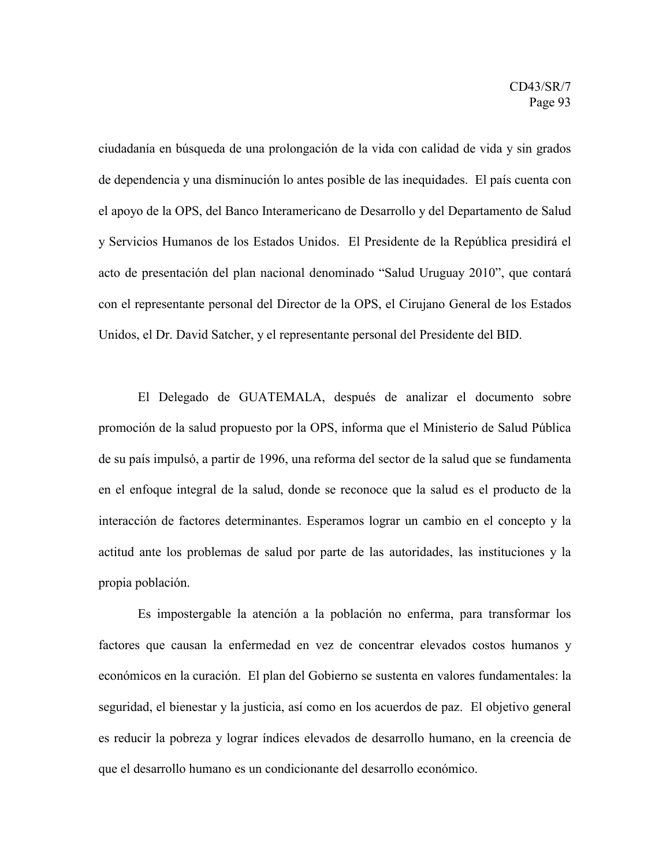ciudadanía en búsqueda de una prolongación de la vida con calidad de vida y sin grados de dependencia y una disminución lo antes posible de las inequidades. El país cuenta con el apoyo de la OPS, del Banco Interamericano de Desarrollo y del Departamento de Salud y Servicios Humanos de los Estados Unidos. El Presidente de la República presidirá el acto de presentación del plan nacional denominado "Salud Uruguay 2010", que contará con el representante personal del Director de la OPS, el Cirujano General de los Estados Unidos, el Dr. David Satcher, y el representante personal del Presidente del BID.

El Delegado de GUATEMALA, después de analizar el documento sobre promoción de la salud propuesto por la OPS, informa que el Ministerio de Salud Pública de su país impulsó, a partir de 1996, una reforma del sector de la salud que se fundamenta en el enfoque integral de la salud, donde se reconoce que la salud es el producto de la interacción de factores determinantes. Esperamos lograr un cambio en el concepto y la actitud ante los problemas de salud por parte de las autoridades, las instituciones y la propia población.

Es impostergable la atención a la población no enferma, para transformar los factores que causan la enfermedad en vez de concentrar elevados costos humanos y económicos en la curación. El plan del Gobierno se sustenta en valores fundamentales: la seguridad, el bienestar y la justicia, así como en los acuerdos de paz. El objetivo general es reducir la pobreza y lograr índices elevados de desarrollo humano, en la creencia de que el desarrollo humano es un condicionante del desarrollo económico.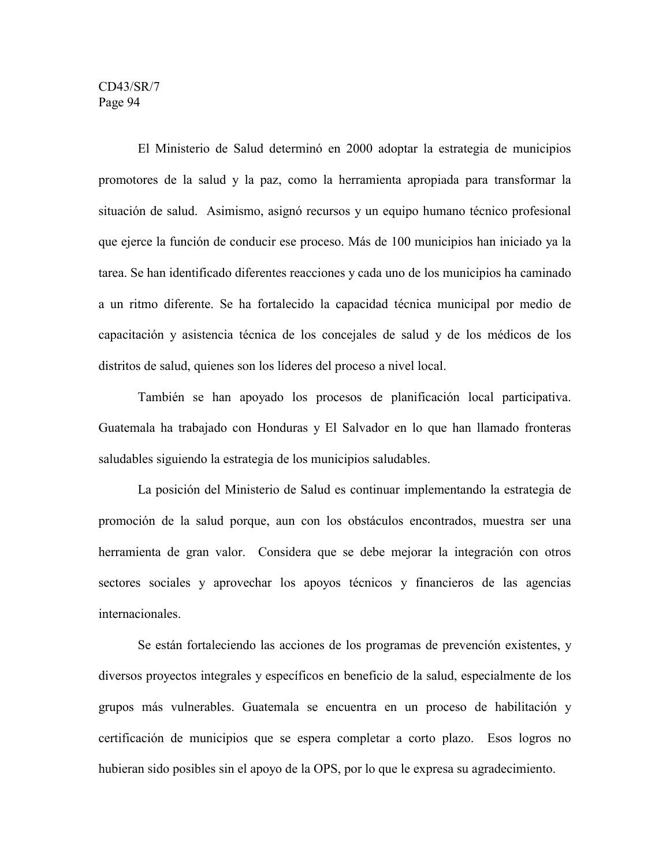El Ministerio de Salud determinó en 2000 adoptar la estrategia de municipios promotores de la salud y la paz, como la herramienta apropiada para transformar la situación de salud. Asimismo, asignó recursos y un equipo humano técnico profesional que ejerce la función de conducir ese proceso. Más de 100 municipios han iniciado ya la tarea. Se han identificado diferentes reacciones y cada uno de los municipios ha caminado a un ritmo diferente. Se ha fortalecido la capacidad técnica municipal por medio de capacitación y asistencia técnica de los concejales de salud y de los médicos de los distritos de salud, quienes son los líderes del proceso a nivel local.

También se han apoyado los procesos de planificación local participativa. Guatemala ha trabajado con Honduras y El Salvador en lo que han llamado fronteras saludables siguiendo la estrategia de los municipios saludables.

La posición del Ministerio de Salud es continuar implementando la estrategia de promoción de la salud porque, aun con los obstáculos encontrados, muestra ser una herramienta de gran valor. Considera que se debe mejorar la integración con otros sectores sociales y aprovechar los apoyos técnicos y financieros de las agencias internacionales.

Se están fortaleciendo las acciones de los programas de prevención existentes, y diversos proyectos integrales y específicos en beneficio de la salud, especialmente de los grupos más vulnerables. Guatemala se encuentra en un proceso de habilitación y certificación de municipios que se espera completar a corto plazo. Esos logros no hubieran sido posibles sin el apoyo de la OPS, por lo que le expresa su agradecimiento.